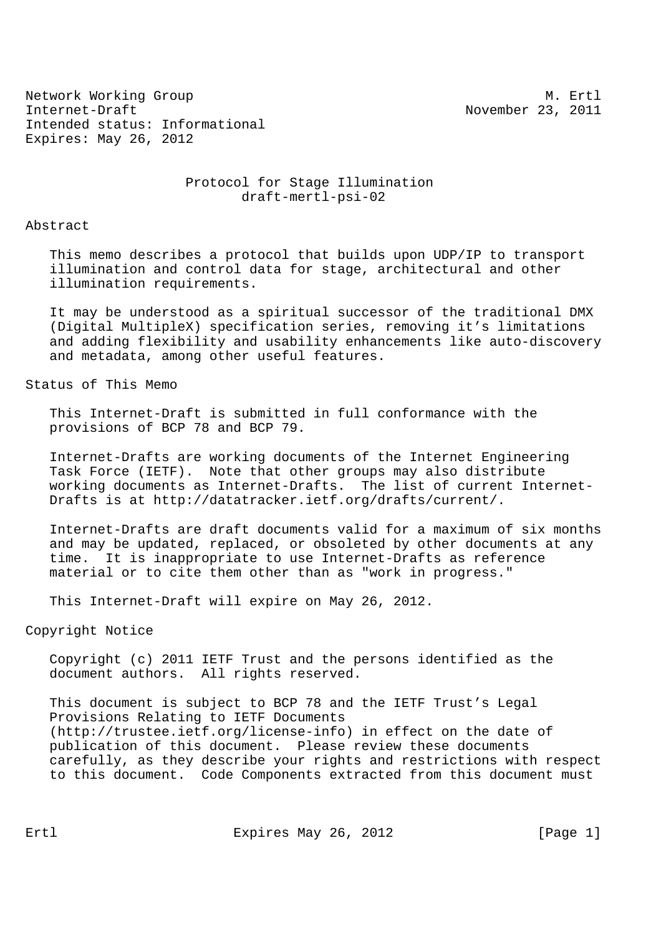Network Working Group and the set of the set of the set of the M. Ertl Internet-Draft November 23, 2011 Intended status: Informational Expires: May 26, 2012

> Protocol for Stage Illumination draft-mertl-psi-02

Abstract

 This memo describes a protocol that builds upon UDP/IP to transport illumination and control data for stage, architectural and other illumination requirements.

 It may be understood as a spiritual successor of the traditional DMX (Digital MultipleX) specification series, removing it's limitations and adding flexibility and usability enhancements like auto-discovery and metadata, among other useful features.

Status of This Memo

 This Internet-Draft is submitted in full conformance with the provisions of BCP 78 and BCP 79.

 Internet-Drafts are working documents of the Internet Engineering Task Force (IETF). Note that other groups may also distribute working documents as Internet-Drafts. The list of current Internet- Drafts is at http://datatracker.ietf.org/drafts/current/.

 Internet-Drafts are draft documents valid for a maximum of six months and may be updated, replaced, or obsoleted by other documents at any time. It is inappropriate to use Internet-Drafts as reference material or to cite them other than as "work in progress."

This Internet-Draft will expire on May 26, 2012.

Copyright Notice

 Copyright (c) 2011 IETF Trust and the persons identified as the document authors. All rights reserved.

 This document is subject to BCP 78 and the IETF Trust's Legal Provisions Relating to IETF Documents (http://trustee.ietf.org/license-info) in effect on the date of publication of this document. Please review these documents carefully, as they describe your rights and restrictions with respect to this document. Code Components extracted from this document must

Ertl Expires May 26, 2012 [Page 1]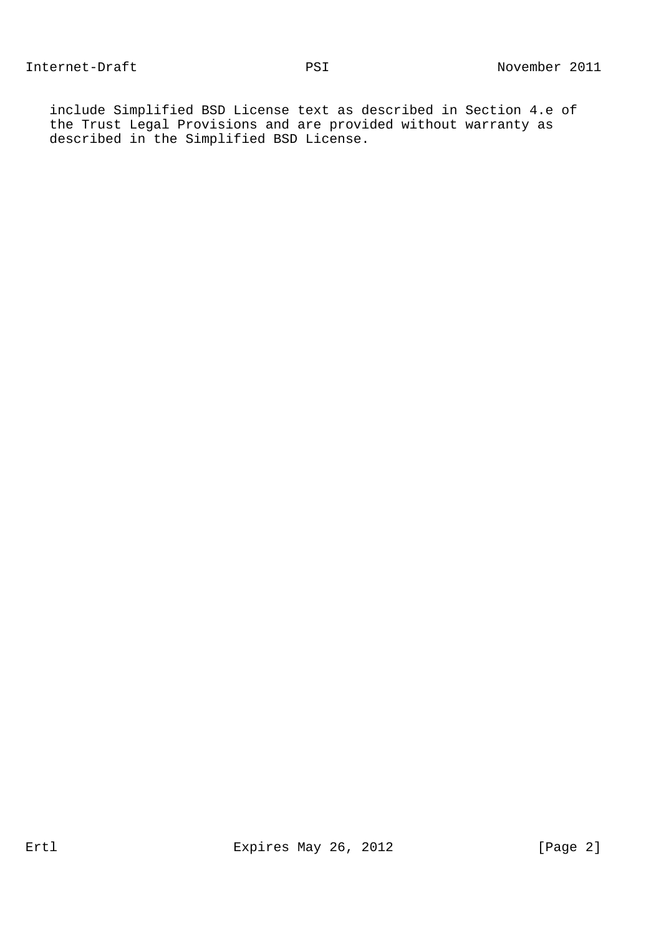include Simplified BSD License text as described in Section 4.e of the Trust Legal Provisions and are provided without warranty as described in the Simplified BSD License.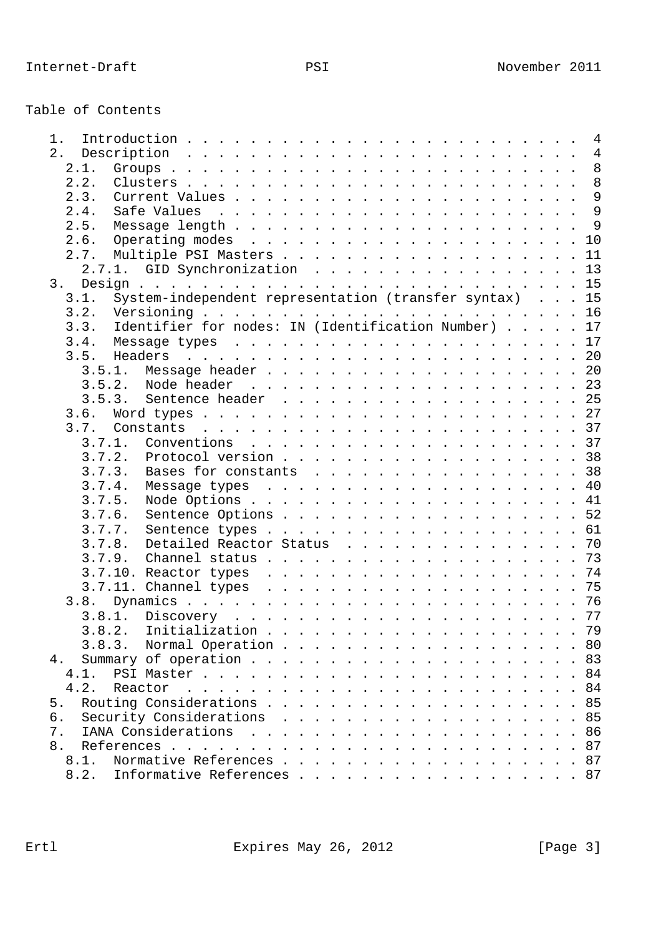| Table of Contents |  |
|-------------------|--|
|-------------------|--|

| 1.                                                             |  |    |
|----------------------------------------------------------------|--|----|
|                                                                |  |    |
| 2.1.                                                           |  |    |
| 2.2.                                                           |  |    |
| 2.3.                                                           |  |    |
| 2.4.                                                           |  |    |
| 2.5.                                                           |  |    |
| 2.6.                                                           |  |    |
| Multiple PSI Masters 11<br>2.7.                                |  |    |
| 2.7.1. GID Synchronization 13                                  |  |    |
|                                                                |  |    |
| System-independent representation (transfer syntax) 15<br>3.1. |  |    |
| 3.2.                                                           |  |    |
| Identifier for nodes: IN (Identification Number) 17<br>3.3.    |  |    |
| 3.4.                                                           |  |    |
| 3.5.<br>Headers                                                |  |    |
|                                                                |  |    |
|                                                                |  |    |
| 3.5.3.<br>Sentence header 25                                   |  |    |
| 3.6.                                                           |  |    |
| 3.7.                                                           |  |    |
| 3.7.1.                                                         |  |    |
| Protocol version 38<br>3.7.2.                                  |  |    |
| 3.7.3. Bases for constants 38                                  |  |    |
| 3.7.4.                                                         |  |    |
| 3.7.5.                                                         |  |    |
| Sentence Options 52<br>3.7.6.                                  |  |    |
| 3.7.7.                                                         |  |    |
| Detailed Reactor Status 70<br>3.7.8.                           |  |    |
|                                                                |  |    |
|                                                                |  |    |
|                                                                |  |    |
| 3.8.                                                           |  |    |
| 3.8.1.                                                         |  |    |
|                                                                |  | 79 |
| 3.8.3. Normal Operation 80                                     |  |    |
| 4.                                                             |  |    |
| 4.1.                                                           |  |    |
| 4.2.<br>Reactor                                                |  |    |
| 5.                                                             |  |    |
| Security Considerations 85<br>б.                               |  |    |
| 7.                                                             |  |    |
| 8.                                                             |  |    |
| Normative References 87<br>8.1.                                |  |    |
| Informative References 87<br>8.2.                              |  |    |
|                                                                |  |    |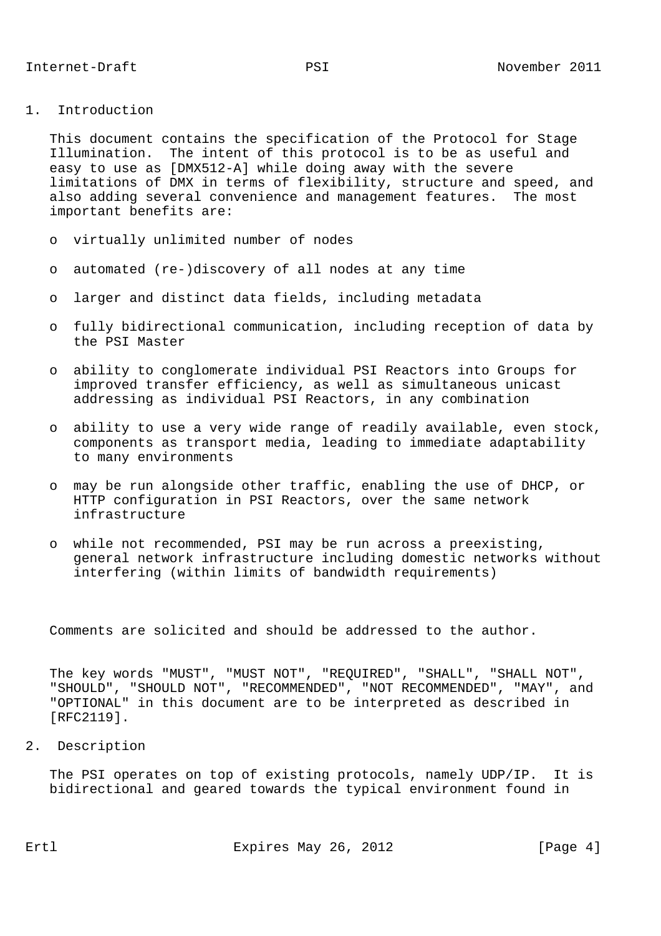1. Introduction

 This document contains the specification of the Protocol for Stage Illumination. The intent of this protocol is to be as useful and easy to use as [DMX512-A] while doing away with the severe limitations of DMX in terms of flexibility, structure and speed, and also adding several convenience and management features. The most important benefits are:

- o virtually unlimited number of nodes
- o automated (re-)discovery of all nodes at any time
- o larger and distinct data fields, including metadata
- o fully bidirectional communication, including reception of data by the PSI Master
- o ability to conglomerate individual PSI Reactors into Groups for improved transfer efficiency, as well as simultaneous unicast addressing as individual PSI Reactors, in any combination
- o ability to use a very wide range of readily available, even stock, components as transport media, leading to immediate adaptability to many environments
- o may be run alongside other traffic, enabling the use of DHCP, or HTTP configuration in PSI Reactors, over the same network infrastructure
- o while not recommended, PSI may be run across a preexisting, general network infrastructure including domestic networks without interfering (within limits of bandwidth requirements)

Comments are solicited and should be addressed to the author.

 The key words "MUST", "MUST NOT", "REQUIRED", "SHALL", "SHALL NOT", "SHOULD", "SHOULD NOT", "RECOMMENDED", "NOT RECOMMENDED", "MAY", and "OPTIONAL" in this document are to be interpreted as described in [RFC2119].

2. Description

 The PSI operates on top of existing protocols, namely UDP/IP. It is bidirectional and geared towards the typical environment found in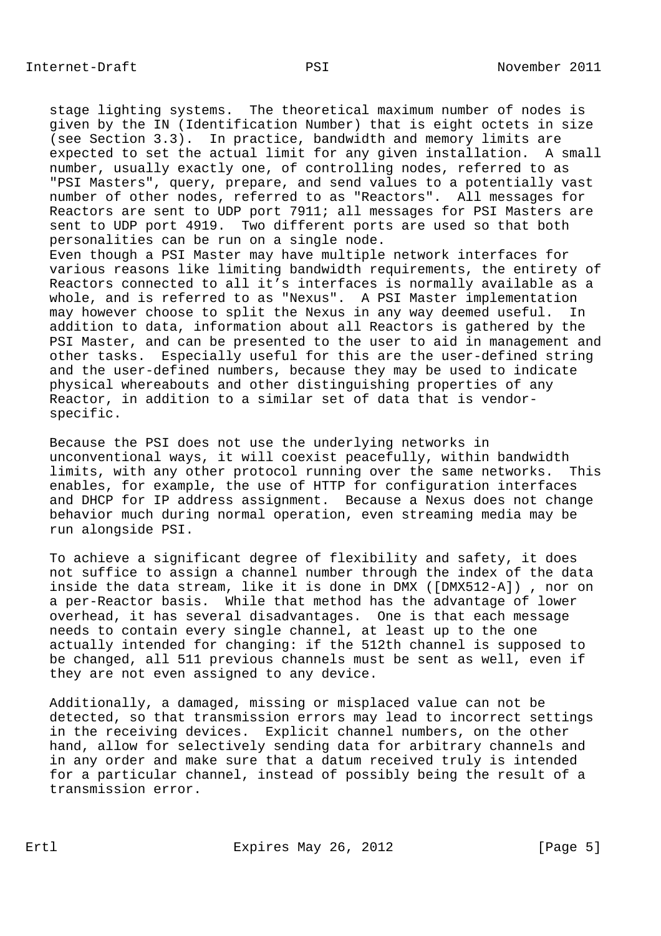stage lighting systems. The theoretical maximum number of nodes is given by the IN (Identification Number) that is eight octets in size (see Section 3.3). In practice, bandwidth and memory limits are expected to set the actual limit for any given installation. A small number, usually exactly one, of controlling nodes, referred to as "PSI Masters", query, prepare, and send values to a potentially vast number of other nodes, referred to as "Reactors". All messages for Reactors are sent to UDP port 7911; all messages for PSI Masters are sent to UDP port 4919. Two different ports are used so that both personalities can be run on a single node. Even though a PSI Master may have multiple network interfaces for various reasons like limiting bandwidth requirements, the entirety of Reactors connected to all it's interfaces is normally available as a whole, and is referred to as "Nexus". A PSI Master implementation may however choose to split the Nexus in any way deemed useful. In addition to data, information about all Reactors is gathered by the PSI Master, and can be presented to the user to aid in management and other tasks. Especially useful for this are the user-defined string and the user-defined numbers, because they may be used to indicate physical whereabouts and other distinguishing properties of any Reactor, in addition to a similar set of data that is vendor specific.

 Because the PSI does not use the underlying networks in unconventional ways, it will coexist peacefully, within bandwidth limits, with any other protocol running over the same networks. This enables, for example, the use of HTTP for configuration interfaces and DHCP for IP address assignment. Because a Nexus does not change behavior much during normal operation, even streaming media may be run alongside PSI.

 To achieve a significant degree of flexibility and safety, it does not suffice to assign a channel number through the index of the data inside the data stream, like it is done in DMX ([DMX512-A]) , nor on a per-Reactor basis. While that method has the advantage of lower overhead, it has several disadvantages. One is that each message needs to contain every single channel, at least up to the one actually intended for changing: if the 512th channel is supposed to be changed, all 511 previous channels must be sent as well, even if they are not even assigned to any device.

 Additionally, a damaged, missing or misplaced value can not be detected, so that transmission errors may lead to incorrect settings in the receiving devices. Explicit channel numbers, on the other hand, allow for selectively sending data for arbitrary channels and in any order and make sure that a datum received truly is intended for a particular channel, instead of possibly being the result of a transmission error.

Ertl Expires May 26, 2012 [Page 5]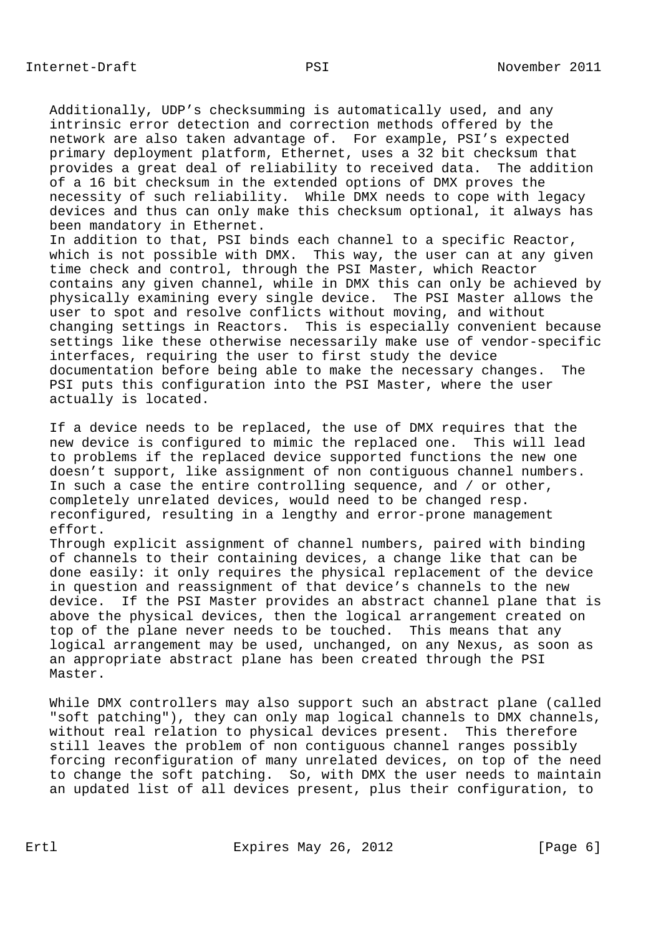Additionally, UDP's checksumming is automatically used, and any intrinsic error detection and correction methods offered by the network are also taken advantage of. For example, PSI's expected primary deployment platform, Ethernet, uses a 32 bit checksum that provides a great deal of reliability to received data. The addition of a 16 bit checksum in the extended options of DMX proves the necessity of such reliability. While DMX needs to cope with legacy devices and thus can only make this checksum optional, it always has been mandatory in Ethernet.

 In addition to that, PSI binds each channel to a specific Reactor, which is not possible with DMX. This way, the user can at any given time check and control, through the PSI Master, which Reactor contains any given channel, while in DMX this can only be achieved by physically examining every single device. The PSI Master allows the user to spot and resolve conflicts without moving, and without changing settings in Reactors. This is especially convenient because settings like these otherwise necessarily make use of vendor-specific interfaces, requiring the user to first study the device documentation before being able to make the necessary changes. The PSI puts this configuration into the PSI Master, where the user actually is located.

 If a device needs to be replaced, the use of DMX requires that the new device is configured to mimic the replaced one. This will lead to problems if the replaced device supported functions the new one doesn't support, like assignment of non contiguous channel numbers. In such a case the entire controlling sequence, and / or other, completely unrelated devices, would need to be changed resp. reconfigured, resulting in a lengthy and error-prone management effort.

 Through explicit assignment of channel numbers, paired with binding of channels to their containing devices, a change like that can be done easily: it only requires the physical replacement of the device in question and reassignment of that device's channels to the new device. If the PSI Master provides an abstract channel plane that is above the physical devices, then the logical arrangement created on top of the plane never needs to be touched. This means that any logical arrangement may be used, unchanged, on any Nexus, as soon as an appropriate abstract plane has been created through the PSI Master.

 While DMX controllers may also support such an abstract plane (called "soft patching"), they can only map logical channels to DMX channels, without real relation to physical devices present. This therefore still leaves the problem of non contiguous channel ranges possibly forcing reconfiguration of many unrelated devices, on top of the need to change the soft patching. So, with DMX the user needs to maintain an updated list of all devices present, plus their configuration, to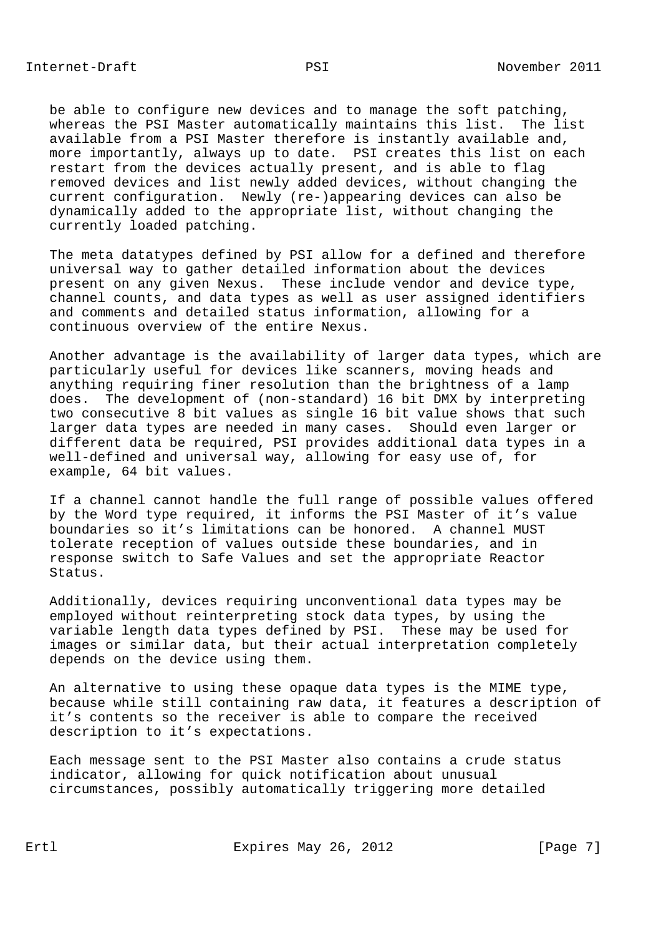be able to configure new devices and to manage the soft patching, whereas the PSI Master automatically maintains this list. The list available from a PSI Master therefore is instantly available and, more importantly, always up to date. PSI creates this list on each restart from the devices actually present, and is able to flag removed devices and list newly added devices, without changing the current configuration. Newly (re-)appearing devices can also be dynamically added to the appropriate list, without changing the currently loaded patching.

 The meta datatypes defined by PSI allow for a defined and therefore universal way to gather detailed information about the devices present on any given Nexus. These include vendor and device type, channel counts, and data types as well as user assigned identifiers and comments and detailed status information, allowing for a continuous overview of the entire Nexus.

 Another advantage is the availability of larger data types, which are particularly useful for devices like scanners, moving heads and anything requiring finer resolution than the brightness of a lamp does. The development of (non-standard) 16 bit DMX by interpreting two consecutive 8 bit values as single 16 bit value shows that such larger data types are needed in many cases. Should even larger or different data be required, PSI provides additional data types in a well-defined and universal way, allowing for easy use of, for example, 64 bit values.

 If a channel cannot handle the full range of possible values offered by the Word type required, it informs the PSI Master of it's value boundaries so it's limitations can be honored. A channel MUST tolerate reception of values outside these boundaries, and in response switch to Safe Values and set the appropriate Reactor Status.

 Additionally, devices requiring unconventional data types may be employed without reinterpreting stock data types, by using the variable length data types defined by PSI. These may be used for images or similar data, but their actual interpretation completely depends on the device using them.

 An alternative to using these opaque data types is the MIME type, because while still containing raw data, it features a description of it's contents so the receiver is able to compare the received description to it's expectations.

 Each message sent to the PSI Master also contains a crude status indicator, allowing for quick notification about unusual circumstances, possibly automatically triggering more detailed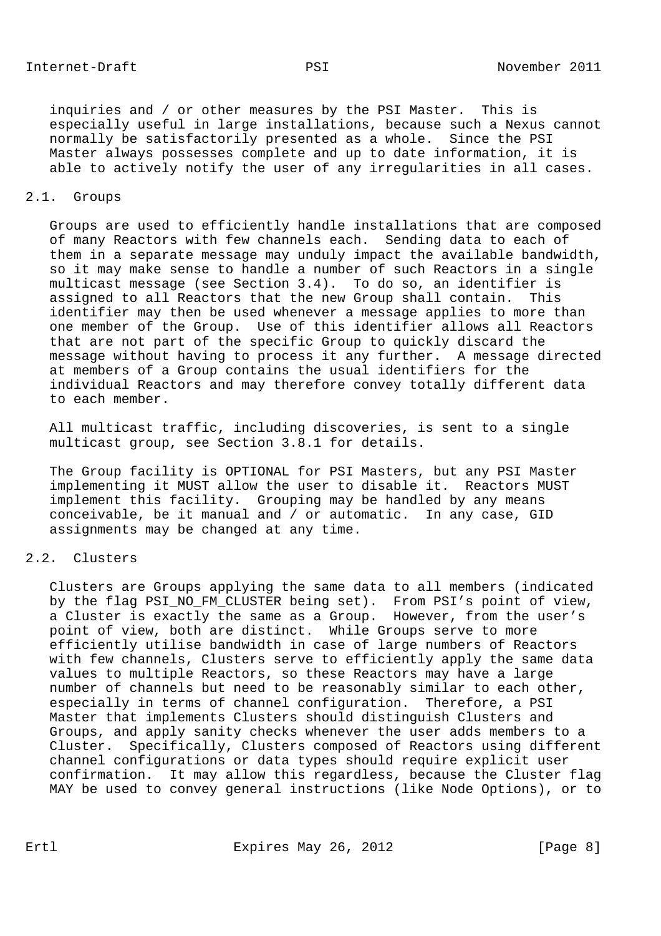inquiries and / or other measures by the PSI Master. This is especially useful in large installations, because such a Nexus cannot normally be satisfactorily presented as a whole. Since the PSI Master always possesses complete and up to date information, it is able to actively notify the user of any irregularities in all cases.

## 2.1. Groups

 Groups are used to efficiently handle installations that are composed of many Reactors with few channels each. Sending data to each of them in a separate message may unduly impact the available bandwidth, so it may make sense to handle a number of such Reactors in a single multicast message (see Section 3.4). To do so, an identifier is assigned to all Reactors that the new Group shall contain. This identifier may then be used whenever a message applies to more than one member of the Group. Use of this identifier allows all Reactors that are not part of the specific Group to quickly discard the message without having to process it any further. A message directed at members of a Group contains the usual identifiers for the individual Reactors and may therefore convey totally different data to each member.

 All multicast traffic, including discoveries, is sent to a single multicast group, see Section 3.8.1 for details.

 The Group facility is OPTIONAL for PSI Masters, but any PSI Master implementing it MUST allow the user to disable it. Reactors MUST implement this facility. Grouping may be handled by any means conceivable, be it manual and / or automatic. In any case, GID assignments may be changed at any time.

# 2.2. Clusters

 Clusters are Groups applying the same data to all members (indicated by the flag PSI\_NO\_FM\_CLUSTER being set). From PSI's point of view, a Cluster is exactly the same as a Group. However, from the user's point of view, both are distinct. While Groups serve to more efficiently utilise bandwidth in case of large numbers of Reactors with few channels, Clusters serve to efficiently apply the same data values to multiple Reactors, so these Reactors may have a large number of channels but need to be reasonably similar to each other, especially in terms of channel configuration. Therefore, a PSI Master that implements Clusters should distinguish Clusters and Groups, and apply sanity checks whenever the user adds members to a Cluster. Specifically, Clusters composed of Reactors using different channel configurations or data types should require explicit user confirmation. It may allow this regardless, because the Cluster flag MAY be used to convey general instructions (like Node Options), or to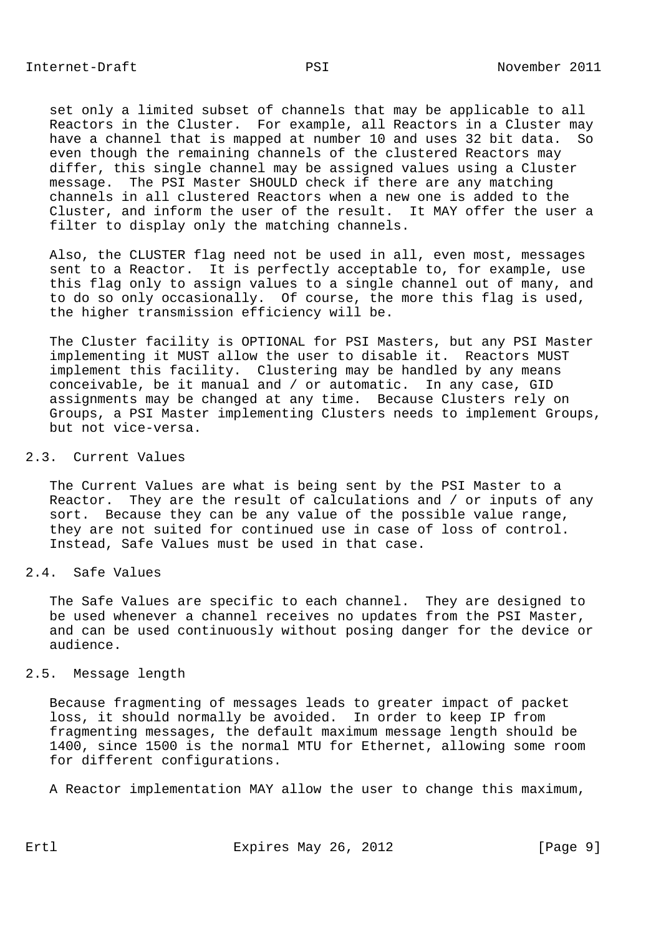set only a limited subset of channels that may be applicable to all Reactors in the Cluster. For example, all Reactors in a Cluster may have a channel that is mapped at number 10 and uses 32 bit data. So even though the remaining channels of the clustered Reactors may differ, this single channel may be assigned values using a Cluster message. The PSI Master SHOULD check if there are any matching channels in all clustered Reactors when a new one is added to the Cluster, and inform the user of the result. It MAY offer the user a filter to display only the matching channels.

 Also, the CLUSTER flag need not be used in all, even most, messages sent to a Reactor. It is perfectly acceptable to, for example, use this flag only to assign values to a single channel out of many, and to do so only occasionally. Of course, the more this flag is used, the higher transmission efficiency will be.

 The Cluster facility is OPTIONAL for PSI Masters, but any PSI Master implementing it MUST allow the user to disable it. Reactors MUST implement this facility. Clustering may be handled by any means conceivable, be it manual and / or automatic. In any case, GID assignments may be changed at any time. Because Clusters rely on Groups, a PSI Master implementing Clusters needs to implement Groups, but not vice-versa.

## 2.3. Current Values

 The Current Values are what is being sent by the PSI Master to a Reactor. They are the result of calculations and / or inputs of any sort. Because they can be any value of the possible value range, they are not suited for continued use in case of loss of control. Instead, Safe Values must be used in that case.

2.4. Safe Values

 The Safe Values are specific to each channel. They are designed to be used whenever a channel receives no updates from the PSI Master, and can be used continuously without posing danger for the device or audience.

## 2.5. Message length

 Because fragmenting of messages leads to greater impact of packet loss, it should normally be avoided. In order to keep IP from fragmenting messages, the default maximum message length should be 1400, since 1500 is the normal MTU for Ethernet, allowing some room for different configurations.

A Reactor implementation MAY allow the user to change this maximum,

Ertl Expires May 26, 2012 [Page 9]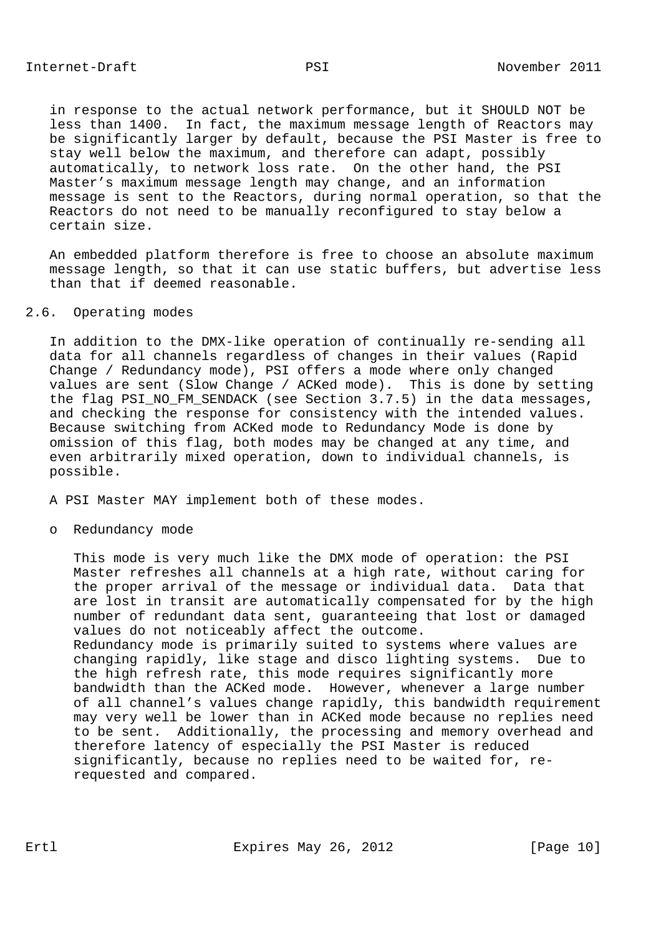in response to the actual network performance, but it SHOULD NOT be less than 1400. In fact, the maximum message length of Reactors may be significantly larger by default, because the PSI Master is free to stay well below the maximum, and therefore can adapt, possibly automatically, to network loss rate. On the other hand, the PSI Master's maximum message length may change, and an information message is sent to the Reactors, during normal operation, so that the Reactors do not need to be manually reconfigured to stay below a certain size.

 An embedded platform therefore is free to choose an absolute maximum message length, so that it can use static buffers, but advertise less than that if deemed reasonable.

## 2.6. Operating modes

 In addition to the DMX-like operation of continually re-sending all data for all channels regardless of changes in their values (Rapid Change / Redundancy mode), PSI offers a mode where only changed values are sent (Slow Change / ACKed mode). This is done by setting the flag PSI\_NO\_FM\_SENDACK (see Section 3.7.5) in the data messages, and checking the response for consistency with the intended values. Because switching from ACKed mode to Redundancy Mode is done by omission of this flag, both modes may be changed at any time, and even arbitrarily mixed operation, down to individual channels, is possible.

A PSI Master MAY implement both of these modes.

o Redundancy mode

 This mode is very much like the DMX mode of operation: the PSI Master refreshes all channels at a high rate, without caring for the proper arrival of the message or individual data. Data that are lost in transit are automatically compensated for by the high number of redundant data sent, guaranteeing that lost or damaged values do not noticeably affect the outcome. Redundancy mode is primarily suited to systems where values are changing rapidly, like stage and disco lighting systems. Due to the high refresh rate, this mode requires significantly more bandwidth than the ACKed mode. However, whenever a large number of all channel's values change rapidly, this bandwidth requirement may very well be lower than in ACKed mode because no replies need to be sent. Additionally, the processing and memory overhead and therefore latency of especially the PSI Master is reduced significantly, because no replies need to be waited for, re requested and compared.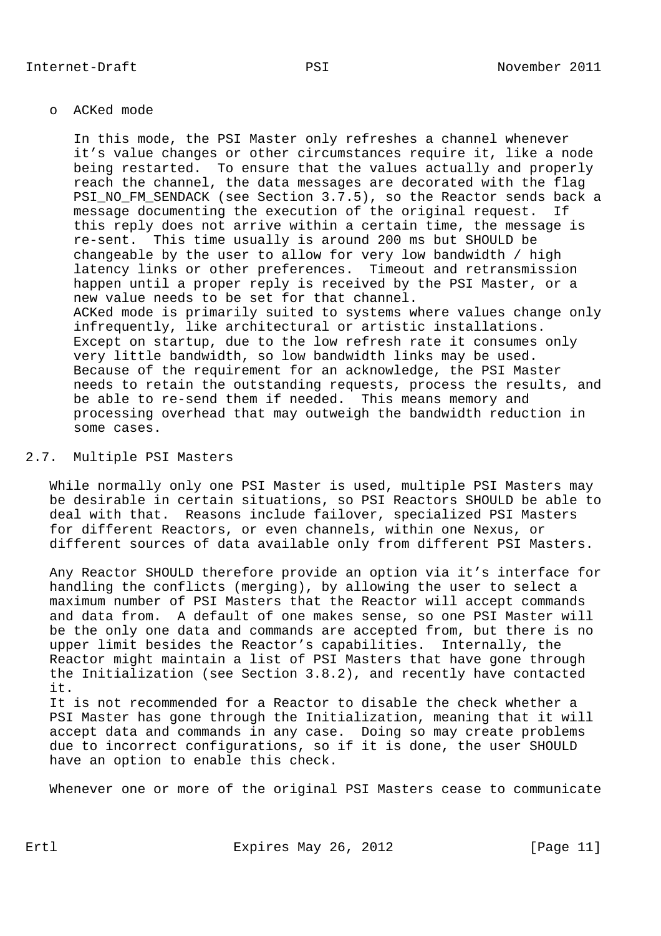### o ACKed mode

 In this mode, the PSI Master only refreshes a channel whenever it's value changes or other circumstances require it, like a node being restarted. To ensure that the values actually and properly reach the channel, the data messages are decorated with the flag PSI\_NO\_FM\_SENDACK (see Section 3.7.5), so the Reactor sends back a message documenting the execution of the original request. If this reply does not arrive within a certain time, the message is re-sent. This time usually is around 200 ms but SHOULD be changeable by the user to allow for very low bandwidth / high latency links or other preferences. Timeout and retransmission happen until a proper reply is received by the PSI Master, or a new value needs to be set for that channel. ACKed mode is primarily suited to systems where values change only infrequently, like architectural or artistic installations. Except on startup, due to the low refresh rate it consumes only very little bandwidth, so low bandwidth links may be used. Because of the requirement for an acknowledge, the PSI Master needs to retain the outstanding requests, process the results, and be able to re-send them if needed. This means memory and processing overhead that may outweigh the bandwidth reduction in some cases.

### 2.7. Multiple PSI Masters

 While normally only one PSI Master is used, multiple PSI Masters may be desirable in certain situations, so PSI Reactors SHOULD be able to deal with that. Reasons include failover, specialized PSI Masters for different Reactors, or even channels, within one Nexus, or different sources of data available only from different PSI Masters.

 Any Reactor SHOULD therefore provide an option via it's interface for handling the conflicts (merging), by allowing the user to select a maximum number of PSI Masters that the Reactor will accept commands and data from. A default of one makes sense, so one PSI Master will be the only one data and commands are accepted from, but there is no upper limit besides the Reactor's capabilities. Internally, the Reactor might maintain a list of PSI Masters that have gone through the Initialization (see Section 3.8.2), and recently have contacted it. It is not recommended for a Reactor to disable the check whether a

 PSI Master has gone through the Initialization, meaning that it will accept data and commands in any case. Doing so may create problems due to incorrect configurations, so if it is done, the user SHOULD have an option to enable this check.

Whenever one or more of the original PSI Masters cease to communicate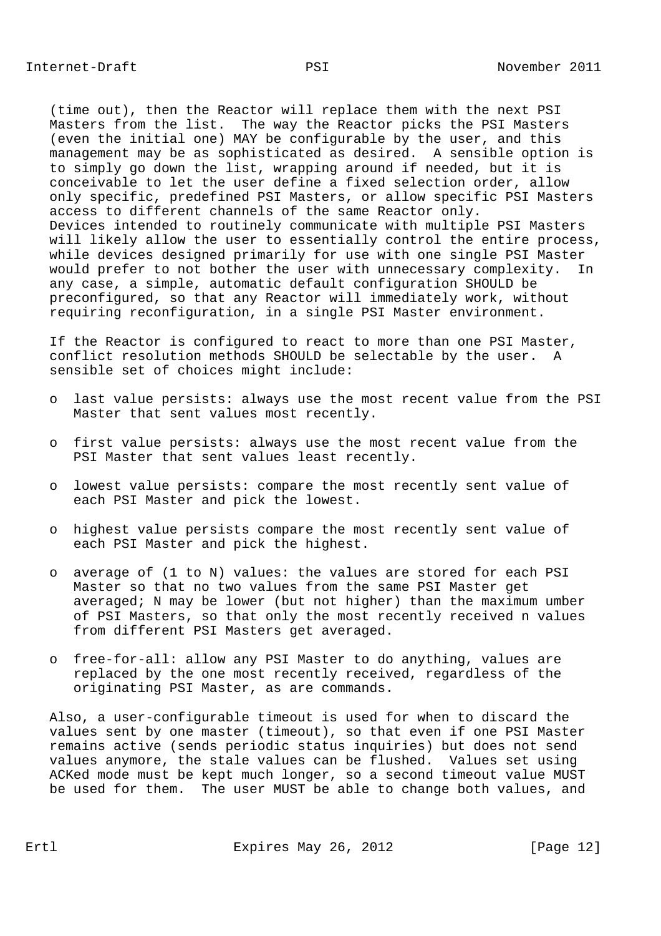(time out), then the Reactor will replace them with the next PSI Masters from the list. The way the Reactor picks the PSI Masters (even the initial one) MAY be configurable by the user, and this management may be as sophisticated as desired. A sensible option is to simply go down the list, wrapping around if needed, but it is conceivable to let the user define a fixed selection order, allow only specific, predefined PSI Masters, or allow specific PSI Masters access to different channels of the same Reactor only. Devices intended to routinely communicate with multiple PSI Masters will likely allow the user to essentially control the entire process, while devices designed primarily for use with one single PSI Master would prefer to not bother the user with unnecessary complexity. In any case, a simple, automatic default configuration SHOULD be preconfigured, so that any Reactor will immediately work, without requiring reconfiguration, in a single PSI Master environment.

 If the Reactor is configured to react to more than one PSI Master, conflict resolution methods SHOULD be selectable by the user. A sensible set of choices might include:

- o last value persists: always use the most recent value from the PSI Master that sent values most recently.
- o first value persists: always use the most recent value from the PSI Master that sent values least recently.
- o lowest value persists: compare the most recently sent value of each PSI Master and pick the lowest.
- o highest value persists compare the most recently sent value of each PSI Master and pick the highest.
- o average of (1 to N) values: the values are stored for each PSI Master so that no two values from the same PSI Master get averaged; N may be lower (but not higher) than the maximum umber of PSI Masters, so that only the most recently received n values from different PSI Masters get averaged.
- o free-for-all: allow any PSI Master to do anything, values are replaced by the one most recently received, regardless of the originating PSI Master, as are commands.

 Also, a user-configurable timeout is used for when to discard the values sent by one master (timeout), so that even if one PSI Master remains active (sends periodic status inquiries) but does not send values anymore, the stale values can be flushed. Values set using ACKed mode must be kept much longer, so a second timeout value MUST be used for them. The user MUST be able to change both values, and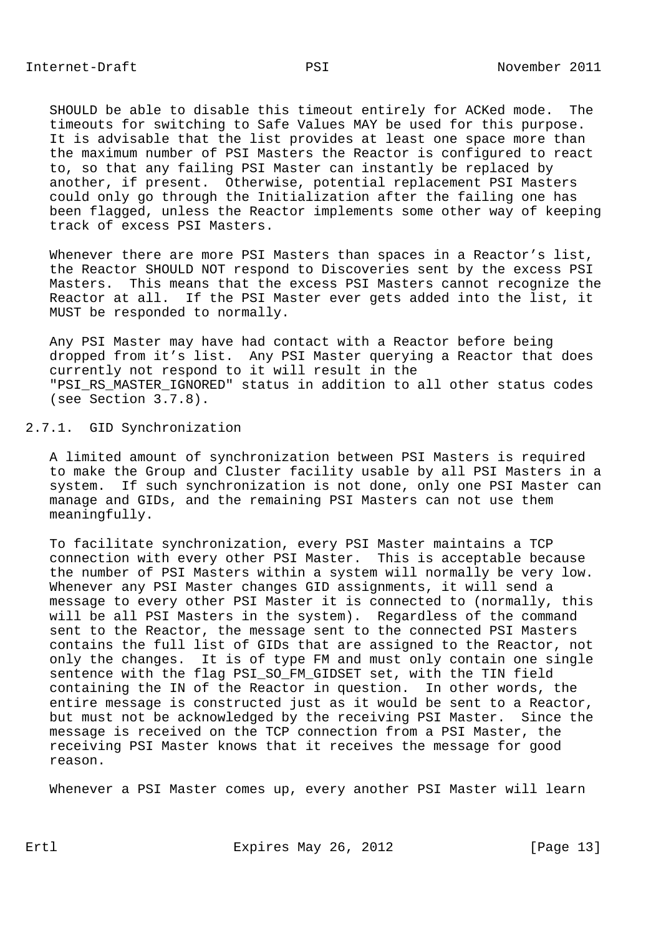SHOULD be able to disable this timeout entirely for ACKed mode. The timeouts for switching to Safe Values MAY be used for this purpose. It is advisable that the list provides at least one space more than the maximum number of PSI Masters the Reactor is configured to react to, so that any failing PSI Master can instantly be replaced by another, if present. Otherwise, potential replacement PSI Masters could only go through the Initialization after the failing one has been flagged, unless the Reactor implements some other way of keeping track of excess PSI Masters.

 Whenever there are more PSI Masters than spaces in a Reactor's list, the Reactor SHOULD NOT respond to Discoveries sent by the excess PSI Masters. This means that the excess PSI Masters cannot recognize the Reactor at all. If the PSI Master ever gets added into the list, it MUST be responded to normally.

 Any PSI Master may have had contact with a Reactor before being dropped from it's list. Any PSI Master querying a Reactor that does currently not respond to it will result in the "PSI\_RS\_MASTER\_IGNORED" status in addition to all other status codes (see Section 3.7.8).

### 2.7.1. GID Synchronization

 A limited amount of synchronization between PSI Masters is required to make the Group and Cluster facility usable by all PSI Masters in a system. If such synchronization is not done, only one PSI Master can manage and GIDs, and the remaining PSI Masters can not use them meaningfully.

 To facilitate synchronization, every PSI Master maintains a TCP connection with every other PSI Master. This is acceptable because the number of PSI Masters within a system will normally be very low. Whenever any PSI Master changes GID assignments, it will send a message to every other PSI Master it is connected to (normally, this will be all PSI Masters in the system). Regardless of the command sent to the Reactor, the message sent to the connected PSI Masters contains the full list of GIDs that are assigned to the Reactor, not only the changes. It is of type FM and must only contain one single sentence with the flag PSI\_SO\_FM\_GIDSET set, with the TIN field containing the IN of the Reactor in question. In other words, the entire message is constructed just as it would be sent to a Reactor, but must not be acknowledged by the receiving PSI Master. Since the message is received on the TCP connection from a PSI Master, the receiving PSI Master knows that it receives the message for good reason.

Whenever a PSI Master comes up, every another PSI Master will learn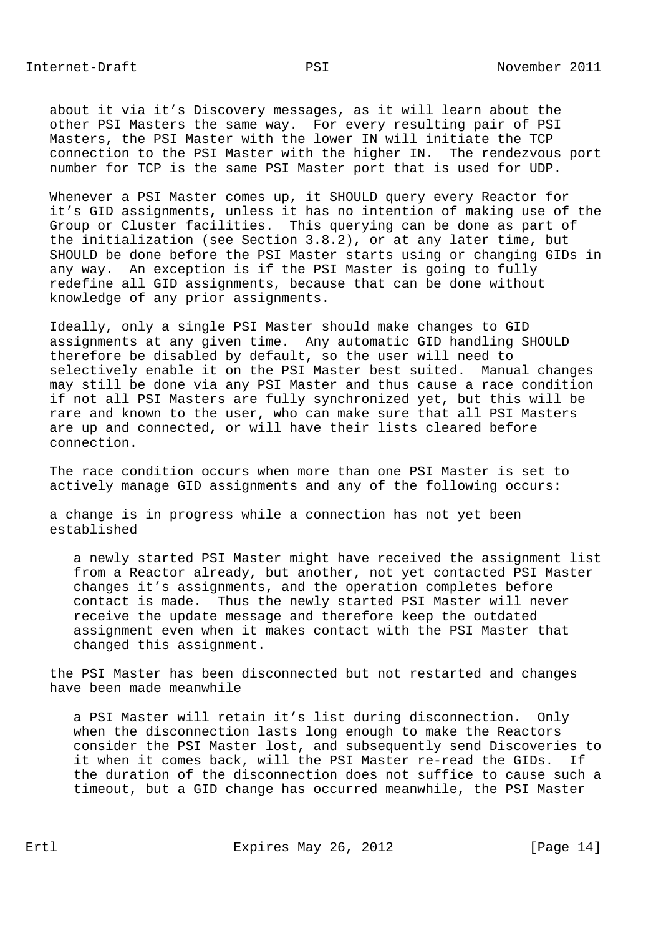about it via it's Discovery messages, as it will learn about the other PSI Masters the same way. For every resulting pair of PSI Masters, the PSI Master with the lower IN will initiate the TCP connection to the PSI Master with the higher IN. The rendezvous port number for TCP is the same PSI Master port that is used for UDP.

 Whenever a PSI Master comes up, it SHOULD query every Reactor for it's GID assignments, unless it has no intention of making use of the Group or Cluster facilities. This querying can be done as part of the initialization (see Section 3.8.2), or at any later time, but SHOULD be done before the PSI Master starts using or changing GIDs in any way. An exception is if the PSI Master is going to fully redefine all GID assignments, because that can be done without knowledge of any prior assignments.

 Ideally, only a single PSI Master should make changes to GID assignments at any given time. Any automatic GID handling SHOULD therefore be disabled by default, so the user will need to selectively enable it on the PSI Master best suited. Manual changes may still be done via any PSI Master and thus cause a race condition if not all PSI Masters are fully synchronized yet, but this will be rare and known to the user, who can make sure that all PSI Masters are up and connected, or will have their lists cleared before connection.

 The race condition occurs when more than one PSI Master is set to actively manage GID assignments and any of the following occurs:

 a change is in progress while a connection has not yet been established

 a newly started PSI Master might have received the assignment list from a Reactor already, but another, not yet contacted PSI Master changes it's assignments, and the operation completes before contact is made. Thus the newly started PSI Master will never receive the update message and therefore keep the outdated assignment even when it makes contact with the PSI Master that changed this assignment.

 the PSI Master has been disconnected but not restarted and changes have been made meanwhile

 a PSI Master will retain it's list during disconnection. Only when the disconnection lasts long enough to make the Reactors consider the PSI Master lost, and subsequently send Discoveries to it when it comes back, will the PSI Master re-read the GIDs. If the duration of the disconnection does not suffice to cause such a timeout, but a GID change has occurred meanwhile, the PSI Master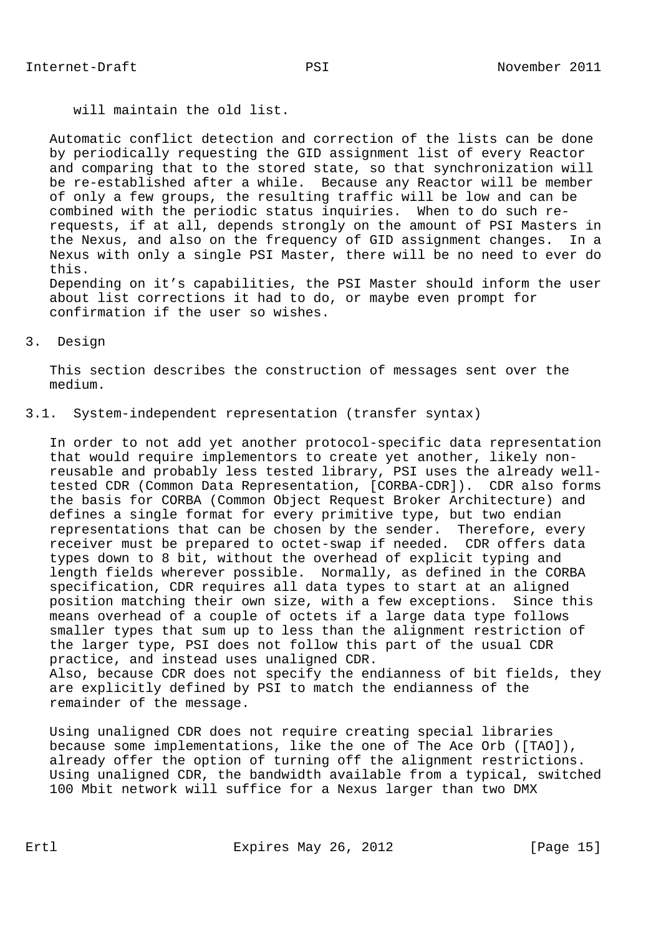will maintain the old list.

confirmation if the user so wishes.

 Automatic conflict detection and correction of the lists can be done by periodically requesting the GID assignment list of every Reactor and comparing that to the stored state, so that synchronization will be re-established after a while. Because any Reactor will be member of only a few groups, the resulting traffic will be low and can be combined with the periodic status inquiries. When to do such re requests, if at all, depends strongly on the amount of PSI Masters in the Nexus, and also on the frequency of GID assignment changes. In a Nexus with only a single PSI Master, there will be no need to ever do this. Depending on it's capabilities, the PSI Master should inform the user about list corrections it had to do, or maybe even prompt for

# 3. Design

 This section describes the construction of messages sent over the medium.

### 3.1. System-independent representation (transfer syntax)

 In order to not add yet another protocol-specific data representation that would require implementors to create yet another, likely non reusable and probably less tested library, PSI uses the already well tested CDR (Common Data Representation, [CORBA-CDR]). CDR also forms the basis for CORBA (Common Object Request Broker Architecture) and defines a single format for every primitive type, but two endian representations that can be chosen by the sender. Therefore, every receiver must be prepared to octet-swap if needed. CDR offers data types down to 8 bit, without the overhead of explicit typing and length fields wherever possible. Normally, as defined in the CORBA specification, CDR requires all data types to start at an aligned position matching their own size, with a few exceptions. Since this means overhead of a couple of octets if a large data type follows smaller types that sum up to less than the alignment restriction of the larger type, PSI does not follow this part of the usual CDR practice, and instead uses unaligned CDR. Also, because CDR does not specify the endianness of bit fields, they are explicitly defined by PSI to match the endianness of the remainder of the message.

 Using unaligned CDR does not require creating special libraries because some implementations, like the one of The Ace Orb ([TAO]), already offer the option of turning off the alignment restrictions. Using unaligned CDR, the bandwidth available from a typical, switched 100 Mbit network will suffice for a Nexus larger than two DMX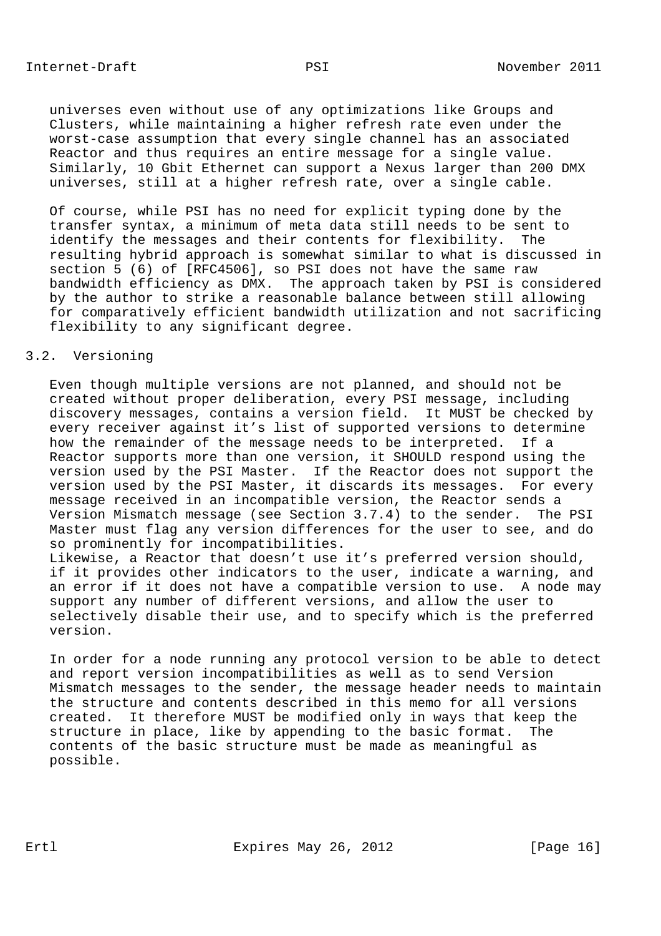universes even without use of any optimizations like Groups and Clusters, while maintaining a higher refresh rate even under the worst-case assumption that every single channel has an associated Reactor and thus requires an entire message for a single value. Similarly, 10 Gbit Ethernet can support a Nexus larger than 200 DMX universes, still at a higher refresh rate, over a single cable.

 Of course, while PSI has no need for explicit typing done by the transfer syntax, a minimum of meta data still needs to be sent to identify the messages and their contents for flexibility. The resulting hybrid approach is somewhat similar to what is discussed in section 5 (6) of [RFC4506], so PSI does not have the same raw bandwidth efficiency as DMX. The approach taken by PSI is considered by the author to strike a reasonable balance between still allowing for comparatively efficient bandwidth utilization and not sacrificing flexibility to any significant degree.

## 3.2. Versioning

 Even though multiple versions are not planned, and should not be created without proper deliberation, every PSI message, including discovery messages, contains a version field. It MUST be checked by every receiver against it's list of supported versions to determine how the remainder of the message needs to be interpreted. If a Reactor supports more than one version, it SHOULD respond using the version used by the PSI Master. If the Reactor does not support the version used by the PSI Master, it discards its messages. For every message received in an incompatible version, the Reactor sends a Version Mismatch message (see Section 3.7.4) to the sender. The PSI Master must flag any version differences for the user to see, and do so prominently for incompatibilities.

 Likewise, a Reactor that doesn't use it's preferred version should, if it provides other indicators to the user, indicate a warning, and an error if it does not have a compatible version to use. A node may support any number of different versions, and allow the user to selectively disable their use, and to specify which is the preferred version.

 In order for a node running any protocol version to be able to detect and report version incompatibilities as well as to send Version Mismatch messages to the sender, the message header needs to maintain the structure and contents described in this memo for all versions created. It therefore MUST be modified only in ways that keep the structure in place, like by appending to the basic format. The contents of the basic structure must be made as meaningful as possible.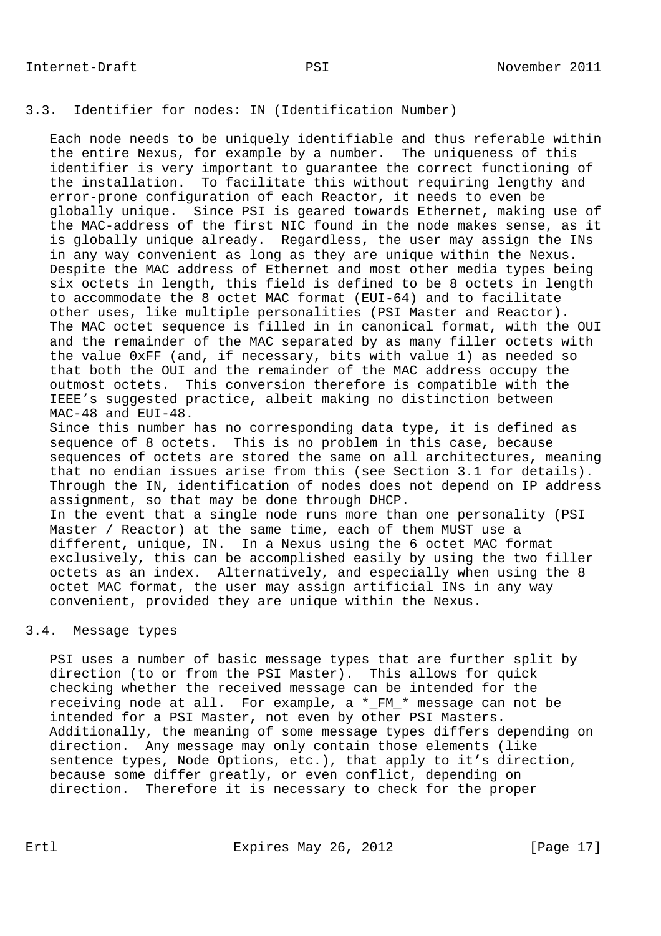# 3.3. Identifier for nodes: IN (Identification Number)

 Each node needs to be uniquely identifiable and thus referable within the entire Nexus, for example by a number. The uniqueness of this identifier is very important to guarantee the correct functioning of the installation. To facilitate this without requiring lengthy and error-prone configuration of each Reactor, it needs to even be globally unique. Since PSI is geared towards Ethernet, making use of the MAC-address of the first NIC found in the node makes sense, as it is globally unique already. Regardless, the user may assign the INs in any way convenient as long as they are unique within the Nexus. Despite the MAC address of Ethernet and most other media types being six octets in length, this field is defined to be 8 octets in length to accommodate the 8 octet MAC format (EUI-64) and to facilitate other uses, like multiple personalities (PSI Master and Reactor). The MAC octet sequence is filled in in canonical format, with the OUI and the remainder of the MAC separated by as many filler octets with the value 0xFF (and, if necessary, bits with value 1) as needed so that both the OUI and the remainder of the MAC address occupy the outmost octets. This conversion therefore is compatible with the IEEE's suggested practice, albeit making no distinction between MAC-48 and EUI-48.

 Since this number has no corresponding data type, it is defined as sequence of 8 octets. This is no problem in this case, because sequences of octets are stored the same on all architectures, meaning that no endian issues arise from this (see Section 3.1 for details). Through the IN, identification of nodes does not depend on IP address assignment, so that may be done through DHCP. In the event that a single node runs more than one personality (PSI Master / Reactor) at the same time, each of them MUST use a different, unique, IN. In a Nexus using the 6 octet MAC format exclusively, this can be accomplished easily by using the two filler octets as an index. Alternatively, and especially when using the 8 octet MAC format, the user may assign artificial INs in any way convenient, provided they are unique within the Nexus.

### 3.4. Message types

 PSI uses a number of basic message types that are further split by direction (to or from the PSI Master). This allows for quick checking whether the received message can be intended for the receiving node at all. For example, a \*\_FM\_\* message can not be intended for a PSI Master, not even by other PSI Masters. Additionally, the meaning of some message types differs depending on direction. Any message may only contain those elements (like sentence types, Node Options, etc.), that apply to it's direction, because some differ greatly, or even conflict, depending on direction. Therefore it is necessary to check for the proper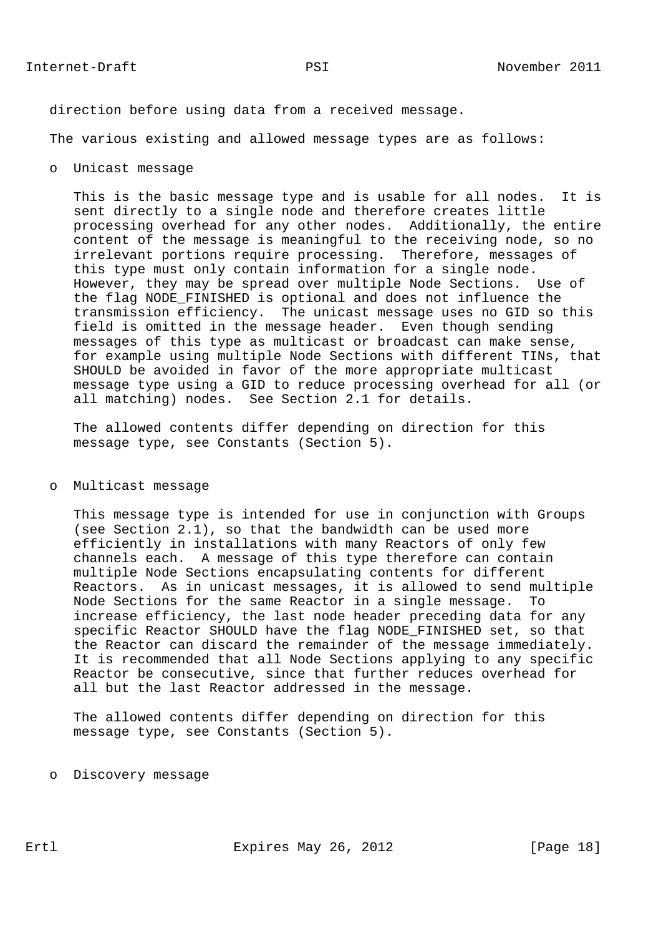direction before using data from a received message.

The various existing and allowed message types are as follows:

o Unicast message

 This is the basic message type and is usable for all nodes. It is sent directly to a single node and therefore creates little processing overhead for any other nodes. Additionally, the entire content of the message is meaningful to the receiving node, so no irrelevant portions require processing. Therefore, messages of this type must only contain information for a single node. However, they may be spread over multiple Node Sections. Use of the flag NODE\_FINISHED is optional and does not influence the transmission efficiency. The unicast message uses no GID so this field is omitted in the message header. Even though sending messages of this type as multicast or broadcast can make sense, for example using multiple Node Sections with different TINs, that SHOULD be avoided in favor of the more appropriate multicast message type using a GID to reduce processing overhead for all (or all matching) nodes. See Section 2.1 for details.

 The allowed contents differ depending on direction for this message type, see Constants (Section 5).

#### o Multicast message

 This message type is intended for use in conjunction with Groups (see Section 2.1), so that the bandwidth can be used more efficiently in installations with many Reactors of only few channels each. A message of this type therefore can contain multiple Node Sections encapsulating contents for different Reactors. As in unicast messages, it is allowed to send multiple Node Sections for the same Reactor in a single message. To increase efficiency, the last node header preceding data for any specific Reactor SHOULD have the flag NODE\_FINISHED set, so that the Reactor can discard the remainder of the message immediately. It is recommended that all Node Sections applying to any specific Reactor be consecutive, since that further reduces overhead for all but the last Reactor addressed in the message.

 The allowed contents differ depending on direction for this message type, see Constants (Section 5).

o Discovery message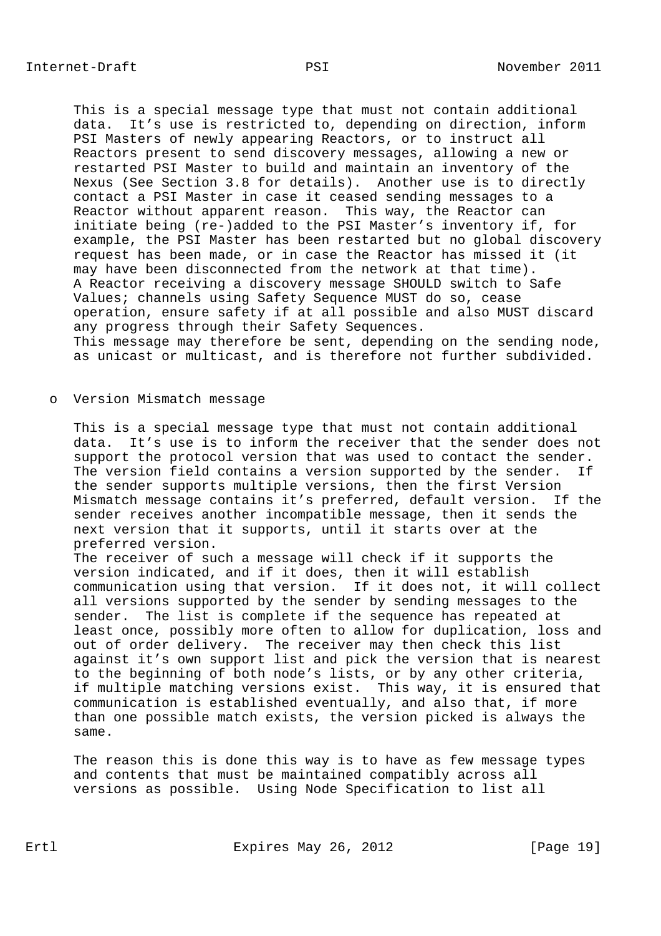This is a special message type that must not contain additional data. It's use is restricted to, depending on direction, inform PSI Masters of newly appearing Reactors, or to instruct all Reactors present to send discovery messages, allowing a new or restarted PSI Master to build and maintain an inventory of the Nexus (See Section 3.8 for details). Another use is to directly contact a PSI Master in case it ceased sending messages to a Reactor without apparent reason. This way, the Reactor can initiate being (re-)added to the PSI Master's inventory if, for example, the PSI Master has been restarted but no global discovery request has been made, or in case the Reactor has missed it (it may have been disconnected from the network at that time). A Reactor receiving a discovery message SHOULD switch to Safe Values; channels using Safety Sequence MUST do so, cease operation, ensure safety if at all possible and also MUST discard any progress through their Safety Sequences. This message may therefore be sent, depending on the sending node, as unicast or multicast, and is therefore not further subdivided.

o Version Mismatch message

 This is a special message type that must not contain additional data. It's use is to inform the receiver that the sender does not support the protocol version that was used to contact the sender. The version field contains a version supported by the sender. If the sender supports multiple versions, then the first Version Mismatch message contains it's preferred, default version. If the sender receives another incompatible message, then it sends the next version that it supports, until it starts over at the preferred version.

 The receiver of such a message will check if it supports the version indicated, and if it does, then it will establish communication using that version. If it does not, it will collect all versions supported by the sender by sending messages to the sender. The list is complete if the sequence has repeated at least once, possibly more often to allow for duplication, loss and out of order delivery. The receiver may then check this list against it's own support list and pick the version that is nearest to the beginning of both node's lists, or by any other criteria, if multiple matching versions exist. This way, it is ensured that communication is established eventually, and also that, if more than one possible match exists, the version picked is always the same.

 The reason this is done this way is to have as few message types and contents that must be maintained compatibly across all versions as possible. Using Node Specification to list all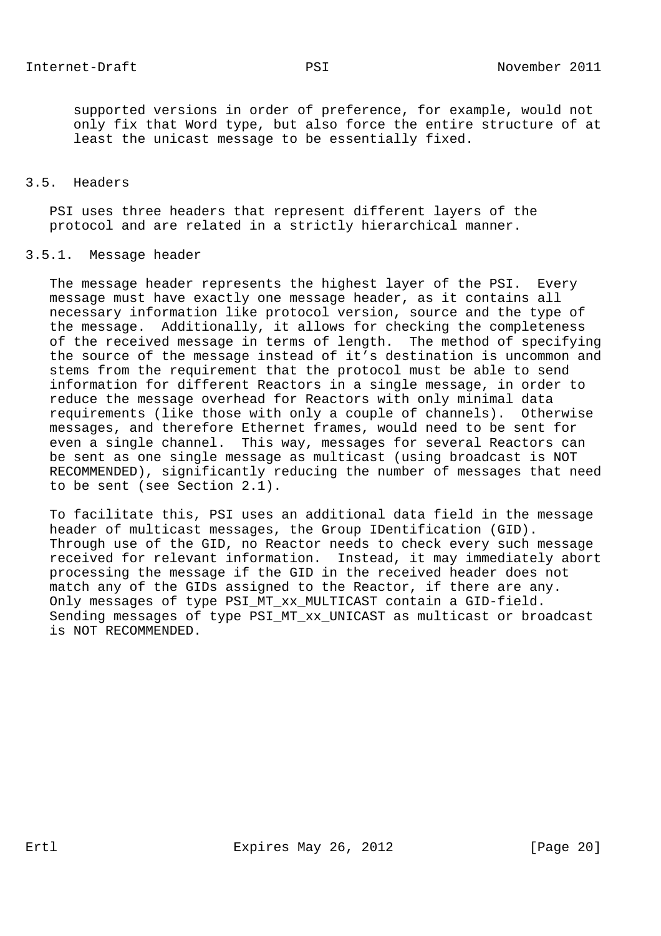supported versions in order of preference, for example, would not only fix that Word type, but also force the entire structure of at least the unicast message to be essentially fixed.

# 3.5. Headers

 PSI uses three headers that represent different layers of the protocol and are related in a strictly hierarchical manner.

### 3.5.1. Message header

 The message header represents the highest layer of the PSI. Every message must have exactly one message header, as it contains all necessary information like protocol version, source and the type of the message. Additionally, it allows for checking the completeness of the received message in terms of length. The method of specifying the source of the message instead of it's destination is uncommon and stems from the requirement that the protocol must be able to send information for different Reactors in a single message, in order to reduce the message overhead for Reactors with only minimal data requirements (like those with only a couple of channels). Otherwise messages, and therefore Ethernet frames, would need to be sent for even a single channel. This way, messages for several Reactors can be sent as one single message as multicast (using broadcast is NOT RECOMMENDED), significantly reducing the number of messages that need to be sent (see Section 2.1).

 To facilitate this, PSI uses an additional data field in the message header of multicast messages, the Group IDentification (GID). Through use of the GID, no Reactor needs to check every such message received for relevant information. Instead, it may immediately abort processing the message if the GID in the received header does not match any of the GIDs assigned to the Reactor, if there are any. Only messages of type PSI\_MT\_xx\_MULTICAST contain a GID-field. Sending messages of type PSI\_MT\_xx\_UNICAST as multicast or broadcast is NOT RECOMMENDED.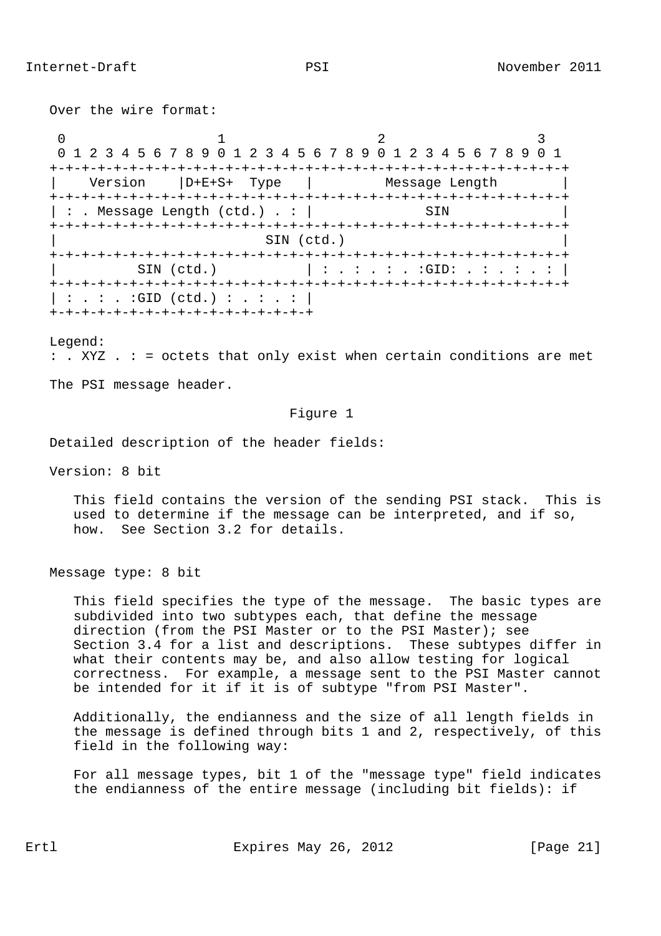Over the wire format:

0  $1$  2 3 0 1 2 3 4 5 6 7 8 9 0 1 2 3 4 5 6 7 8 9 0 1 2 3 4 5 6 7 8 9 0 1 +-+-+-+-+-+-+-+-+-+-+-+-+-+-+-+-+-+-+-+-+-+-+-+-+-+-+-+-+-+-+-+-+ | Version |D+E+S+ Type | Message Length | +-+-+-+-+-+-+-+-+-+-+-+-+-+-+-+-+-+-+-+-+-+-+-+-+-+-+-+-+-+-+-+-+  $\vert$  : . Message Length (ctd.) . :  $\vert$  SIN +-+-+-+-+-+-+-+-+-+-+-+-+-+-+-+-+-+-+-+-+-+-+-+-+-+-+-+-+-+-+-+-+ | SIN (ctd.) | +-+-+-+-+-+-+-+-+-+-+-+-+-+-+-+-+-+-+-+-+-+-+-+-+-+-+-+-+-+-+-+-+ | SIN (ctd.) | : . : . : . : GID: . : . : . : | +-+-+-+-+-+-+-+-+-+-+-+-+-+-+-+-+-+-+-+-+-+-+-+-+-+-+-+-+-+-+-+-+  $| : . : . : GID (ctd.) : . : . : |$ +-+-+-+-+-+-+-+-+-+-+-+-+-+-+-+-+

Legend:

: . XYZ . : = octets that only exist when certain conditions are met

The PSI message header.

#### Figure 1

Detailed description of the header fields:

Version: 8 bit

 This field contains the version of the sending PSI stack. This is used to determine if the message can be interpreted, and if so, how. See Section 3.2 for details.

Message type: 8 bit

 This field specifies the type of the message. The basic types are subdivided into two subtypes each, that define the message direction (from the PSI Master or to the PSI Master); see Section 3.4 for a list and descriptions. These subtypes differ in what their contents may be, and also allow testing for logical correctness. For example, a message sent to the PSI Master cannot be intended for it if it is of subtype "from PSI Master".

 Additionally, the endianness and the size of all length fields in the message is defined through bits 1 and 2, respectively, of this field in the following way:

 For all message types, bit 1 of the "message type" field indicates the endianness of the entire message (including bit fields): if

Ertl Expires May 26, 2012 [Page 21]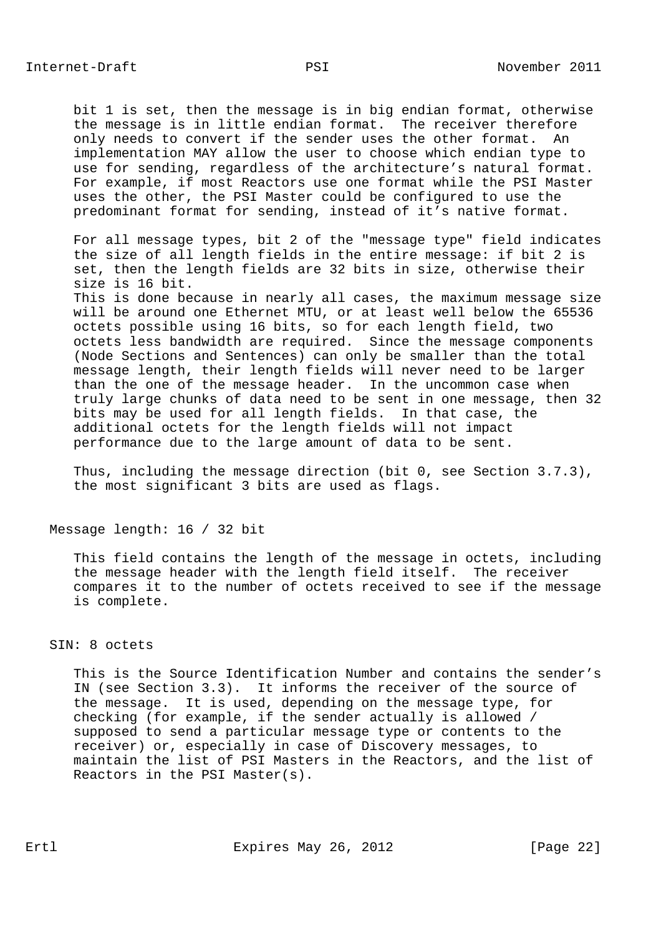bit 1 is set, then the message is in big endian format, otherwise the message is in little endian format. The receiver therefore only needs to convert if the sender uses the other format. An implementation MAY allow the user to choose which endian type to use for sending, regardless of the architecture's natural format. For example, if most Reactors use one format while the PSI Master uses the other, the PSI Master could be configured to use the predominant format for sending, instead of it's native format.

 For all message types, bit 2 of the "message type" field indicates the size of all length fields in the entire message: if bit 2 is set, then the length fields are 32 bits in size, otherwise their size is 16 bit.

 This is done because in nearly all cases, the maximum message size will be around one Ethernet MTU, or at least well below the 65536 octets possible using 16 bits, so for each length field, two octets less bandwidth are required. Since the message components (Node Sections and Sentences) can only be smaller than the total message length, their length fields will never need to be larger than the one of the message header. In the uncommon case when truly large chunks of data need to be sent in one message, then 32 bits may be used for all length fields. In that case, the additional octets for the length fields will not impact performance due to the large amount of data to be sent.

 Thus, including the message direction (bit 0, see Section 3.7.3), the most significant 3 bits are used as flags.

Message length: 16 / 32 bit

 This field contains the length of the message in octets, including the message header with the length field itself. The receiver compares it to the number of octets received to see if the message is complete.

#### SIN: 8 octets

 This is the Source Identification Number and contains the sender's IN (see Section 3.3). It informs the receiver of the source of the message. It is used, depending on the message type, for checking (for example, if the sender actually is allowed / supposed to send a particular message type or contents to the receiver) or, especially in case of Discovery messages, to maintain the list of PSI Masters in the Reactors, and the list of Reactors in the PSI Master(s).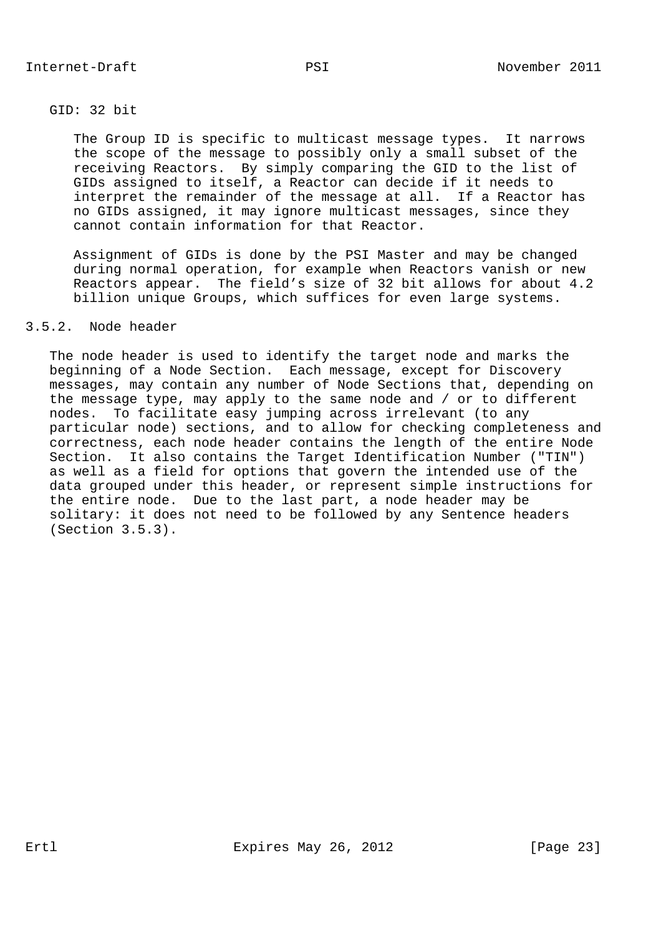# GID: 32 bit

 The Group ID is specific to multicast message types. It narrows the scope of the message to possibly only a small subset of the receiving Reactors. By simply comparing the GID to the list of GIDs assigned to itself, a Reactor can decide if it needs to interpret the remainder of the message at all. If a Reactor has no GIDs assigned, it may ignore multicast messages, since they cannot contain information for that Reactor.

 Assignment of GIDs is done by the PSI Master and may be changed during normal operation, for example when Reactors vanish or new Reactors appear. The field's size of 32 bit allows for about 4.2 billion unique Groups, which suffices for even large systems.

# 3.5.2. Node header

 The node header is used to identify the target node and marks the beginning of a Node Section. Each message, except for Discovery messages, may contain any number of Node Sections that, depending on the message type, may apply to the same node and / or to different nodes. To facilitate easy jumping across irrelevant (to any particular node) sections, and to allow for checking completeness and correctness, each node header contains the length of the entire Node Section. It also contains the Target Identification Number ("TIN") as well as a field for options that govern the intended use of the data grouped under this header, or represent simple instructions for the entire node. Due to the last part, a node header may be solitary: it does not need to be followed by any Sentence headers (Section 3.5.3).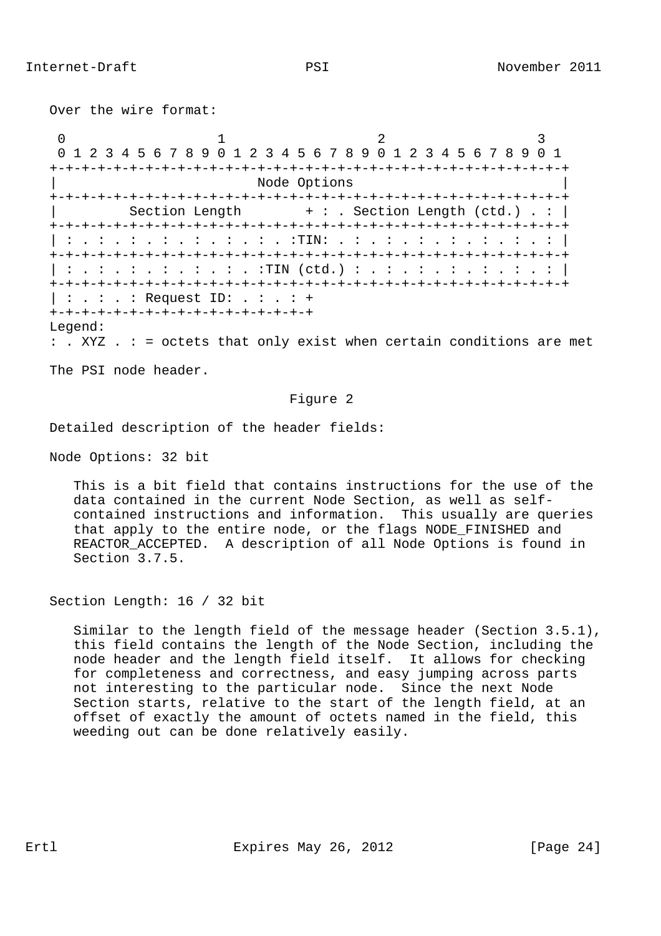Over the wire format:

0  $1$  2 3 0 1 2 3 4 5 6 7 8 9 0 1 2 3 4 5 6 7 8 9 0 1 2 3 4 5 6 7 8 9 0 1 +-+-+-+-+-+-+-+-+-+-+-+-+-+-+-+-+-+-+-+-+-+-+-+-+-+-+-+-+-+-+-+-+ Node Options +-+-+-+-+-+-+-+-+-+-+-+-+-+-+-+-+-+-+-+-+-+-+-+-+-+-+-+-+-+-+-+-+ Section Length  $+ :$  . Section Length (ctd.) . : | +-+-+-+-+-+-+-+-+-+-+-+-+-+-+-+-+-+-+-+-+-+-+-+-+-+-+-+-+-+-+-+-+ | : . : . : . : . : . : . : . :TIN: . : . : . : . : . : . : . : | +-+-+-+-+-+-+-+-+-+-+-+-+-+-+-+-+-+-+-+-+-+-+-+-+-+-+-+-+-+-+-+-+  $| : . : . : . : . : . : . : . : . : . |$  (ctd.) : . : . : . : . : . : . :  $|$  +-+-+-+-+-+-+-+-+-+-+-+-+-+-+-+-+-+-+-+-+-+-+-+-+-+-+-+-+-+-+-+-+ | : . : . : Request ID: . : . : + +-+-+-+-+-+-+-+-+-+-+-+-+-+-+-+-+ Legend:

: . XYZ . : = octets that only exist when certain conditions are met

The PSI node header.

### Figure 2

Detailed description of the header fields:

Node Options: 32 bit

 This is a bit field that contains instructions for the use of the data contained in the current Node Section, as well as self contained instructions and information. This usually are queries that apply to the entire node, or the flags NODE\_FINISHED and REACTOR\_ACCEPTED. A description of all Node Options is found in Section 3.7.5.

Section Length: 16 / 32 bit

 Similar to the length field of the message header (Section 3.5.1), this field contains the length of the Node Section, including the node header and the length field itself. It allows for checking for completeness and correctness, and easy jumping across parts not interesting to the particular node. Since the next Node Section starts, relative to the start of the length field, at an offset of exactly the amount of octets named in the field, this weeding out can be done relatively easily.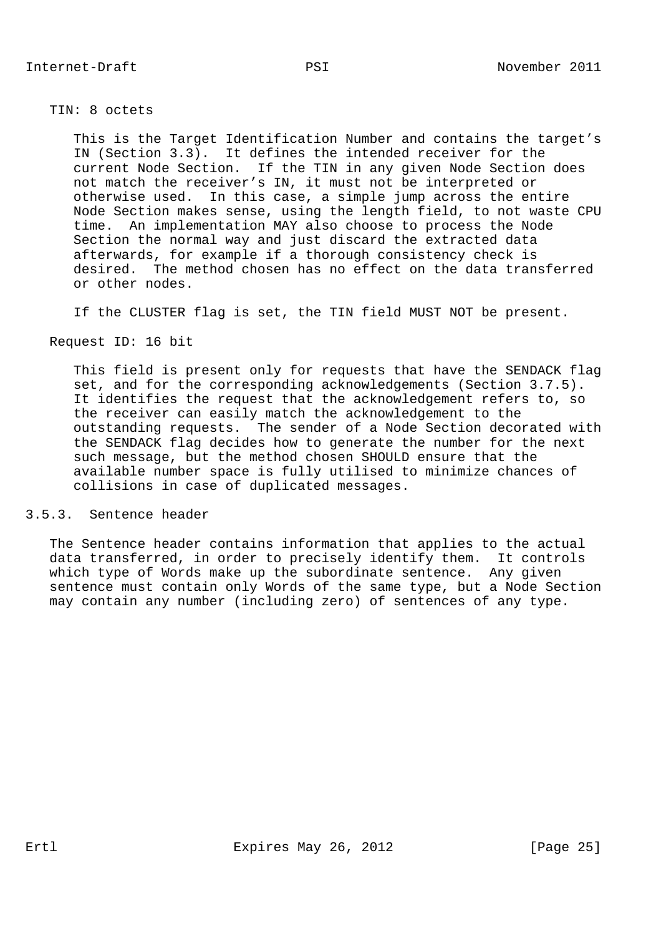TIN: 8 octets

 This is the Target Identification Number and contains the target's IN (Section 3.3). It defines the intended receiver for the current Node Section. If the TIN in any given Node Section does not match the receiver's IN, it must not be interpreted or otherwise used. In this case, a simple jump across the entire Node Section makes sense, using the length field, to not waste CPU time. An implementation MAY also choose to process the Node Section the normal way and just discard the extracted data afterwards, for example if a thorough consistency check is desired. The method chosen has no effect on the data transferred or other nodes.

If the CLUSTER flag is set, the TIN field MUST NOT be present.

Request ID: 16 bit

 This field is present only for requests that have the SENDACK flag set, and for the corresponding acknowledgements (Section 3.7.5). It identifies the request that the acknowledgement refers to, so the receiver can easily match the acknowledgement to the outstanding requests. The sender of a Node Section decorated with the SENDACK flag decides how to generate the number for the next such message, but the method chosen SHOULD ensure that the available number space is fully utilised to minimize chances of collisions in case of duplicated messages.

# 3.5.3. Sentence header

 The Sentence header contains information that applies to the actual data transferred, in order to precisely identify them. It controls which type of Words make up the subordinate sentence. Any given sentence must contain only Words of the same type, but a Node Section may contain any number (including zero) of sentences of any type.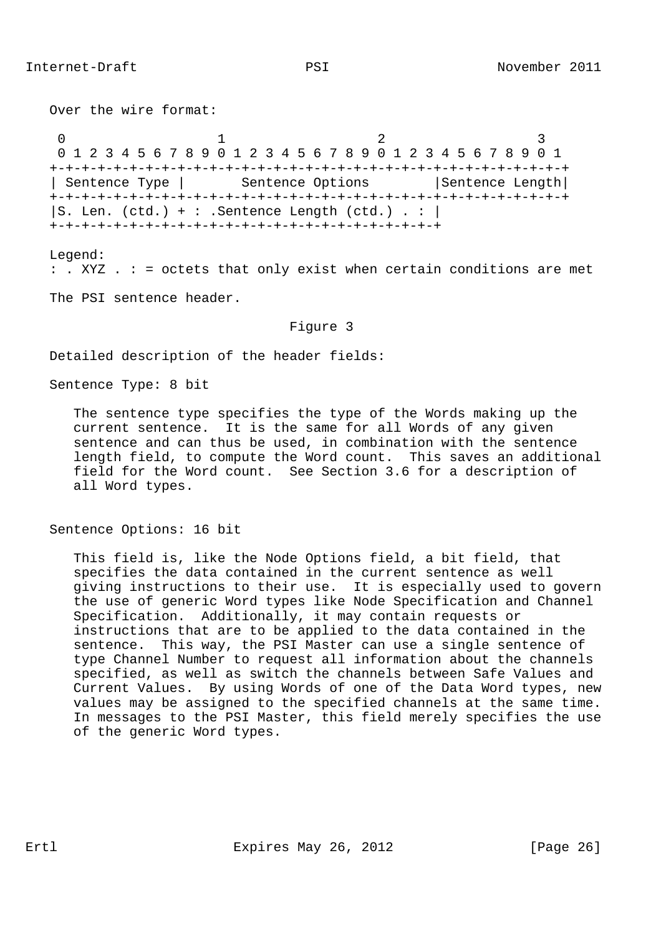Over the wire format: 0  $1$  2 3 0 1 2 3 4 5 6 7 8 9 0 1 2 3 4 5 6 7 8 9 0 1 2 3 4 5 6 7 8 9 0 1 +-+-+-+-+-+-+-+-+-+-+-+-+-+-+-+-+-+-+-+-+-+-+-+-+-+-+-+-+-+-+-+-+ | Sentence Type | Sentence Options | Sentence Length| +-+-+-+-+-+-+-+-+-+-+-+-+-+-+-+-+-+-+-+-+-+-+-+-+-+-+-+-+-+-+-+-+  $|S.$  Len. (ctd.) + : . Sentence Length (ctd.) . :  $|$ +-+-+-+-+-+-+-+-+-+-+-+-+-+-+-+-+-+-+-+-+-+-+-+-+

 Legend: : . XYZ . : = octets that only exist when certain conditions are met

The PSI sentence header.

Figure 3

Detailed description of the header fields:

Sentence Type: 8 bit

 The sentence type specifies the type of the Words making up the current sentence. It is the same for all Words of any given sentence and can thus be used, in combination with the sentence length field, to compute the Word count. This saves an additional field for the Word count. See Section 3.6 for a description of all Word types.

Sentence Options: 16 bit

 This field is, like the Node Options field, a bit field, that specifies the data contained in the current sentence as well giving instructions to their use. It is especially used to govern the use of generic Word types like Node Specification and Channel Specification. Additionally, it may contain requests or instructions that are to be applied to the data contained in the sentence. This way, the PSI Master can use a single sentence of type Channel Number to request all information about the channels specified, as well as switch the channels between Safe Values and Current Values. By using Words of one of the Data Word types, new values may be assigned to the specified channels at the same time. In messages to the PSI Master, this field merely specifies the use of the generic Word types.

Ertl **Expires May 26, 2012** [Page 26]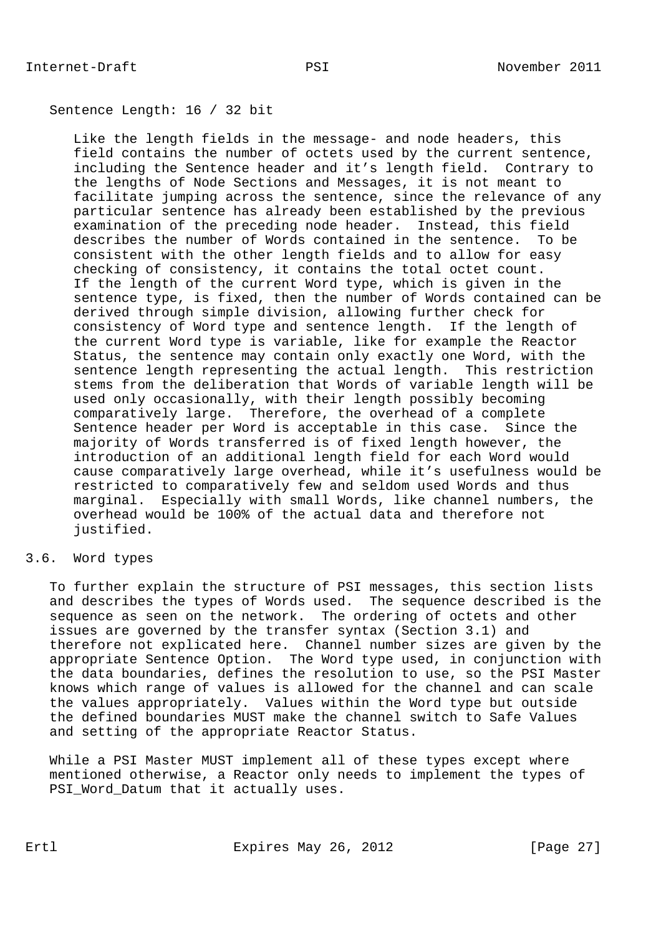## Sentence Length: 16 / 32 bit

 Like the length fields in the message- and node headers, this field contains the number of octets used by the current sentence, including the Sentence header and it's length field. Contrary to the lengths of Node Sections and Messages, it is not meant to facilitate jumping across the sentence, since the relevance of any particular sentence has already been established by the previous examination of the preceding node header. Instead, this field describes the number of Words contained in the sentence. To be consistent with the other length fields and to allow for easy checking of consistency, it contains the total octet count. If the length of the current Word type, which is given in the sentence type, is fixed, then the number of Words contained can be derived through simple division, allowing further check for consistency of Word type and sentence length. If the length of the current Word type is variable, like for example the Reactor Status, the sentence may contain only exactly one Word, with the sentence length representing the actual length. This restriction stems from the deliberation that Words of variable length will be used only occasionally, with their length possibly becoming comparatively large. Therefore, the overhead of a complete Sentence header per Word is acceptable in this case. Since the majority of Words transferred is of fixed length however, the introduction of an additional length field for each Word would cause comparatively large overhead, while it's usefulness would be restricted to comparatively few and seldom used Words and thus marginal. Especially with small Words, like channel numbers, the overhead would be 100% of the actual data and therefore not justified.

# 3.6. Word types

 To further explain the structure of PSI messages, this section lists and describes the types of Words used. The sequence described is the sequence as seen on the network. The ordering of octets and other issues are governed by the transfer syntax (Section 3.1) and therefore not explicated here. Channel number sizes are given by the appropriate Sentence Option. The Word type used, in conjunction with the data boundaries, defines the resolution to use, so the PSI Master knows which range of values is allowed for the channel and can scale the values appropriately. Values within the Word type but outside the defined boundaries MUST make the channel switch to Safe Values and setting of the appropriate Reactor Status.

 While a PSI Master MUST implement all of these types except where mentioned otherwise, a Reactor only needs to implement the types of PSI Word Datum that it actually uses.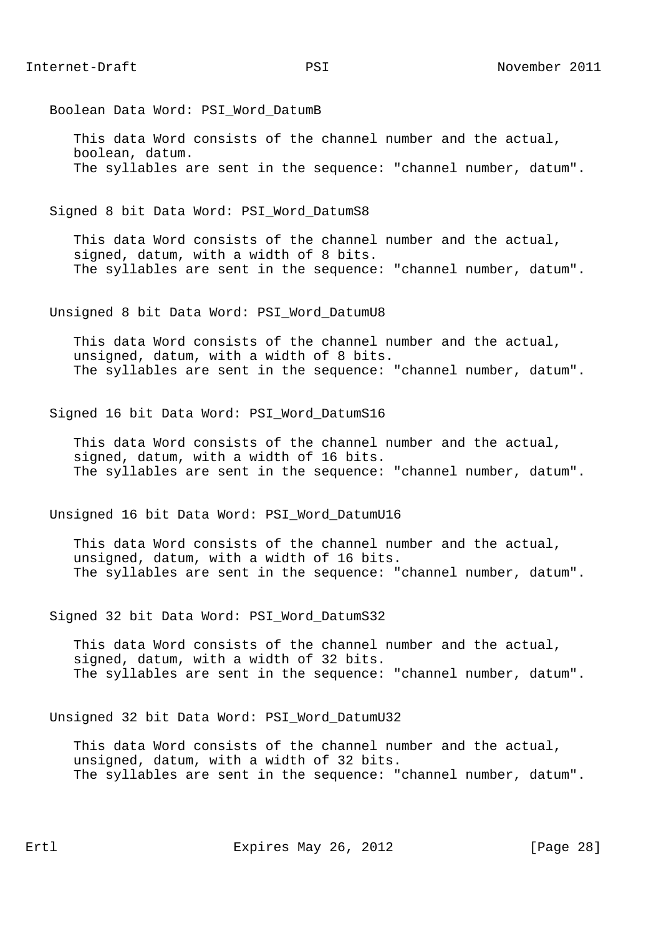Boolean Data Word: PSI\_Word\_DatumB

 This data Word consists of the channel number and the actual, boolean, datum. The syllables are sent in the sequence: "channel number, datum".

Signed 8 bit Data Word: PSI\_Word\_DatumS8

 This data Word consists of the channel number and the actual, signed, datum, with a width of 8 bits. The syllables are sent in the sequence: "channel number, datum".

Unsigned 8 bit Data Word: PSI\_Word\_DatumU8

 This data Word consists of the channel number and the actual, unsigned, datum, with a width of 8 bits. The syllables are sent in the sequence: "channel number, datum".

Signed 16 bit Data Word: PSI\_Word\_DatumS16

 This data Word consists of the channel number and the actual, signed, datum, with a width of 16 bits. The syllables are sent in the sequence: "channel number, datum".

Unsigned 16 bit Data Word: PSI\_Word\_DatumU16

 This data Word consists of the channel number and the actual, unsigned, datum, with a width of 16 bits. The syllables are sent in the sequence: "channel number, datum".

Signed 32 bit Data Word: PSI\_Word\_DatumS32

 This data Word consists of the channel number and the actual, signed, datum, with a width of 32 bits. The syllables are sent in the sequence: "channel number, datum".

Unsigned 32 bit Data Word: PSI\_Word\_DatumU32

 This data Word consists of the channel number and the actual, unsigned, datum, with a width of 32 bits. The syllables are sent in the sequence: "channel number, datum".

Ertl Expires May 26, 2012 [Page 28]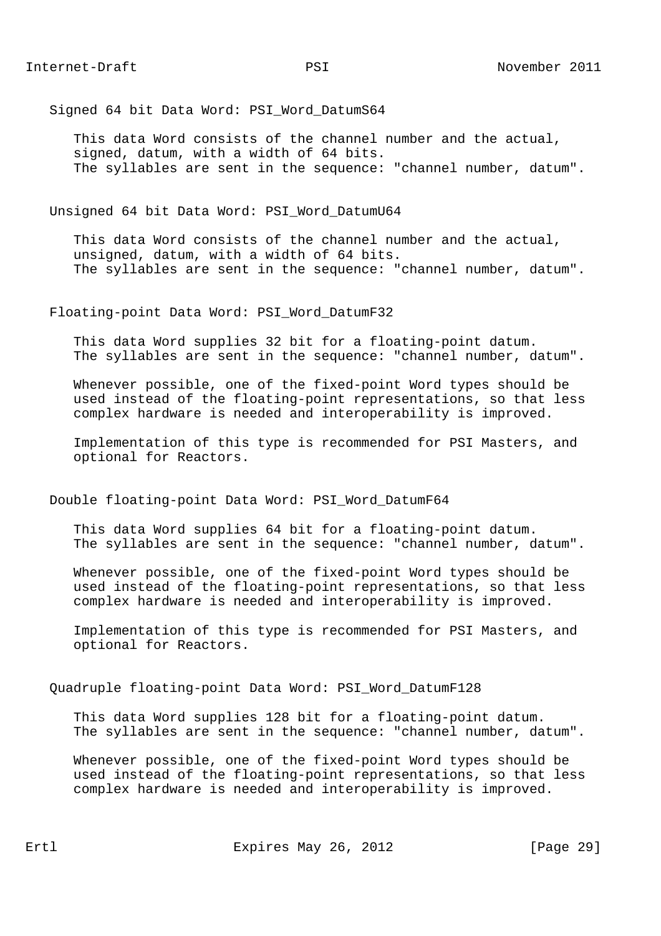Signed 64 bit Data Word: PSI\_Word\_DatumS64

 This data Word consists of the channel number and the actual, signed, datum, with a width of 64 bits. The syllables are sent in the sequence: "channel number, datum".

Unsigned 64 bit Data Word: PSI\_Word\_DatumU64

 This data Word consists of the channel number and the actual, unsigned, datum, with a width of 64 bits. The syllables are sent in the sequence: "channel number, datum".

Floating-point Data Word: PSI\_Word\_DatumF32

 This data Word supplies 32 bit for a floating-point datum. The syllables are sent in the sequence: "channel number, datum".

 Whenever possible, one of the fixed-point Word types should be used instead of the floating-point representations, so that less complex hardware is needed and interoperability is improved.

 Implementation of this type is recommended for PSI Masters, and optional for Reactors.

Double floating-point Data Word: PSI\_Word\_DatumF64

 This data Word supplies 64 bit for a floating-point datum. The syllables are sent in the sequence: "channel number, datum".

 Whenever possible, one of the fixed-point Word types should be used instead of the floating-point representations, so that less complex hardware is needed and interoperability is improved.

 Implementation of this type is recommended for PSI Masters, and optional for Reactors.

Quadruple floating-point Data Word: PSI\_Word\_DatumF128

 This data Word supplies 128 bit for a floating-point datum. The syllables are sent in the sequence: "channel number, datum".

 Whenever possible, one of the fixed-point Word types should be used instead of the floating-point representations, so that less complex hardware is needed and interoperability is improved.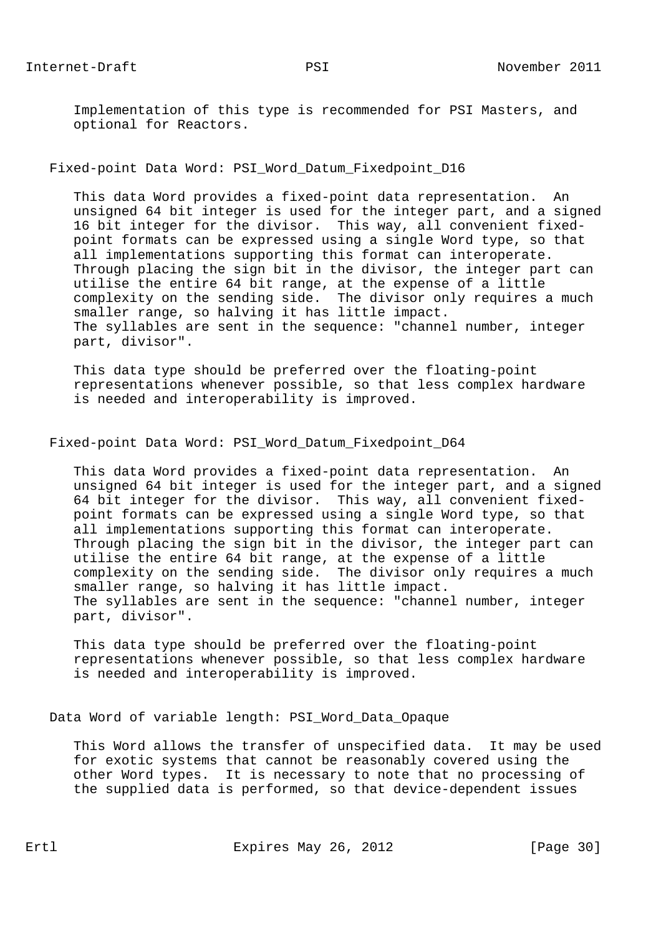Implementation of this type is recommended for PSI Masters, and optional for Reactors.

Fixed-point Data Word: PSI\_Word\_Datum\_Fixedpoint\_D16

 This data Word provides a fixed-point data representation. An unsigned 64 bit integer is used for the integer part, and a signed 16 bit integer for the divisor. This way, all convenient fixed point formats can be expressed using a single Word type, so that all implementations supporting this format can interoperate. Through placing the sign bit in the divisor, the integer part can utilise the entire 64 bit range, at the expense of a little complexity on the sending side. The divisor only requires a much smaller range, so halving it has little impact. The syllables are sent in the sequence: "channel number, integer part, divisor".

 This data type should be preferred over the floating-point representations whenever possible, so that less complex hardware is needed and interoperability is improved.

Fixed-point Data Word: PSI\_Word\_Datum\_Fixedpoint\_D64

 This data Word provides a fixed-point data representation. An unsigned 64 bit integer is used for the integer part, and a signed 64 bit integer for the divisor. This way, all convenient fixed point formats can be expressed using a single Word type, so that all implementations supporting this format can interoperate. Through placing the sign bit in the divisor, the integer part can utilise the entire 64 bit range, at the expense of a little complexity on the sending side. The divisor only requires a much smaller range, so halving it has little impact. The syllables are sent in the sequence: "channel number, integer part, divisor".

 This data type should be preferred over the floating-point representations whenever possible, so that less complex hardware is needed and interoperability is improved.

Data Word of variable length: PSI\_Word\_Data\_Opaque

 This Word allows the transfer of unspecified data. It may be used for exotic systems that cannot be reasonably covered using the other Word types. It is necessary to note that no processing of the supplied data is performed, so that device-dependent issues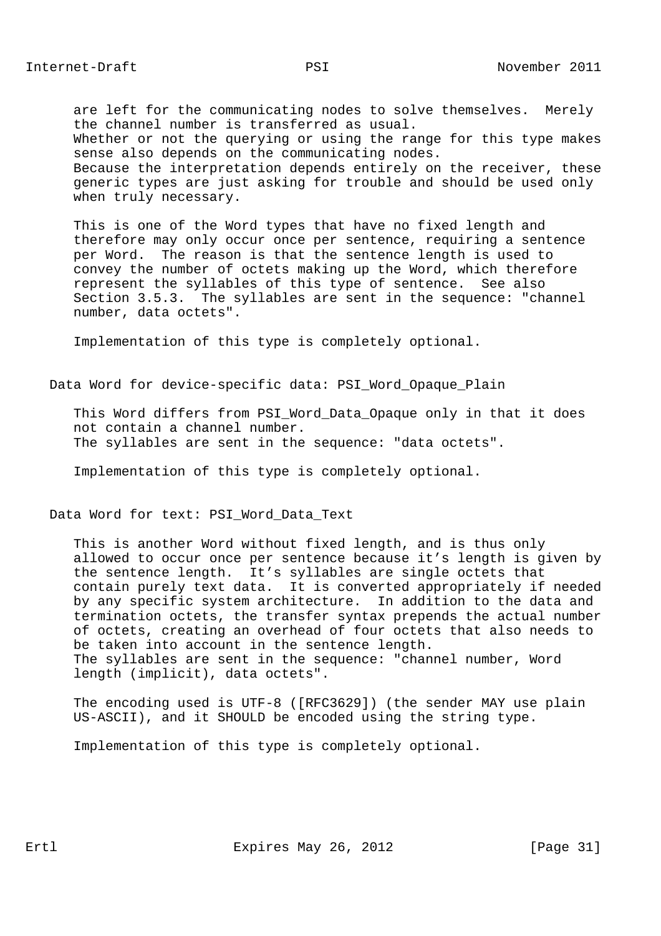are left for the communicating nodes to solve themselves. Merely the channel number is transferred as usual. Whether or not the querying or using the range for this type makes sense also depends on the communicating nodes. Because the interpretation depends entirely on the receiver, these generic types are just asking for trouble and should be used only when truly necessary.

 This is one of the Word types that have no fixed length and therefore may only occur once per sentence, requiring a sentence per Word. The reason is that the sentence length is used to convey the number of octets making up the Word, which therefore represent the syllables of this type of sentence. See also Section 3.5.3. The syllables are sent in the sequence: "channel number, data octets".

Implementation of this type is completely optional.

Data Word for device-specific data: PSI\_Word\_Opaque\_Plain

This Word differs from PSI Word Data Opaque only in that it does not contain a channel number. The syllables are sent in the sequence: "data octets".

Implementation of this type is completely optional.

Data Word for text: PSI\_Word\_Data\_Text

 This is another Word without fixed length, and is thus only allowed to occur once per sentence because it's length is given by the sentence length. It's syllables are single octets that contain purely text data. It is converted appropriately if needed by any specific system architecture. In addition to the data and termination octets, the transfer syntax prepends the actual number of octets, creating an overhead of four octets that also needs to be taken into account in the sentence length. The syllables are sent in the sequence: "channel number, Word length (implicit), data octets".

 The encoding used is UTF-8 ([RFC3629]) (the sender MAY use plain US-ASCII), and it SHOULD be encoded using the string type.

Implementation of this type is completely optional.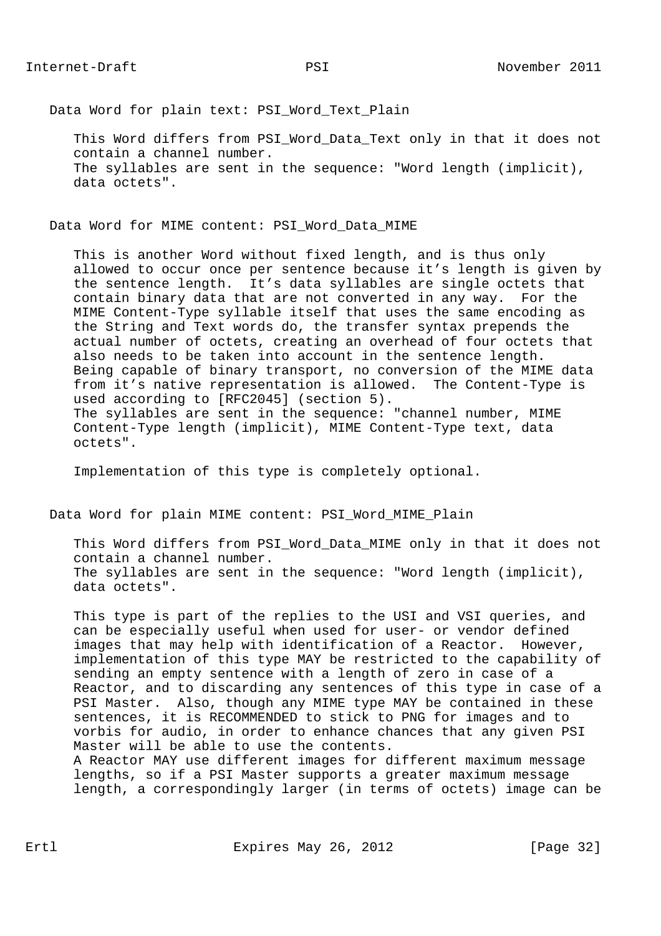Data Word for plain text: PSI Word Text Plain

 This Word differs from PSI\_Word\_Data\_Text only in that it does not contain a channel number. The syllables are sent in the sequence: "Word length (implicit), data octets".

Data Word for MIME content: PSI\_Word\_Data\_MIME

 This is another Word without fixed length, and is thus only allowed to occur once per sentence because it's length is given by the sentence length. It's data syllables are single octets that contain binary data that are not converted in any way. For the MIME Content-Type syllable itself that uses the same encoding as the String and Text words do, the transfer syntax prepends the actual number of octets, creating an overhead of four octets that also needs to be taken into account in the sentence length. Being capable of binary transport, no conversion of the MIME data from it's native representation is allowed. The Content-Type is used according to [RFC2045] (section 5). The syllables are sent in the sequence: "channel number, MIME Content-Type length (implicit), MIME Content-Type text, data octets".

Implementation of this type is completely optional.

Data Word for plain MIME content: PSI\_Word\_MIME\_Plain

 This Word differs from PSI\_Word\_Data\_MIME only in that it does not contain a channel number. The syllables are sent in the sequence: "Word length (implicit), data octets".

 This type is part of the replies to the USI and VSI queries, and can be especially useful when used for user- or vendor defined images that may help with identification of a Reactor. However, implementation of this type MAY be restricted to the capability of sending an empty sentence with a length of zero in case of a Reactor, and to discarding any sentences of this type in case of a PSI Master. Also, though any MIME type MAY be contained in these sentences, it is RECOMMENDED to stick to PNG for images and to vorbis for audio, in order to enhance chances that any given PSI Master will be able to use the contents.

 A Reactor MAY use different images for different maximum message lengths, so if a PSI Master supports a greater maximum message length, a correspondingly larger (in terms of octets) image can be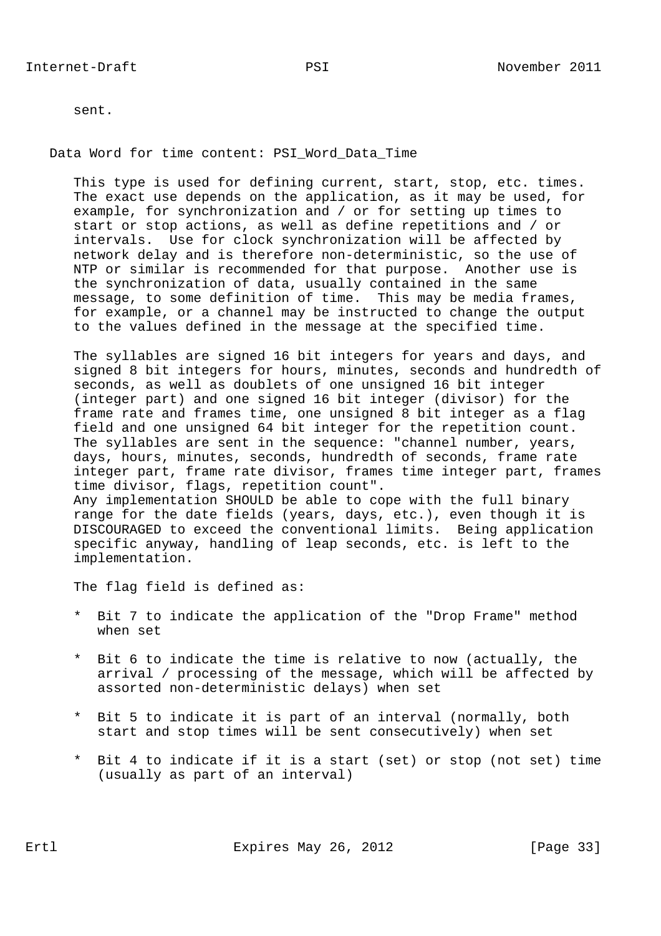sent.

Data Word for time content: PSI\_Word\_Data\_Time

 This type is used for defining current, start, stop, etc. times. The exact use depends on the application, as it may be used, for example, for synchronization and / or for setting up times to start or stop actions, as well as define repetitions and / or intervals. Use for clock synchronization will be affected by network delay and is therefore non-deterministic, so the use of NTP or similar is recommended for that purpose. Another use is the synchronization of data, usually contained in the same message, to some definition of time. This may be media frames, for example, or a channel may be instructed to change the output to the values defined in the message at the specified time.

 The syllables are signed 16 bit integers for years and days, and signed 8 bit integers for hours, minutes, seconds and hundredth of seconds, as well as doublets of one unsigned 16 bit integer (integer part) and one signed 16 bit integer (divisor) for the frame rate and frames time, one unsigned 8 bit integer as a flag field and one unsigned 64 bit integer for the repetition count. The syllables are sent in the sequence: "channel number, years, days, hours, minutes, seconds, hundredth of seconds, frame rate integer part, frame rate divisor, frames time integer part, frames time divisor, flags, repetition count". Any implementation SHOULD be able to cope with the full binary range for the date fields (years, days, etc.), even though it is DISCOURAGED to exceed the conventional limits. Being application specific anyway, handling of leap seconds, etc. is left to the implementation.

The flag field is defined as:

- \* Bit 7 to indicate the application of the "Drop Frame" method when set
- \* Bit 6 to indicate the time is relative to now (actually, the arrival / processing of the message, which will be affected by assorted non-deterministic delays) when set
- \* Bit 5 to indicate it is part of an interval (normally, both start and stop times will be sent consecutively) when set
- \* Bit 4 to indicate if it is a start (set) or stop (not set) time (usually as part of an interval)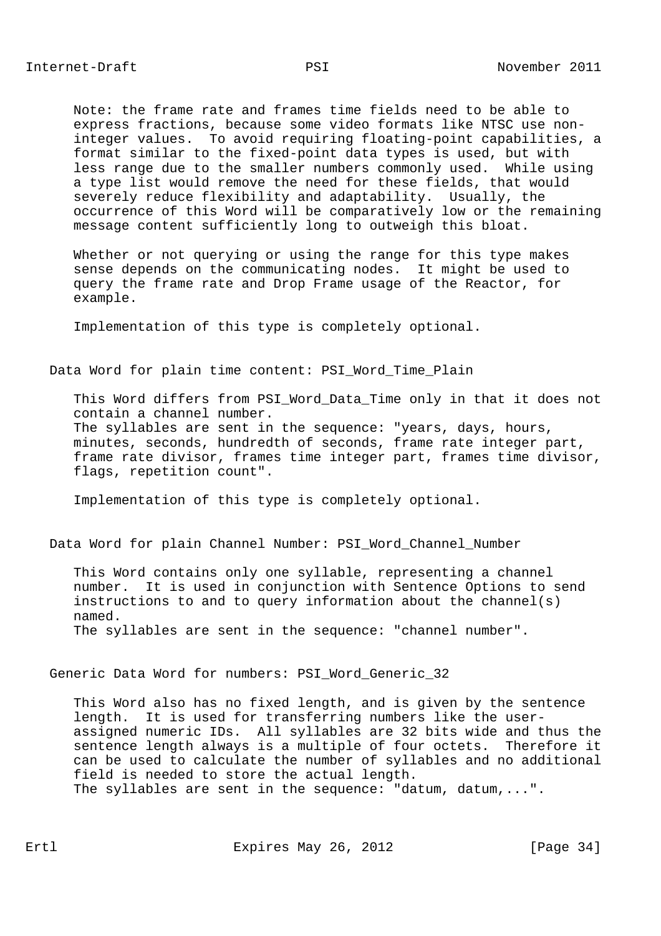Note: the frame rate and frames time fields need to be able to express fractions, because some video formats like NTSC use non integer values. To avoid requiring floating-point capabilities, a format similar to the fixed-point data types is used, but with less range due to the smaller numbers commonly used. While using a type list would remove the need for these fields, that would severely reduce flexibility and adaptability. Usually, the occurrence of this Word will be comparatively low or the remaining message content sufficiently long to outweigh this bloat.

Whether or not querying or using the range for this type makes sense depends on the communicating nodes. It might be used to query the frame rate and Drop Frame usage of the Reactor, for example.

Implementation of this type is completely optional.

## Data Word for plain time content: PSI Word Time Plain

 This Word differs from PSI\_Word\_Data\_Time only in that it does not contain a channel number. The syllables are sent in the sequence: "years, days, hours, minutes, seconds, hundredth of seconds, frame rate integer part, frame rate divisor, frames time integer part, frames time divisor, flags, repetition count".

Implementation of this type is completely optional.

# Data Word for plain Channel Number: PSI\_Word\_Channel\_Number

 This Word contains only one syllable, representing a channel number. It is used in conjunction with Sentence Options to send instructions to and to query information about the channel(s) named. The syllables are sent in the sequence: "channel number".

Generic Data Word for numbers: PSI\_Word\_Generic\_32

 This Word also has no fixed length, and is given by the sentence length. It is used for transferring numbers like the user assigned numeric IDs. All syllables are 32 bits wide and thus the sentence length always is a multiple of four octets. Therefore it can be used to calculate the number of syllables and no additional field is needed to store the actual length. The syllables are sent in the sequence: "datum, datum,...".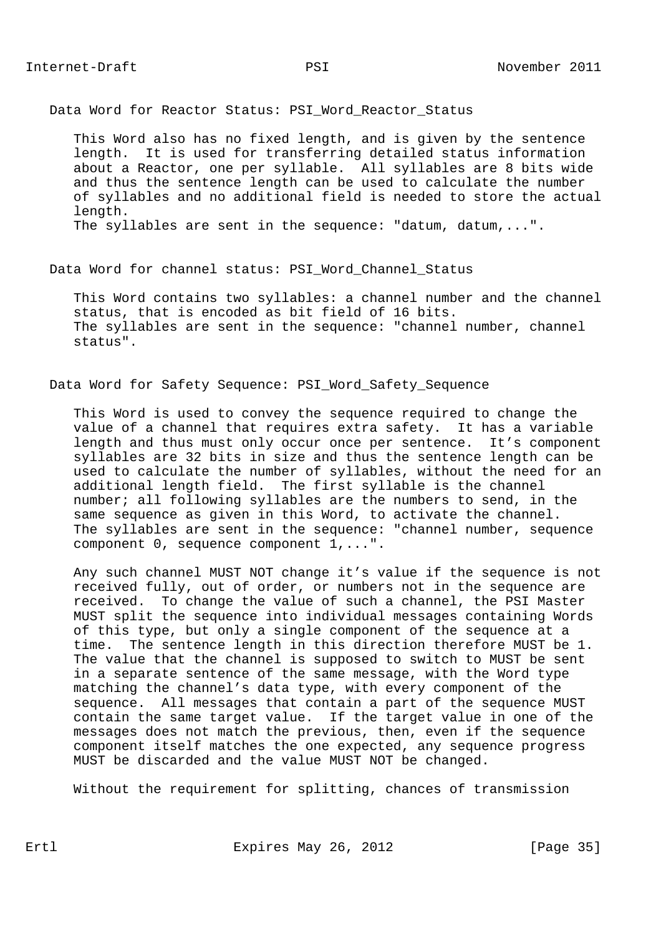Data Word for Reactor Status: PSI Word Reactor Status

 This Word also has no fixed length, and is given by the sentence length. It is used for transferring detailed status information about a Reactor, one per syllable. All syllables are 8 bits wide and thus the sentence length can be used to calculate the number of syllables and no additional field is needed to store the actual length. The syllables are sent in the sequence: "datum, datum,...".

Data Word for channel status: PSI\_Word\_Channel\_Status

 This Word contains two syllables: a channel number and the channel status, that is encoded as bit field of 16 bits. The syllables are sent in the sequence: "channel number, channel status".

Data Word for Safety Sequence: PSI\_Word\_Safety\_Sequence

 This Word is used to convey the sequence required to change the value of a channel that requires extra safety. It has a variable length and thus must only occur once per sentence. It's component syllables are 32 bits in size and thus the sentence length can be used to calculate the number of syllables, without the need for an additional length field. The first syllable is the channel number; all following syllables are the numbers to send, in the same sequence as given in this Word, to activate the channel. The syllables are sent in the sequence: "channel number, sequence component 0, sequence component 1,...".

 Any such channel MUST NOT change it's value if the sequence is not received fully, out of order, or numbers not in the sequence are received. To change the value of such a channel, the PSI Master MUST split the sequence into individual messages containing Words of this type, but only a single component of the sequence at a time. The sentence length in this direction therefore MUST be 1. The value that the channel is supposed to switch to MUST be sent in a separate sentence of the same message, with the Word type matching the channel's data type, with every component of the sequence. All messages that contain a part of the sequence MUST contain the same target value. If the target value in one of the messages does not match the previous, then, even if the sequence component itself matches the one expected, any sequence progress MUST be discarded and the value MUST NOT be changed.

Without the requirement for splitting, chances of transmission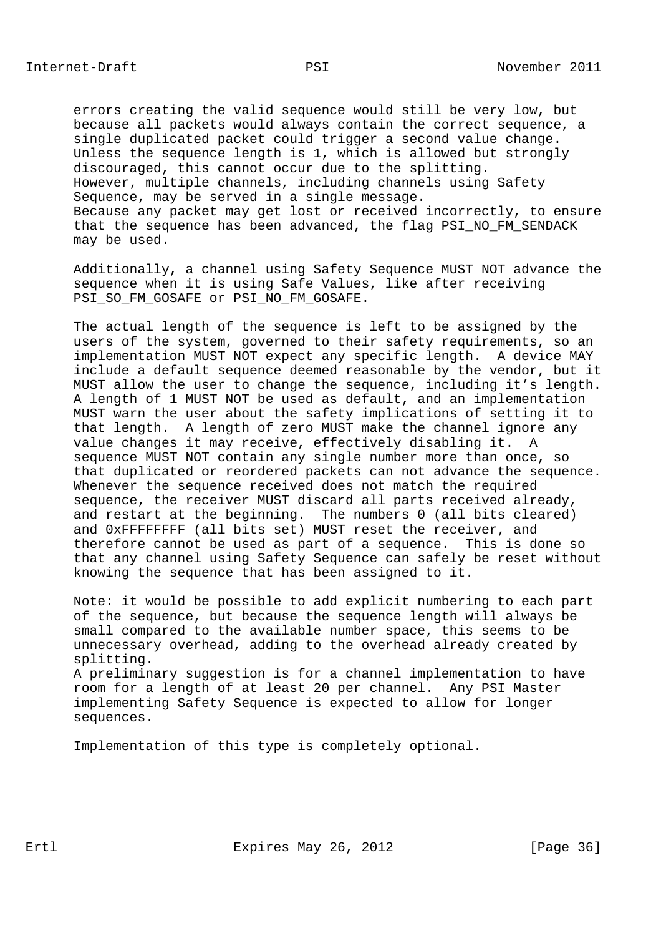errors creating the valid sequence would still be very low, but because all packets would always contain the correct sequence, a single duplicated packet could trigger a second value change. Unless the sequence length is 1, which is allowed but strongly discouraged, this cannot occur due to the splitting. However, multiple channels, including channels using Safety Sequence, may be served in a single message. Because any packet may get lost or received incorrectly, to ensure that the sequence has been advanced, the flag PSI\_NO\_FM\_SENDACK may be used.

 Additionally, a channel using Safety Sequence MUST NOT advance the sequence when it is using Safe Values, like after receiving PSI\_SO\_FM\_GOSAFE or PSI\_NO\_FM\_GOSAFE.

 The actual length of the sequence is left to be assigned by the users of the system, governed to their safety requirements, so an implementation MUST NOT expect any specific length. A device MAY include a default sequence deemed reasonable by the vendor, but it MUST allow the user to change the sequence, including it's length. A length of 1 MUST NOT be used as default, and an implementation MUST warn the user about the safety implications of setting it to that length. A length of zero MUST make the channel ignore any value changes it may receive, effectively disabling it. A sequence MUST NOT contain any single number more than once, so that duplicated or reordered packets can not advance the sequence. Whenever the sequence received does not match the required sequence, the receiver MUST discard all parts received already, and restart at the beginning. The numbers 0 (all bits cleared) and 0xFFFFFFFF (all bits set) MUST reset the receiver, and therefore cannot be used as part of a sequence. This is done so that any channel using Safety Sequence can safely be reset without knowing the sequence that has been assigned to it.

 Note: it would be possible to add explicit numbering to each part of the sequence, but because the sequence length will always be small compared to the available number space, this seems to be unnecessary overhead, adding to the overhead already created by splitting. A preliminary suggestion is for a channel implementation to have room for a length of at least 20 per channel. Any PSI Master implementing Safety Sequence is expected to allow for longer sequences.

Implementation of this type is completely optional.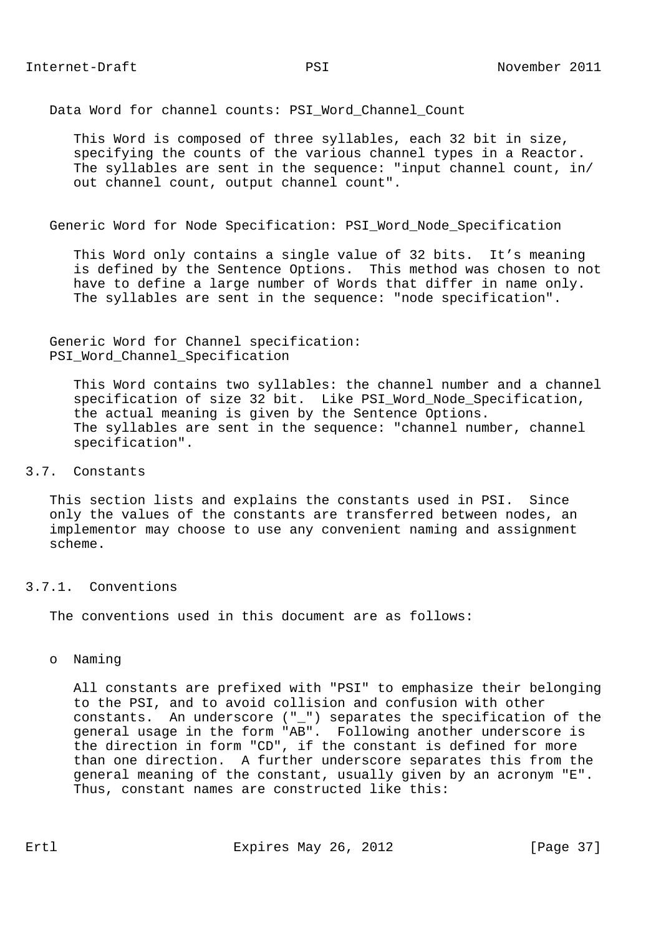Data Word for channel counts: PSI Word Channel Count

 This Word is composed of three syllables, each 32 bit in size, specifying the counts of the various channel types in a Reactor. The syllables are sent in the sequence: "input channel count, in/ out channel count, output channel count".

Generic Word for Node Specification: PSI\_Word\_Node\_Specification

 This Word only contains a single value of 32 bits. It's meaning is defined by the Sentence Options. This method was chosen to not have to define a large number of Words that differ in name only. The syllables are sent in the sequence: "node specification".

 Generic Word for Channel specification: PSI\_Word\_Channel\_Specification

 This Word contains two syllables: the channel number and a channel specification of size 32 bit. Like PSI\_Word\_Node\_Specification, the actual meaning is given by the Sentence Options. The syllables are sent in the sequence: "channel number, channel specification".

3.7. Constants

 This section lists and explains the constants used in PSI. Since only the values of the constants are transferred between nodes, an implementor may choose to use any convenient naming and assignment scheme.

3.7.1. Conventions

The conventions used in this document are as follows:

o Naming

 All constants are prefixed with "PSI" to emphasize their belonging to the PSI, and to avoid collision and confusion with other constants. An underscore ("\_") separates the specification of the general usage in the form "AB". Following another underscore is the direction in form "CD", if the constant is defined for more than one direction. A further underscore separates this from the general meaning of the constant, usually given by an acronym "E". Thus, constant names are constructed like this: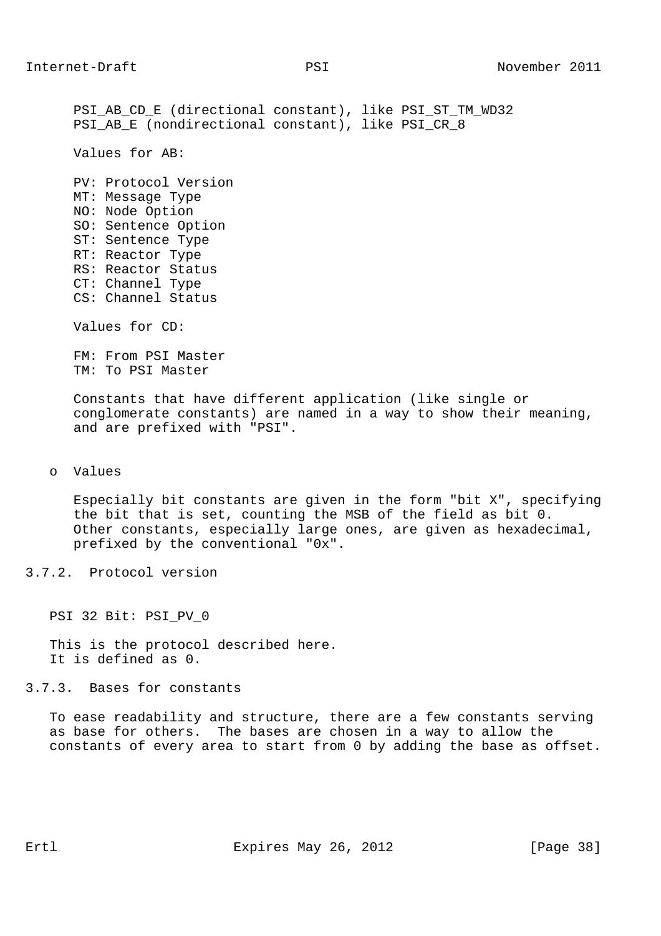PSI\_AB\_CD\_E (directional constant), like PSI\_ST\_TM\_WD32 PSI\_AB\_E (nondirectional constant), like PSI\_CR\_8 Values for AB: PV: Protocol Version MT: Message Type NO: Node Option SO: Sentence Option ST: Sentence Type RT: Reactor Type RS: Reactor Status CT: Channel Type CS: Channel Status Values for CD: FM: From PSI Master TM: To PSI Master Constants that have different application (like single or conglomerate constants) are named in a way to show their meaning, and are prefixed with "PSI".

o Values

 Especially bit constants are given in the form "bit X", specifying the bit that is set, counting the MSB of the field as bit 0. Other constants, especially large ones, are given as hexadecimal, prefixed by the conventional "0x".

3.7.2. Protocol version

PSI 32 Bit: PSI\_PV\_0

 This is the protocol described here. It is defined as 0.

3.7.3. Bases for constants

 To ease readability and structure, there are a few constants serving as base for others. The bases are chosen in a way to allow the constants of every area to start from 0 by adding the base as offset.

Ertl Expires May 26, 2012 [Page 38]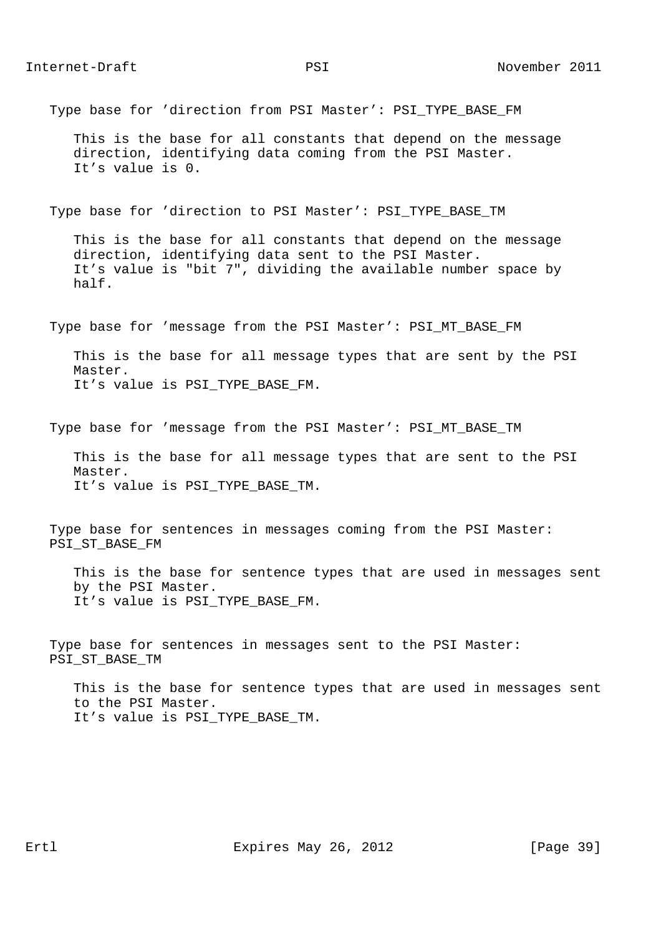Type base for 'direction from PSI Master': PSI\_TYPE\_BASE\_FM

 This is the base for all constants that depend on the message direction, identifying data coming from the PSI Master. It's value is 0.

Type base for 'direction to PSI Master': PSI\_TYPE\_BASE\_TM

 This is the base for all constants that depend on the message direction, identifying data sent to the PSI Master. It's value is "bit 7", dividing the available number space by half.

Type base for 'message from the PSI Master': PSI\_MT\_BASE\_FM

 This is the base for all message types that are sent by the PSI Master. It's value is PSI\_TYPE\_BASE\_FM.

Type base for 'message from the PSI Master': PSI\_MT\_BASE\_TM

 This is the base for all message types that are sent to the PSI Master. It's value is PSI\_TYPE\_BASE\_TM.

 Type base for sentences in messages coming from the PSI Master: PSI\_ST\_BASE\_FM

 This is the base for sentence types that are used in messages sent by the PSI Master. It's value is PSI\_TYPE\_BASE\_FM.

 Type base for sentences in messages sent to the PSI Master: PSI\_ST\_BASE\_TM

 This is the base for sentence types that are used in messages sent to the PSI Master. It's value is PSI TYPE BASE TM.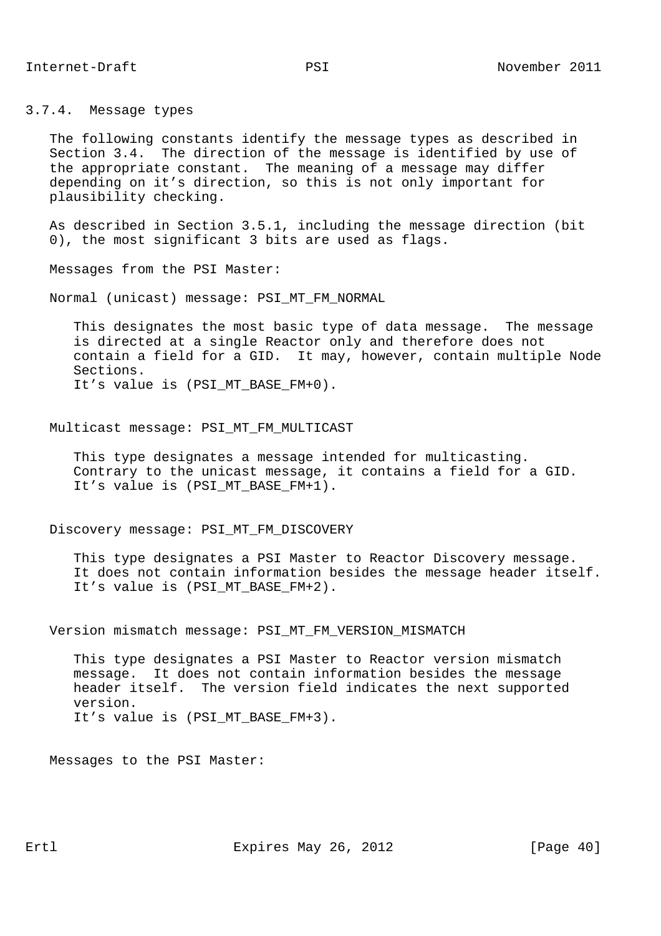3.7.4. Message types

 The following constants identify the message types as described in Section 3.4. The direction of the message is identified by use of the appropriate constant. The meaning of a message may differ depending on it's direction, so this is not only important for plausibility checking.

 As described in Section 3.5.1, including the message direction (bit 0), the most significant 3 bits are used as flags.

Messages from the PSI Master:

Normal (unicast) message: PSI\_MT\_FM\_NORMAL

 This designates the most basic type of data message. The message is directed at a single Reactor only and therefore does not contain a field for a GID. It may, however, contain multiple Node Sections. It's value is (PSI\_MT\_BASE\_FM+0).

Multicast message: PSI\_MT\_FM\_MULTICAST

 This type designates a message intended for multicasting. Contrary to the unicast message, it contains a field for a GID. It's value is (PSI\_MT\_BASE\_FM+1).

Discovery message: PSI\_MT\_FM\_DISCOVERY

 This type designates a PSI Master to Reactor Discovery message. It does not contain information besides the message header itself. It's value is (PSI\_MT\_BASE\_FM+2).

Version mismatch message: PSI\_MT\_FM\_VERSION\_MISMATCH

 This type designates a PSI Master to Reactor version mismatch message. It does not contain information besides the message header itself. The version field indicates the next supported version. It's value is (PSI\_MT\_BASE\_FM+3).

Messages to the PSI Master: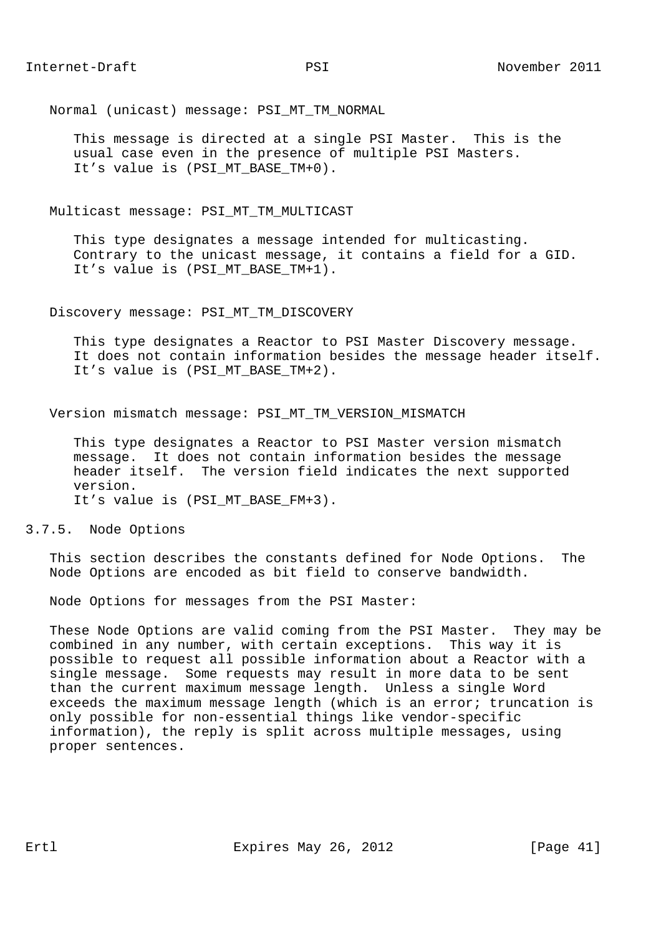Normal (unicast) message: PSI\_MT\_TM\_NORMAL

 This message is directed at a single PSI Master. This is the usual case even in the presence of multiple PSI Masters. It's value is (PSI MT BASE TM+0).

Multicast message: PSI\_MT\_TM\_MULTICAST

 This type designates a message intended for multicasting. Contrary to the unicast message, it contains a field for a GID. It's value is (PSI\_MT\_BASE\_TM+1).

#### Discovery message: PSI\_MT\_TM\_DISCOVERY

 This type designates a Reactor to PSI Master Discovery message. It does not contain information besides the message header itself. It's value is (PSI MT BASE TM+2).

Version mismatch message: PSI\_MT\_TM\_VERSION\_MISMATCH

 This type designates a Reactor to PSI Master version mismatch message. It does not contain information besides the message header itself. The version field indicates the next supported version. It's value is (PSI\_MT\_BASE\_FM+3).

3.7.5. Node Options

 This section describes the constants defined for Node Options. The Node Options are encoded as bit field to conserve bandwidth.

Node Options for messages from the PSI Master:

 These Node Options are valid coming from the PSI Master. They may be combined in any number, with certain exceptions. This way it is possible to request all possible information about a Reactor with a single message. Some requests may result in more data to be sent than the current maximum message length. Unless a single Word exceeds the maximum message length (which is an error; truncation is only possible for non-essential things like vendor-specific information), the reply is split across multiple messages, using proper sentences.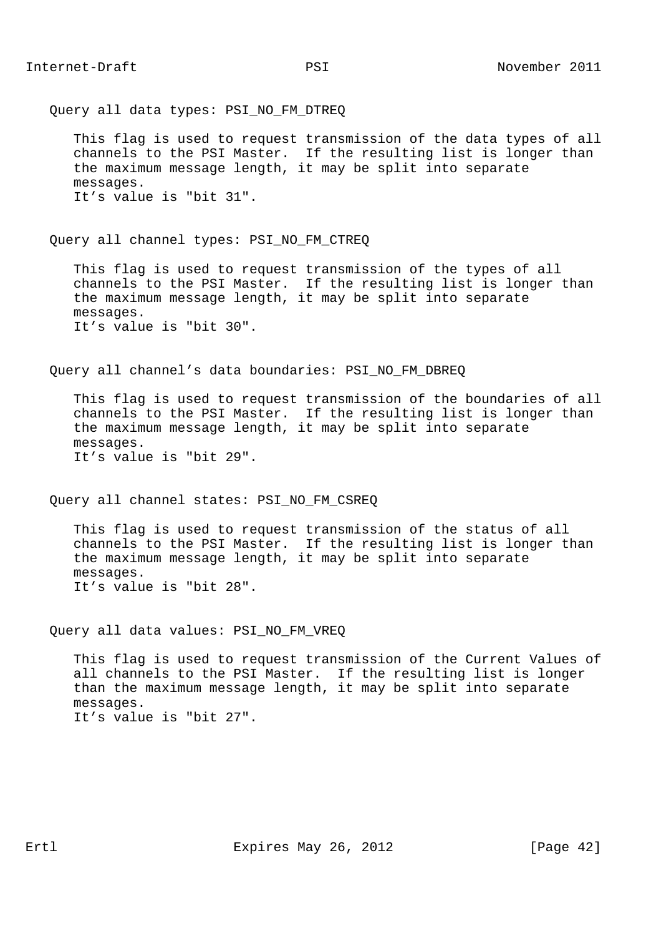Query all data types: PSI NO FM DTREQ

 This flag is used to request transmission of the data types of all channels to the PSI Master. If the resulting list is longer than the maximum message length, it may be split into separate messages. It's value is "bit 31".

Query all channel types: PSI NO FM CTREQ

 This flag is used to request transmission of the types of all channels to the PSI Master. If the resulting list is longer than the maximum message length, it may be split into separate messages. It's value is "bit 30".

Query all channel's data boundaries: PSI NO FM DBREQ

 This flag is used to request transmission of the boundaries of all channels to the PSI Master. If the resulting list is longer than the maximum message length, it may be split into separate messages. It's value is "bit 29".

Query all channel states: PSI\_NO\_FM\_CSREQ

 This flag is used to request transmission of the status of all channels to the PSI Master. If the resulting list is longer than the maximum message length, it may be split into separate messages. It's value is "bit 28".

Query all data values: PSI\_NO\_FM\_VREQ

 This flag is used to request transmission of the Current Values of all channels to the PSI Master. If the resulting list is longer than the maximum message length, it may be split into separate messages. It's value is "bit 27".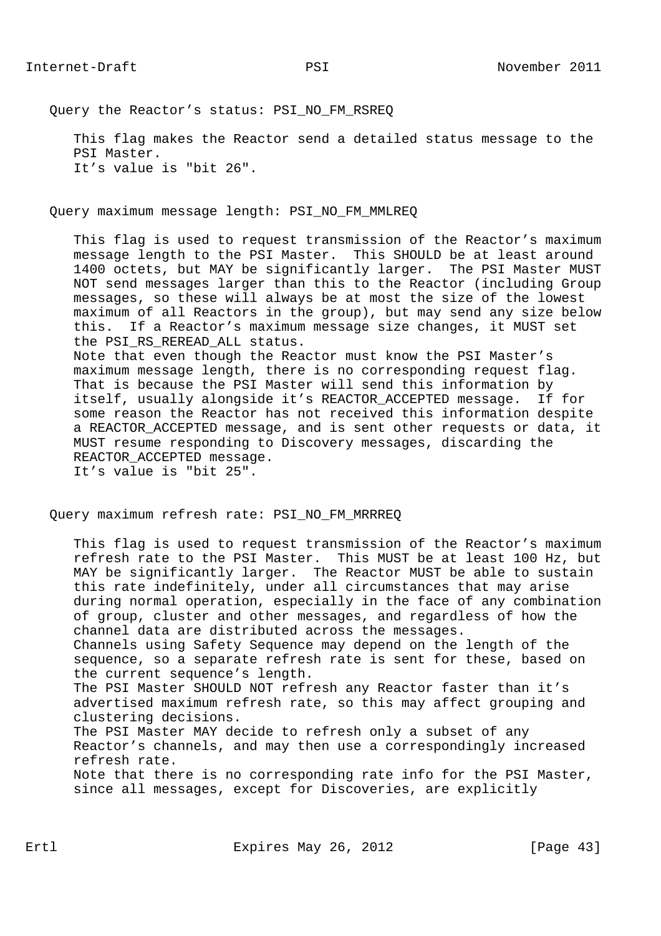Query the Reactor's status: PSI NO FM RSREQ

 This flag makes the Reactor send a detailed status message to the PSI Master. It's value is "bit 26".

Query maximum message length: PSI\_NO\_FM\_MMLREQ

 This flag is used to request transmission of the Reactor's maximum message length to the PSI Master. This SHOULD be at least around 1400 octets, but MAY be significantly larger. The PSI Master MUST NOT send messages larger than this to the Reactor (including Group messages, so these will always be at most the size of the lowest maximum of all Reactors in the group), but may send any size below this. If a Reactor's maximum message size changes, it MUST set the PSI\_RS\_REREAD\_ALL status. Note that even though the Reactor must know the PSI Master's

 maximum message length, there is no corresponding request flag. That is because the PSI Master will send this information by itself, usually alongside it's REACTOR\_ACCEPTED message. If for some reason the Reactor has not received this information despite a REACTOR\_ACCEPTED message, and is sent other requests or data, it MUST resume responding to Discovery messages, discarding the REACTOR\_ACCEPTED message. It's value is "bit 25".

Query maximum refresh rate: PSI\_NO\_FM\_MRRREQ

 This flag is used to request transmission of the Reactor's maximum refresh rate to the PSI Master. This MUST be at least 100 Hz, but MAY be significantly larger. The Reactor MUST be able to sustain this rate indefinitely, under all circumstances that may arise during normal operation, especially in the face of any combination of group, cluster and other messages, and regardless of how the channel data are distributed across the messages.

 Channels using Safety Sequence may depend on the length of the sequence, so a separate refresh rate is sent for these, based on the current sequence's length.

 The PSI Master SHOULD NOT refresh any Reactor faster than it's advertised maximum refresh rate, so this may affect grouping and clustering decisions.

 The PSI Master MAY decide to refresh only a subset of any Reactor's channels, and may then use a correspondingly increased refresh rate.

 Note that there is no corresponding rate info for the PSI Master, since all messages, except for Discoveries, are explicitly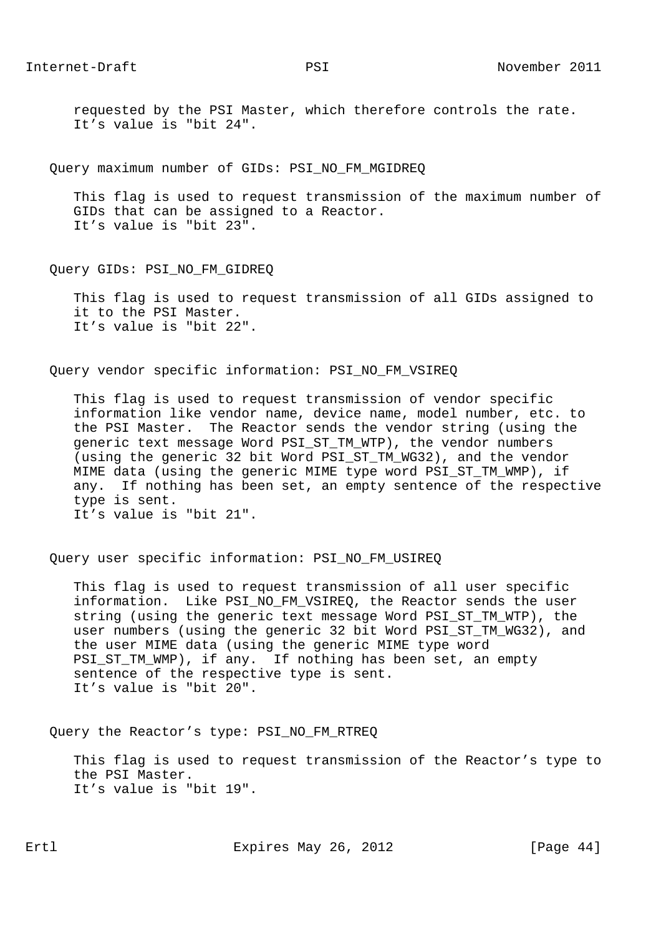requested by the PSI Master, which therefore controls the rate. It's value is "bit 24".

Query maximum number of GIDs: PSI\_NO\_FM\_MGIDREQ

 This flag is used to request transmission of the maximum number of GIDs that can be assigned to a Reactor. It's value is "bit 23".

Query GIDs: PSI\_NO\_FM\_GIDREQ

 This flag is used to request transmission of all GIDs assigned to it to the PSI Master. It's value is "bit 22".

Query vendor specific information: PSI\_NO\_FM\_VSIREQ

 This flag is used to request transmission of vendor specific information like vendor name, device name, model number, etc. to the PSI Master. The Reactor sends the vendor string (using the generic text message Word PSI\_ST\_TM\_WTP), the vendor numbers (using the generic 32 bit Word PSI\_ST\_TM\_WG32), and the vendor MIME data (using the generic MIME type word PSI\_ST\_TM\_WMP), if any. If nothing has been set, an empty sentence of the respective type is sent. It's value is "bit 21".

Query user specific information: PSI\_NO\_FM\_USIREQ

 This flag is used to request transmission of all user specific information. Like PSI\_NO\_FM\_VSIREQ, the Reactor sends the user string (using the generic text message Word PSI\_ST\_TM\_WTP), the user numbers (using the generic 32 bit Word PSI\_ST\_TM\_WG32), and the user MIME data (using the generic MIME type word PSI\_ST\_TM\_WMP), if any. If nothing has been set, an empty sentence of the respective type is sent. It's value is "bit 20".

Query the Reactor's type: PSI\_NO\_FM\_RTREQ

 This flag is used to request transmission of the Reactor's type to the PSI Master. It's value is "bit 19".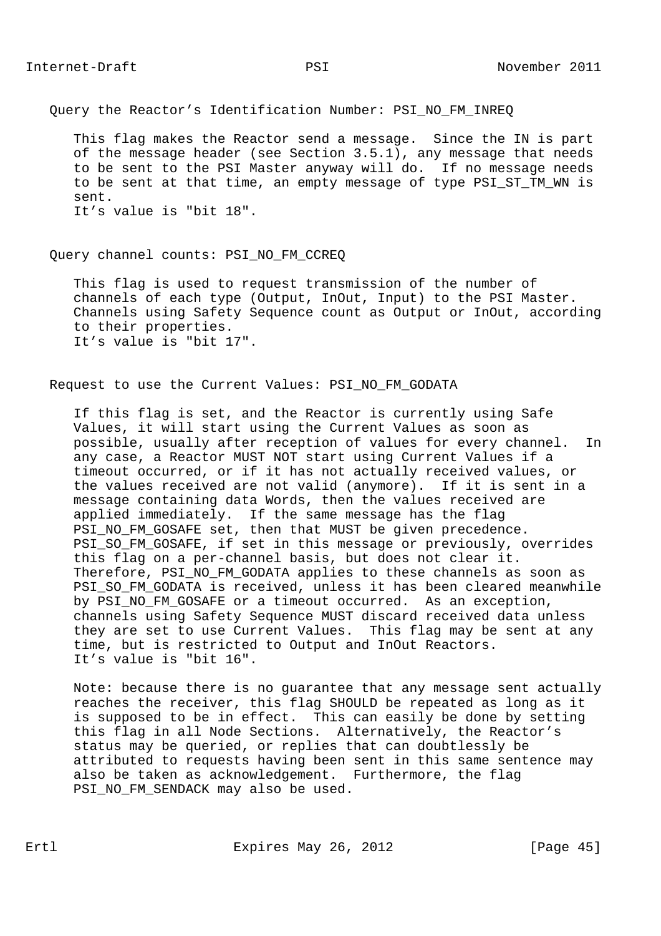Query the Reactor's Identification Number: PSI\_NO\_FM\_INREQ

 This flag makes the Reactor send a message. Since the IN is part of the message header (see Section 3.5.1), any message that needs to be sent to the PSI Master anyway will do. If no message needs to be sent at that time, an empty message of type PSI\_ST\_TM\_WN is sent. It's value is "bit 18".

#### Query channel counts: PSI\_NO\_FM\_CCREQ

 This flag is used to request transmission of the number of channels of each type (Output, InOut, Input) to the PSI Master. Channels using Safety Sequence count as Output or InOut, according to their properties. It's value is "bit 17".

# Request to use the Current Values: PSI\_NO\_FM\_GODATA

 If this flag is set, and the Reactor is currently using Safe Values, it will start using the Current Values as soon as possible, usually after reception of values for every channel. In any case, a Reactor MUST NOT start using Current Values if a timeout occurred, or if it has not actually received values, or the values received are not valid (anymore). If it is sent in a message containing data Words, then the values received are applied immediately. If the same message has the flag PSI\_NO\_FM\_GOSAFE set, then that MUST be given precedence. PSI\_SO\_FM\_GOSAFE, if set in this message or previously, overrides this flag on a per-channel basis, but does not clear it. Therefore, PSI\_NO\_FM\_GODATA applies to these channels as soon as PSI\_SO\_FM\_GODATA is received, unless it has been cleared meanwhile by PSI\_NO\_FM\_GOSAFE or a timeout occurred. As an exception, channels using Safety Sequence MUST discard received data unless they are set to use Current Values. This flag may be sent at any time, but is restricted to Output and InOut Reactors. It's value is "bit 16".

 Note: because there is no guarantee that any message sent actually reaches the receiver, this flag SHOULD be repeated as long as it is supposed to be in effect. This can easily be done by setting this flag in all Node Sections. Alternatively, the Reactor's status may be queried, or replies that can doubtlessly be attributed to requests having been sent in this same sentence may also be taken as acknowledgement. Furthermore, the flag PSI NO FM SENDACK may also be used.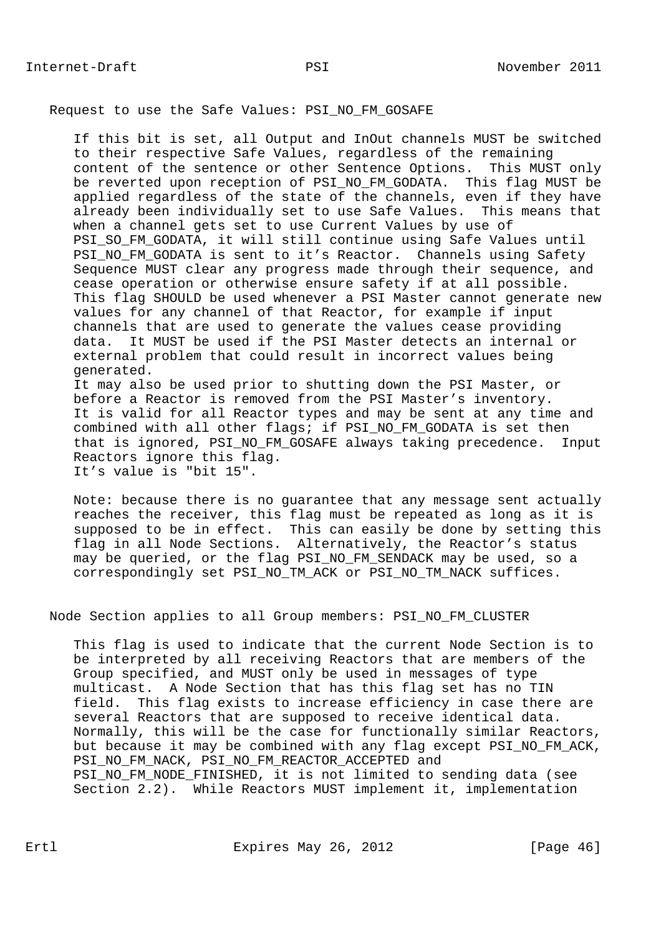## Request to use the Safe Values: PSI\_NO\_FM\_GOSAFE

 If this bit is set, all Output and InOut channels MUST be switched to their respective Safe Values, regardless of the remaining content of the sentence or other Sentence Options. This MUST only be reverted upon reception of PSI\_NO\_FM\_GODATA. This flag MUST be applied regardless of the state of the channels, even if they have already been individually set to use Safe Values. This means that when a channel gets set to use Current Values by use of PSI\_SO\_FM\_GODATA, it will still continue using Safe Values until PSI\_NO\_FM\_GODATA is sent to it's Reactor. Channels using Safety Sequence MUST clear any progress made through their sequence, and cease operation or otherwise ensure safety if at all possible. This flag SHOULD be used whenever a PSI Master cannot generate new values for any channel of that Reactor, for example if input channels that are used to generate the values cease providing data. It MUST be used if the PSI Master detects an internal or external problem that could result in incorrect values being generated.

 It may also be used prior to shutting down the PSI Master, or before a Reactor is removed from the PSI Master's inventory. It is valid for all Reactor types and may be sent at any time and combined with all other flags; if PSI\_NO\_FM\_GODATA is set then that is ignored, PSI\_NO\_FM\_GOSAFE always taking precedence. Input Reactors ignore this flag. It's value is "bit 15".

 Note: because there is no guarantee that any message sent actually reaches the receiver, this flag must be repeated as long as it is supposed to be in effect. This can easily be done by setting this flag in all Node Sections. Alternatively, the Reactor's status may be queried, or the flag PSI\_NO\_FM\_SENDACK may be used, so a correspondingly set PSI\_NO\_TM\_ACK or PSI\_NO\_TM\_NACK suffices.

## Node Section applies to all Group members: PSI\_NO\_FM\_CLUSTER

 This flag is used to indicate that the current Node Section is to be interpreted by all receiving Reactors that are members of the Group specified, and MUST only be used in messages of type multicast. A Node Section that has this flag set has no TIN field. This flag exists to increase efficiency in case there are several Reactors that are supposed to receive identical data. Normally, this will be the case for functionally similar Reactors, but because it may be combined with any flag except PSI\_NO\_FM\_ACK, PSI\_NO\_FM\_NACK, PSI\_NO\_FM\_REACTOR\_ACCEPTED and PSI\_NO\_FM\_NODE\_FINISHED, it is not limited to sending data (see Section 2.2). While Reactors MUST implement it, implementation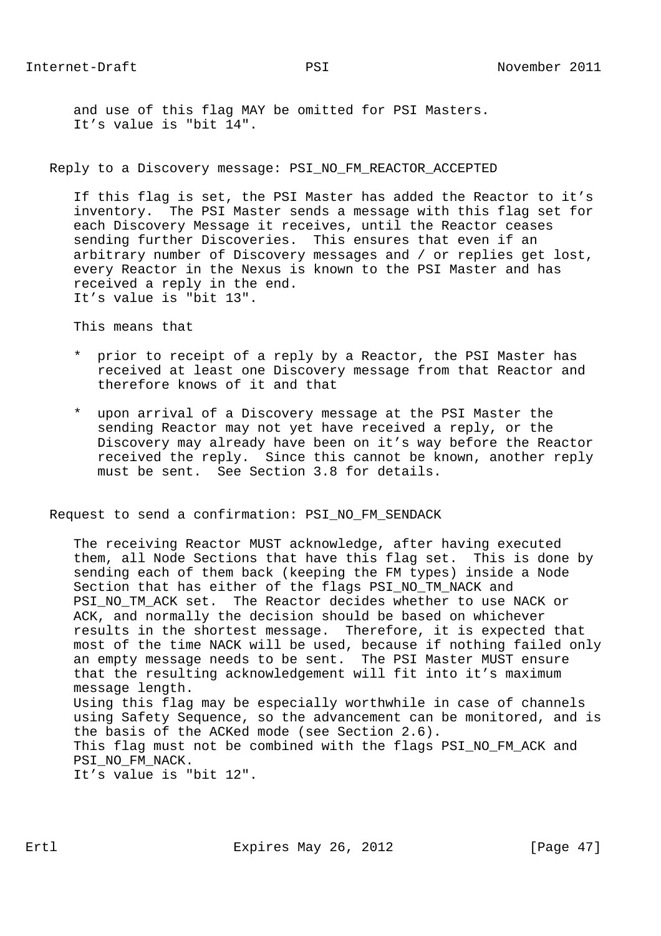and use of this flag MAY be omitted for PSI Masters. It's value is "bit 14".

Reply to a Discovery message: PSI\_NO\_FM\_REACTOR\_ACCEPTED

 If this flag is set, the PSI Master has added the Reactor to it's inventory. The PSI Master sends a message with this flag set for each Discovery Message it receives, until the Reactor ceases sending further Discoveries. This ensures that even if an arbitrary number of Discovery messages and / or replies get lost, every Reactor in the Nexus is known to the PSI Master and has received a reply in the end. It's value is "bit 13".

This means that

- \* prior to receipt of a reply by a Reactor, the PSI Master has received at least one Discovery message from that Reactor and therefore knows of it and that
- \* upon arrival of a Discovery message at the PSI Master the sending Reactor may not yet have received a reply, or the Discovery may already have been on it's way before the Reactor received the reply. Since this cannot be known, another reply must be sent. See Section 3.8 for details.

Request to send a confirmation: PSI\_NO\_FM\_SENDACK

 The receiving Reactor MUST acknowledge, after having executed them, all Node Sections that have this flag set. This is done by sending each of them back (keeping the FM types) inside a Node Section that has either of the flags PSI\_NO\_TM\_NACK and PSI\_NO\_TM\_ACK set. The Reactor decides whether to use NACK or ACK, and normally the decision should be based on whichever results in the shortest message. Therefore, it is expected that most of the time NACK will be used, because if nothing failed only an empty message needs to be sent. The PSI Master MUST ensure that the resulting acknowledgement will fit into it's maximum message length. Using this flag may be especially worthwhile in case of channels using Safety Sequence, so the advancement can be monitored, and is the basis of the ACKed mode (see Section 2.6). This flag must not be combined with the flags PSI\_NO\_FM\_ACK and PSI\_NO\_FM\_NACK.

It's value is "bit 12".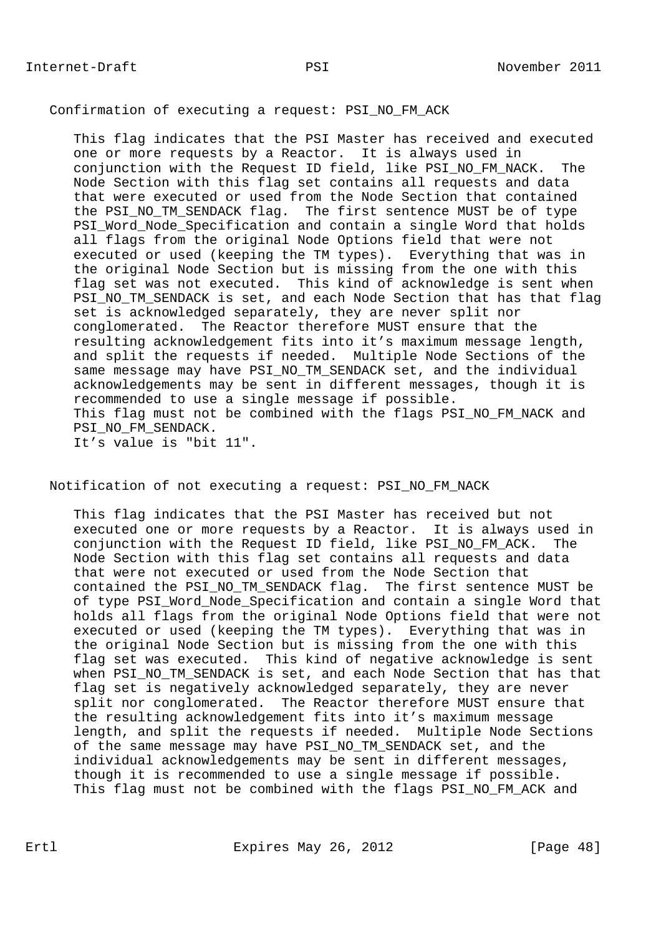## Confirmation of executing a request: PSI\_NO\_FM\_ACK

 This flag indicates that the PSI Master has received and executed one or more requests by a Reactor. It is always used in conjunction with the Request ID field, like PSI\_NO\_FM\_NACK. The Node Section with this flag set contains all requests and data that were executed or used from the Node Section that contained the PSI\_NO\_TM\_SENDACK flag. The first sentence MUST be of type PSI\_Word\_Node\_Specification and contain a single Word that holds all flags from the original Node Options field that were not executed or used (keeping the TM types). Everything that was in the original Node Section but is missing from the one with this flag set was not executed. This kind of acknowledge is sent when PSI\_NO\_TM\_SENDACK is set, and each Node Section that has that flag set is acknowledged separately, they are never split nor conglomerated. The Reactor therefore MUST ensure that the resulting acknowledgement fits into it's maximum message length, and split the requests if needed. Multiple Node Sections of the same message may have PSI NO TM SENDACK set, and the individual acknowledgements may be sent in different messages, though it is recommended to use a single message if possible. This flag must not be combined with the flags PSI\_NO\_FM\_NACK and PSI\_NO\_FM\_SENDACK. It's value is "bit 11".

Notification of not executing a request: PSI\_NO\_FM\_NACK

 This flag indicates that the PSI Master has received but not executed one or more requests by a Reactor. It is always used in conjunction with the Request ID field, like PSI\_NO\_FM\_ACK. The Node Section with this flag set contains all requests and data that were not executed or used from the Node Section that contained the PSI\_NO\_TM\_SENDACK flag. The first sentence MUST be of type PSI\_Word\_Node\_Specification and contain a single Word that holds all flags from the original Node Options field that were not executed or used (keeping the TM types). Everything that was in the original Node Section but is missing from the one with this flag set was executed. This kind of negative acknowledge is sent when PSI\_NO\_TM\_SENDACK is set, and each Node Section that has that flag set is negatively acknowledged separately, they are never split nor conglomerated. The Reactor therefore MUST ensure that the resulting acknowledgement fits into it's maximum message length, and split the requests if needed. Multiple Node Sections of the same message may have PSI\_NO\_TM\_SENDACK set, and the individual acknowledgements may be sent in different messages, though it is recommended to use a single message if possible. This flag must not be combined with the flags PSI NO FM ACK and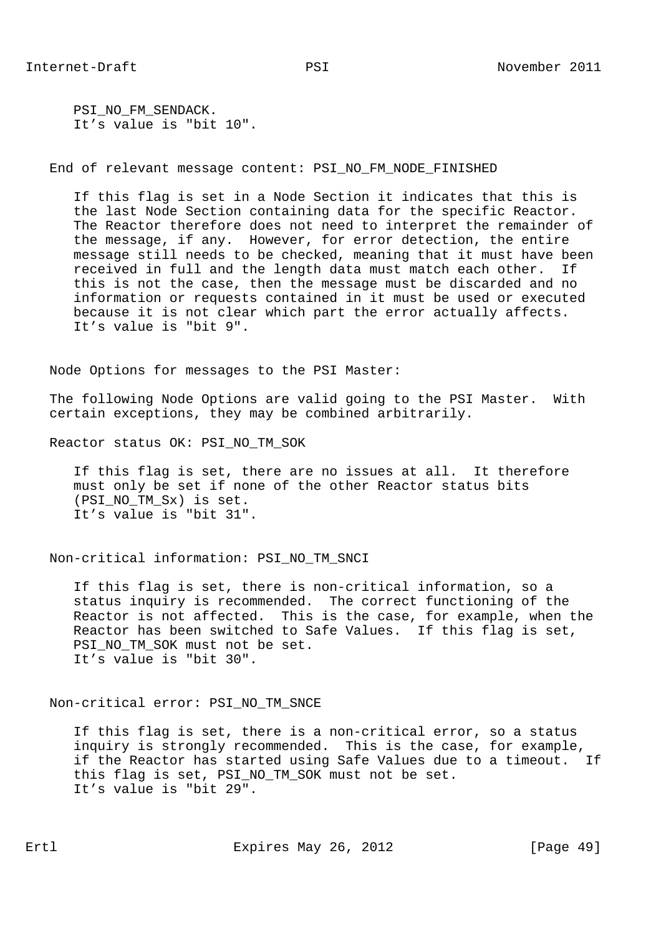PSI\_NO\_FM\_SENDACK. It's value is "bit 10".

End of relevant message content: PSI\_NO\_FM\_NODE\_FINISHED

 If this flag is set in a Node Section it indicates that this is the last Node Section containing data for the specific Reactor. The Reactor therefore does not need to interpret the remainder of the message, if any. However, for error detection, the entire message still needs to be checked, meaning that it must have been received in full and the length data must match each other. If this is not the case, then the message must be discarded and no information or requests contained in it must be used or executed because it is not clear which part the error actually affects. It's value is "bit 9".

Node Options for messages to the PSI Master:

 The following Node Options are valid going to the PSI Master. With certain exceptions, they may be combined arbitrarily.

Reactor status OK: PSI\_NO\_TM\_SOK

 If this flag is set, there are no issues at all. It therefore must only be set if none of the other Reactor status bits (PSI\_NO\_TM\_Sx) is set. It's value is "bit 31".

Non-critical information: PSI\_NO\_TM\_SNCI

 If this flag is set, there is non-critical information, so a status inquiry is recommended. The correct functioning of the Reactor is not affected. This is the case, for example, when the Reactor has been switched to Safe Values. If this flag is set, PSI\_NO\_TM\_SOK\_must\_not\_be\_set. It's value is "bit 30".

Non-critical error: PSI\_NO\_TM\_SNCE

 If this flag is set, there is a non-critical error, so a status inquiry is strongly recommended. This is the case, for example, if the Reactor has started using Safe Values due to a timeout. If this flag is set, PSI\_NO\_TM\_SOK must not be set. It's value is "bit 29".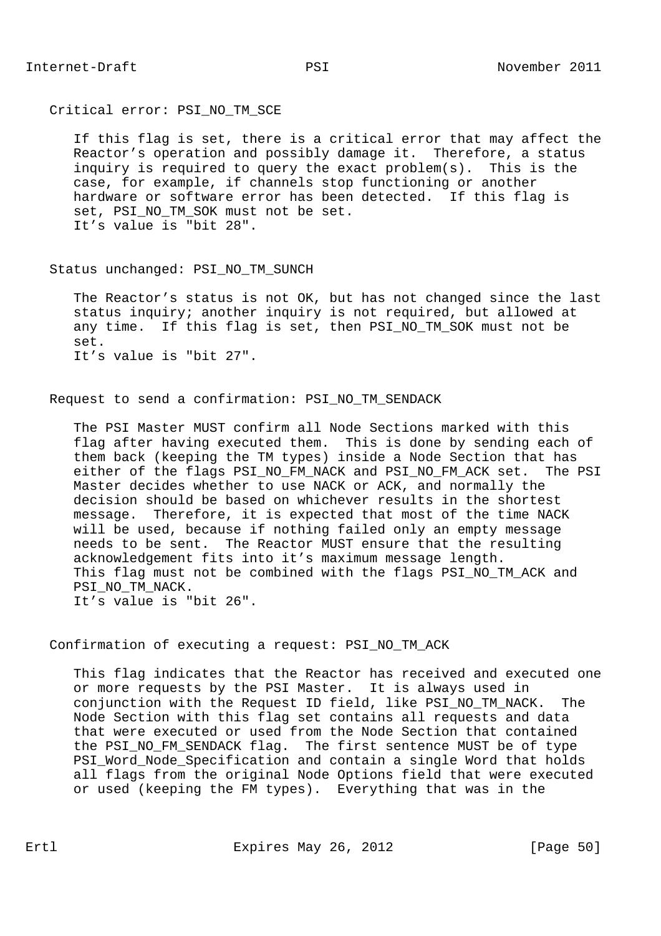Critical error: PSI\_NO\_TM\_SCE

 If this flag is set, there is a critical error that may affect the Reactor's operation and possibly damage it. Therefore, a status inquiry is required to query the exact problem(s). This is the case, for example, if channels stop functioning or another hardware or software error has been detected. If this flag is set, PSI\_NO\_TM\_SOK must not be set. It's value is "bit 28".

Status unchanged: PSI\_NO\_TM\_SUNCH

 The Reactor's status is not OK, but has not changed since the last status inquiry; another inquiry is not required, but allowed at any time. If this flag is set, then PSI NO TM SOK must not be set. It's value is "bit 27".

Request to send a confirmation: PSI\_NO\_TM\_SENDACK

 The PSI Master MUST confirm all Node Sections marked with this flag after having executed them. This is done by sending each of them back (keeping the TM types) inside a Node Section that has either of the flags PSI\_NO\_FM\_NACK and PSI\_NO\_FM\_ACK set. The PSI Master decides whether to use NACK or ACK, and normally the decision should be based on whichever results in the shortest message. Therefore, it is expected that most of the time NACK will be used, because if nothing failed only an empty message needs to be sent. The Reactor MUST ensure that the resulting acknowledgement fits into it's maximum message length. This flag must not be combined with the flags PSI\_NO\_TM\_ACK and PSI\_NO\_TM\_NACK. It's value is "bit 26".

Confirmation of executing a request: PSI\_NO\_TM\_ACK

 This flag indicates that the Reactor has received and executed one or more requests by the PSI Master. It is always used in conjunction with the Request ID field, like PSI\_NO\_TM\_NACK. The Node Section with this flag set contains all requests and data that were executed or used from the Node Section that contained the PSI\_NO\_FM\_SENDACK flag. The first sentence MUST be of type PSI\_Word\_Node\_Specification and contain a single Word that holds all flags from the original Node Options field that were executed or used (keeping the FM types). Everything that was in the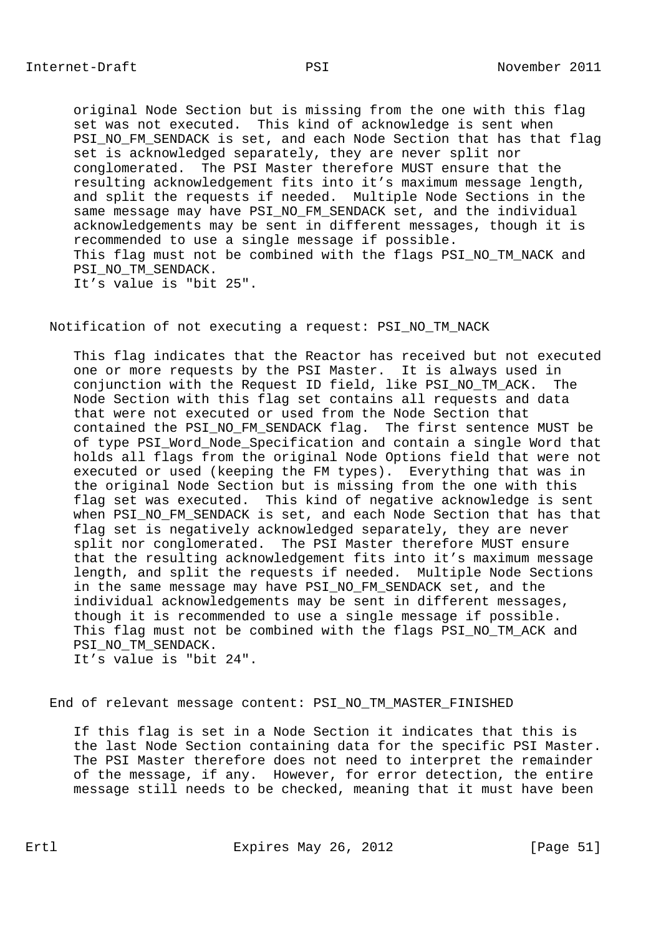original Node Section but is missing from the one with this flag set was not executed. This kind of acknowledge is sent when PSI\_NO\_FM\_SENDACK is set, and each Node Section that has that flag set is acknowledged separately, they are never split nor conglomerated. The PSI Master therefore MUST ensure that the resulting acknowledgement fits into it's maximum message length, and split the requests if needed. Multiple Node Sections in the same message may have PSI\_NO\_FM\_SENDACK set, and the individual acknowledgements may be sent in different messages, though it is recommended to use a single message if possible. This flag must not be combined with the flags PSI\_NO\_TM\_NACK and PSI\_NO\_TM\_SENDACK. It's value is "bit 25".

Notification of not executing a request: PSI\_NO\_TM\_NACK

 This flag indicates that the Reactor has received but not executed one or more requests by the PSI Master. It is always used in conjunction with the Request ID field, like PSI\_NO\_TM\_ACK. The Node Section with this flag set contains all requests and data that were not executed or used from the Node Section that contained the PSI\_NO\_FM\_SENDACK flag. The first sentence MUST be of type PSI\_Word\_Node\_Specification and contain a single Word that holds all flags from the original Node Options field that were not executed or used (keeping the FM types). Everything that was in the original Node Section but is missing from the one with this flag set was executed. This kind of negative acknowledge is sent when PSI\_NO\_FM\_SENDACK is set, and each Node Section that has that flag set is negatively acknowledged separately, they are never split nor conglomerated. The PSI Master therefore MUST ensure that the resulting acknowledgement fits into it's maximum message length, and split the requests if needed. Multiple Node Sections in the same message may have PSI\_NO\_FM\_SENDACK set, and the individual acknowledgements may be sent in different messages, though it is recommended to use a single message if possible. This flag must not be combined with the flags PSI\_NO\_TM\_ACK and PSI\_NO\_TM\_SENDACK. It's value is "bit 24".

End of relevant message content: PSI NO TM MASTER FINISHED

 If this flag is set in a Node Section it indicates that this is the last Node Section containing data for the specific PSI Master. The PSI Master therefore does not need to interpret the remainder of the message, if any. However, for error detection, the entire message still needs to be checked, meaning that it must have been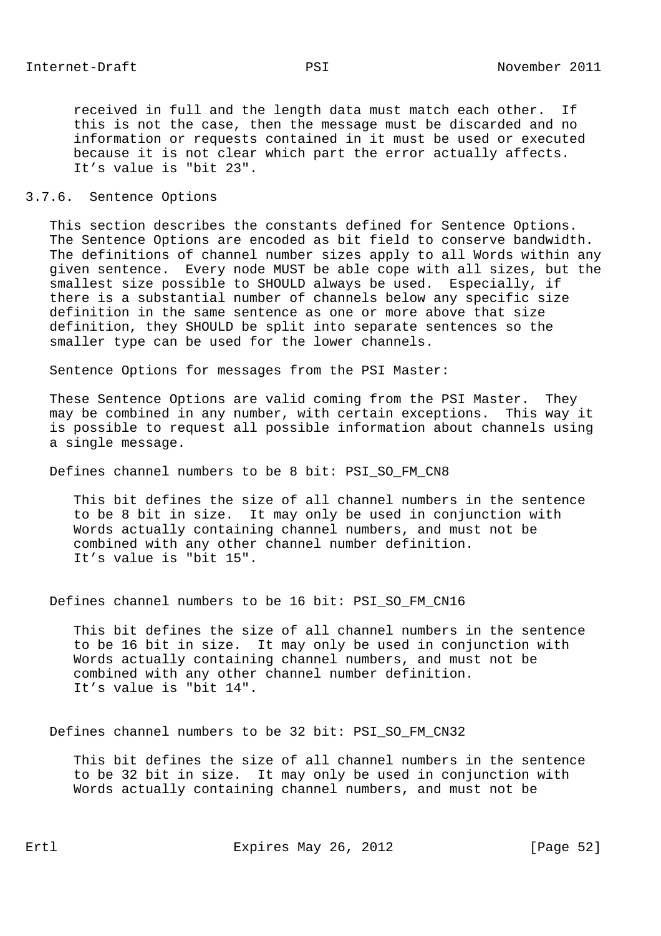received in full and the length data must match each other. If this is not the case, then the message must be discarded and no information or requests contained in it must be used or executed because it is not clear which part the error actually affects. It's value is "bit 23".

## 3.7.6. Sentence Options

 This section describes the constants defined for Sentence Options. The Sentence Options are encoded as bit field to conserve bandwidth. The definitions of channel number sizes apply to all Words within any given sentence. Every node MUST be able cope with all sizes, but the smallest size possible to SHOULD always be used. Especially, if there is a substantial number of channels below any specific size definition in the same sentence as one or more above that size definition, they SHOULD be split into separate sentences so the smaller type can be used for the lower channels.

Sentence Options for messages from the PSI Master:

 These Sentence Options are valid coming from the PSI Master. They may be combined in any number, with certain exceptions. This way it is possible to request all possible information about channels using a single message.

Defines channel numbers to be 8 bit: PSI\_SO\_FM\_CN8

 This bit defines the size of all channel numbers in the sentence to be 8 bit in size. It may only be used in conjunction with Words actually containing channel numbers, and must not be combined with any other channel number definition. It's value is "bit 15".

Defines channel numbers to be 16 bit: PSI\_SO\_FM\_CN16

 This bit defines the size of all channel numbers in the sentence to be 16 bit in size. It may only be used in conjunction with Words actually containing channel numbers, and must not be combined with any other channel number definition. It's value is "bit 14".

Defines channel numbers to be 32 bit: PSI\_SO\_FM\_CN32

 This bit defines the size of all channel numbers in the sentence to be 32 bit in size. It may only be used in conjunction with Words actually containing channel numbers, and must not be

Ertl Expires May 26, 2012 [Page 52]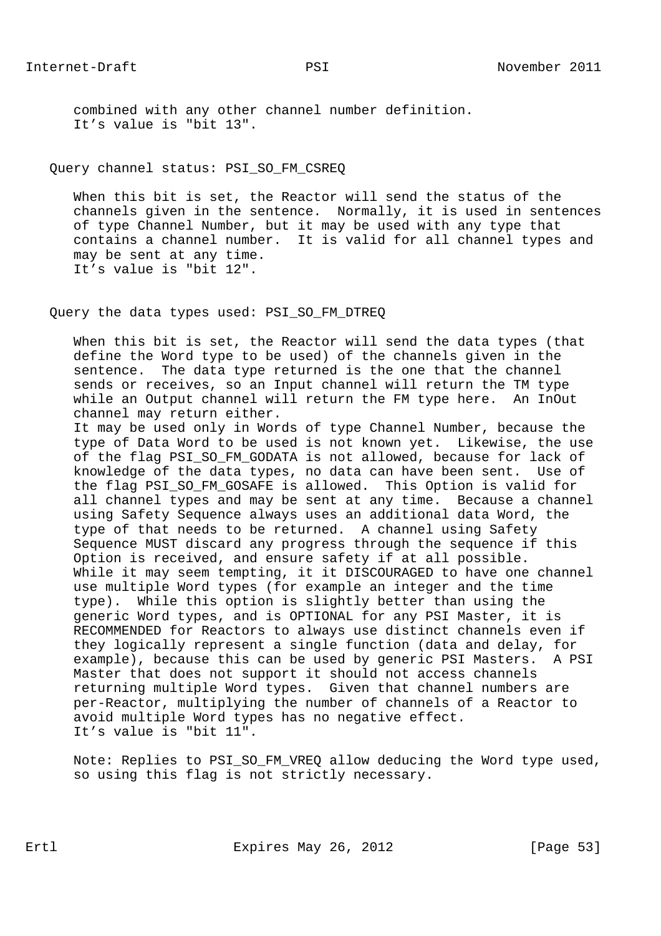combined with any other channel number definition. It's value is "bit 13".

### Query channel status: PSI\_SO\_FM\_CSREQ

 When this bit is set, the Reactor will send the status of the channels given in the sentence. Normally, it is used in sentences of type Channel Number, but it may be used with any type that contains a channel number. It is valid for all channel types and may be sent at any time. It's value is "bit 12".

## Query the data types used: PSI\_SO\_FM\_DTREQ

 When this bit is set, the Reactor will send the data types (that define the Word type to be used) of the channels given in the sentence. The data type returned is the one that the channel sends or receives, so an Input channel will return the TM type while an Output channel will return the FM type here. An InOut channel may return either.

 It may be used only in Words of type Channel Number, because the type of Data Word to be used is not known yet. Likewise, the use of the flag PSI\_SO\_FM\_GODATA is not allowed, because for lack of knowledge of the data types, no data can have been sent. Use of the flag PSI\_SO\_FM\_GOSAFE is allowed. This Option is valid for all channel types and may be sent at any time. Because a channel using Safety Sequence always uses an additional data Word, the type of that needs to be returned. A channel using Safety Sequence MUST discard any progress through the sequence if this Option is received, and ensure safety if at all possible. While it may seem tempting, it it DISCOURAGED to have one channel use multiple Word types (for example an integer and the time type). While this option is slightly better than using the generic Word types, and is OPTIONAL for any PSI Master, it is RECOMMENDED for Reactors to always use distinct channels even if they logically represent a single function (data and delay, for example), because this can be used by generic PSI Masters. A PSI Master that does not support it should not access channels returning multiple Word types. Given that channel numbers are per-Reactor, multiplying the number of channels of a Reactor to avoid multiple Word types has no negative effect. It's value is "bit 11".

 Note: Replies to PSI\_SO\_FM\_VREQ allow deducing the Word type used, so using this flag is not strictly necessary.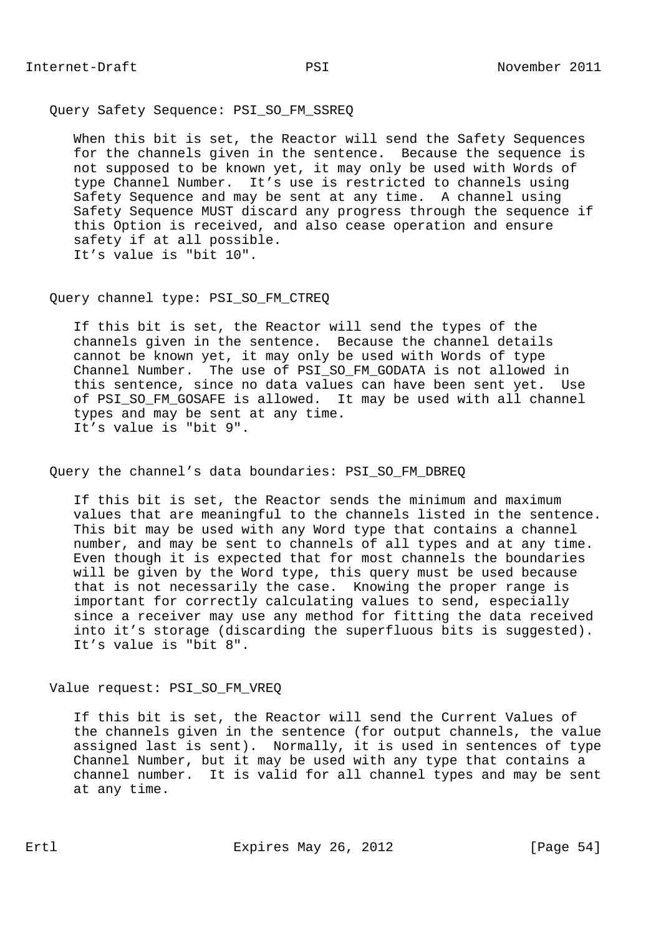Query Safety Sequence: PSI\_SO\_FM\_SSREQ

 When this bit is set, the Reactor will send the Safety Sequences for the channels given in the sentence. Because the sequence is not supposed to be known yet, it may only be used with Words of type Channel Number. It's use is restricted to channels using Safety Sequence and may be sent at any time. A channel using Safety Sequence MUST discard any progress through the sequence if this Option is received, and also cease operation and ensure safety if at all possible. It's value is "bit 10".

Query channel type: PSI\_SO\_FM\_CTREQ

 If this bit is set, the Reactor will send the types of the channels given in the sentence. Because the channel details cannot be known yet, it may only be used with Words of type Channel Number. The use of PSI SO FM GODATA is not allowed in this sentence, since no data values can have been sent yet. Use of PSI\_SO\_FM\_GOSAFE is allowed. It may be used with all channel types and may be sent at any time. It's value is "bit 9".

Query the channel's data boundaries: PSI\_SO\_FM\_DBREQ

 If this bit is set, the Reactor sends the minimum and maximum values that are meaningful to the channels listed in the sentence. This bit may be used with any Word type that contains a channel number, and may be sent to channels of all types and at any time. Even though it is expected that for most channels the boundaries will be given by the Word type, this query must be used because that is not necessarily the case. Knowing the proper range is important for correctly calculating values to send, especially since a receiver may use any method for fitting the data received into it's storage (discarding the superfluous bits is suggested). It's value is "bit 8".

Value request: PSI\_SO\_FM\_VREQ

 If this bit is set, the Reactor will send the Current Values of the channels given in the sentence (for output channels, the value assigned last is sent). Normally, it is used in sentences of type Channel Number, but it may be used with any type that contains a channel number. It is valid for all channel types and may be sent at any time.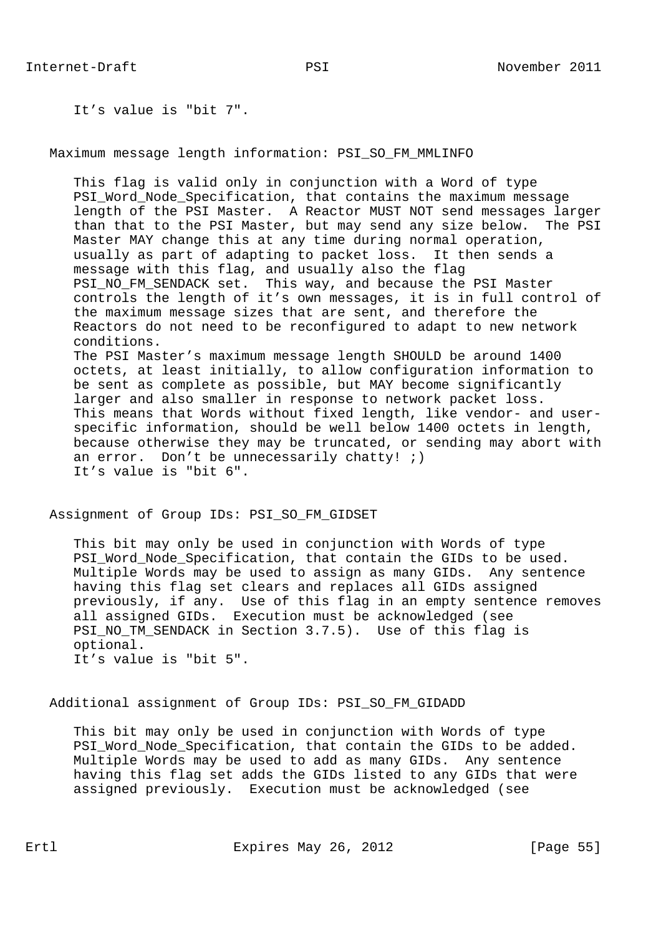It's value is "bit 7".

Maximum message length information: PSI\_SO\_FM\_MMLINFO

 This flag is valid only in conjunction with a Word of type PSI\_Word\_Node\_Specification, that contains the maximum message length of the PSI Master. A Reactor MUST NOT send messages larger than that to the PSI Master, but may send any size below. The PSI Master MAY change this at any time during normal operation, usually as part of adapting to packet loss. It then sends a message with this flag, and usually also the flag PSI\_NO\_FM\_SENDACK set. This way, and because the PSI Master controls the length of it's own messages, it is in full control of the maximum message sizes that are sent, and therefore the Reactors do not need to be reconfigured to adapt to new network conditions. The PSI Master's maximum message length SHOULD be around 1400 octets, at least initially, to allow configuration information to be sent as complete as possible, but MAY become significantly larger and also smaller in response to network packet loss. This means that Words without fixed length, like vendor- and user specific information, should be well below 1400 octets in length, because otherwise they may be truncated, or sending may abort with an error. Don't be unnecessarily chatty!  $i)$ 

It's value is "bit 6".

Assignment of Group IDs: PSI\_SO\_FM\_GIDSET

 This bit may only be used in conjunction with Words of type PSI\_Word\_Node\_Specification, that contain the GIDs to be used. Multiple Words may be used to assign as many GIDs. Any sentence having this flag set clears and replaces all GIDs assigned previously, if any. Use of this flag in an empty sentence removes all assigned GIDs. Execution must be acknowledged (see PSI\_NO\_TM\_SENDACK in Section 3.7.5). Use of this flag is optional. It's value is "bit 5".

## Additional assignment of Group IDs: PSI\_SO\_FM\_GIDADD

 This bit may only be used in conjunction with Words of type PSI\_Word\_Node\_Specification, that contain the GIDs to be added. Multiple Words may be used to add as many GIDs. Any sentence having this flag set adds the GIDs listed to any GIDs that were assigned previously. Execution must be acknowledged (see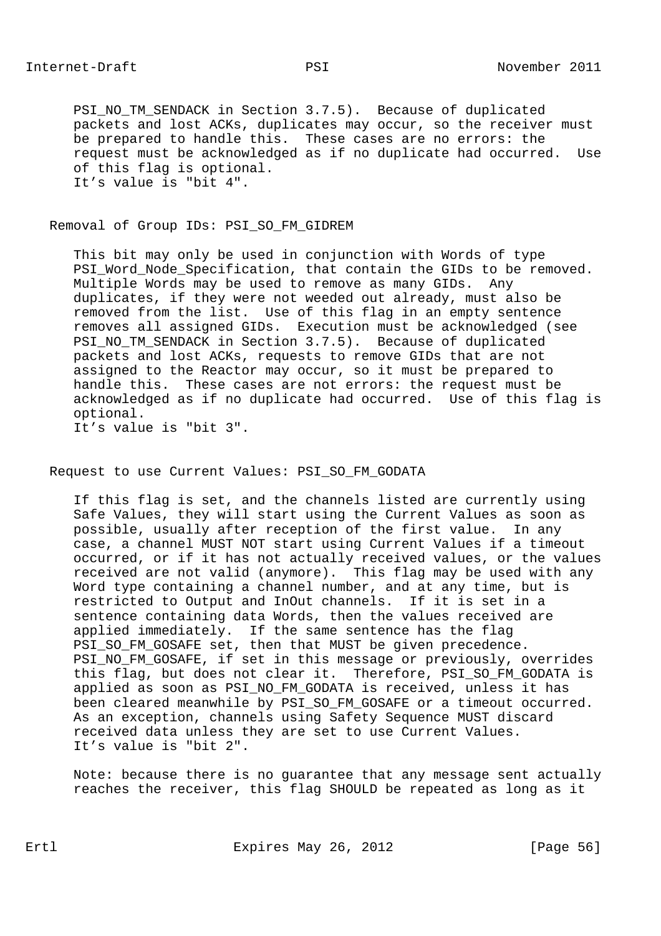PSI\_NO\_TM\_SENDACK in Section 3.7.5). Because of duplicated packets and lost ACKs, duplicates may occur, so the receiver must be prepared to handle this. These cases are no errors: the request must be acknowledged as if no duplicate had occurred. Use of this flag is optional. It's value is "bit 4".

## Removal of Group IDs: PSI\_SO\_FM\_GIDREM

 This bit may only be used in conjunction with Words of type PSI\_Word\_Node\_Specification, that contain the GIDs to be removed. Multiple Words may be used to remove as many GIDs. Any duplicates, if they were not weeded out already, must also be removed from the list. Use of this flag in an empty sentence removes all assigned GIDs. Execution must be acknowledged (see PSI\_NO\_TM\_SENDACK in Section 3.7.5). Because of duplicated packets and lost ACKs, requests to remove GIDs that are not assigned to the Reactor may occur, so it must be prepared to handle this. These cases are not errors: the request must be acknowledged as if no duplicate had occurred. Use of this flag is optional. It's value is "bit 3".

Request to use Current Values: PSI\_SO\_FM\_GODATA

 If this flag is set, and the channels listed are currently using Safe Values, they will start using the Current Values as soon as possible, usually after reception of the first value. In any case, a channel MUST NOT start using Current Values if a timeout occurred, or if it has not actually received values, or the values received are not valid (anymore). This flag may be used with any Word type containing a channel number, and at any time, but is restricted to Output and InOut channels. If it is set in a sentence containing data Words, then the values received are applied immediately. If the same sentence has the flag PSI\_SO\_FM\_GOSAFE set, then that MUST be given precedence. PSI\_NO\_FM\_GOSAFE, if set in this message or previously, overrides this flag, but does not clear it. Therefore, PSI\_SO\_FM\_GODATA is applied as soon as PSI NO FM GODATA is received, unless it has been cleared meanwhile by PSI SO FM GOSAFE or a timeout occurred. As an exception, channels using Safety Sequence MUST discard received data unless they are set to use Current Values. It's value is "bit 2".

 Note: because there is no guarantee that any message sent actually reaches the receiver, this flag SHOULD be repeated as long as it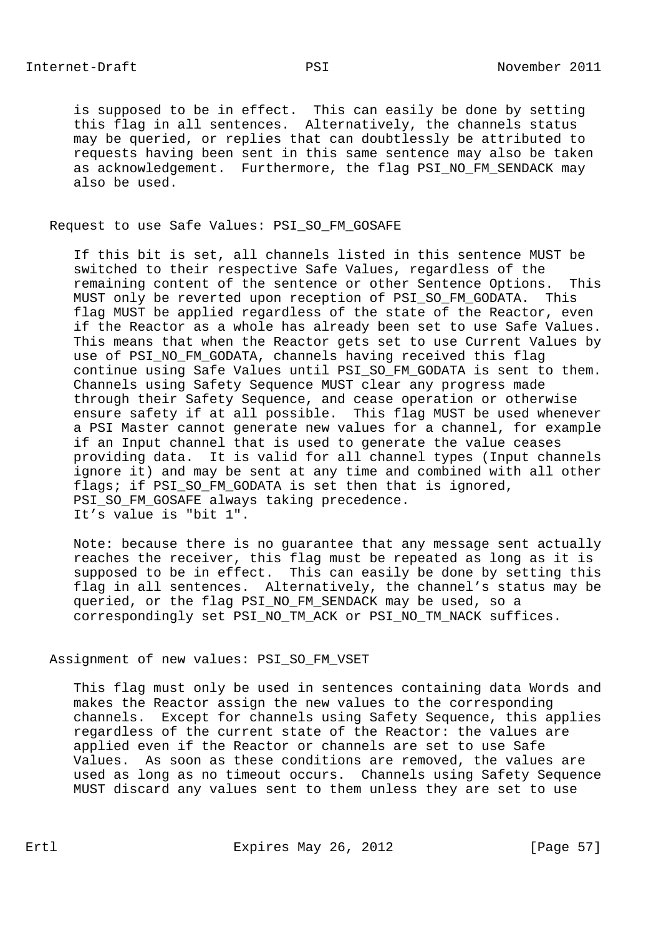is supposed to be in effect. This can easily be done by setting this flag in all sentences. Alternatively, the channels status may be queried, or replies that can doubtlessly be attributed to requests having been sent in this same sentence may also be taken as acknowledgement. Furthermore, the flag PSI\_NO\_FM\_SENDACK may also be used.

# Request to use Safe Values: PSI\_SO\_FM\_GOSAFE

 If this bit is set, all channels listed in this sentence MUST be switched to their respective Safe Values, regardless of the remaining content of the sentence or other Sentence Options. This MUST only be reverted upon reception of PSI SO FM GODATA. This flag MUST be applied regardless of the state of the Reactor, even if the Reactor as a whole has already been set to use Safe Values. This means that when the Reactor gets set to use Current Values by use of PSI\_NO\_FM\_GODATA, channels having received this flag continue using Safe Values until PSI\_SO\_FM\_GODATA is sent to them. Channels using Safety Sequence MUST clear any progress made through their Safety Sequence, and cease operation or otherwise ensure safety if at all possible. This flag MUST be used whenever a PSI Master cannot generate new values for a channel, for example if an Input channel that is used to generate the value ceases providing data. It is valid for all channel types (Input channels ignore it) and may be sent at any time and combined with all other flags; if PSI\_SO\_FM\_GODATA is set then that is ignored, PSI\_SO\_FM\_GOSAFE always taking precedence. It's value is "bit 1".

 Note: because there is no guarantee that any message sent actually reaches the receiver, this flag must be repeated as long as it is supposed to be in effect. This can easily be done by setting this flag in all sentences. Alternatively, the channel's status may be queried, or the flag PSI\_NO\_FM\_SENDACK may be used, so a correspondingly set PSI\_NO\_TM\_ACK or PSI\_NO\_TM\_NACK suffices.

## Assignment of new values: PSI\_SO\_FM\_VSET

 This flag must only be used in sentences containing data Words and makes the Reactor assign the new values to the corresponding channels. Except for channels using Safety Sequence, this applies regardless of the current state of the Reactor: the values are applied even if the Reactor or channels are set to use Safe Values. As soon as these conditions are removed, the values are used as long as no timeout occurs. Channels using Safety Sequence MUST discard any values sent to them unless they are set to use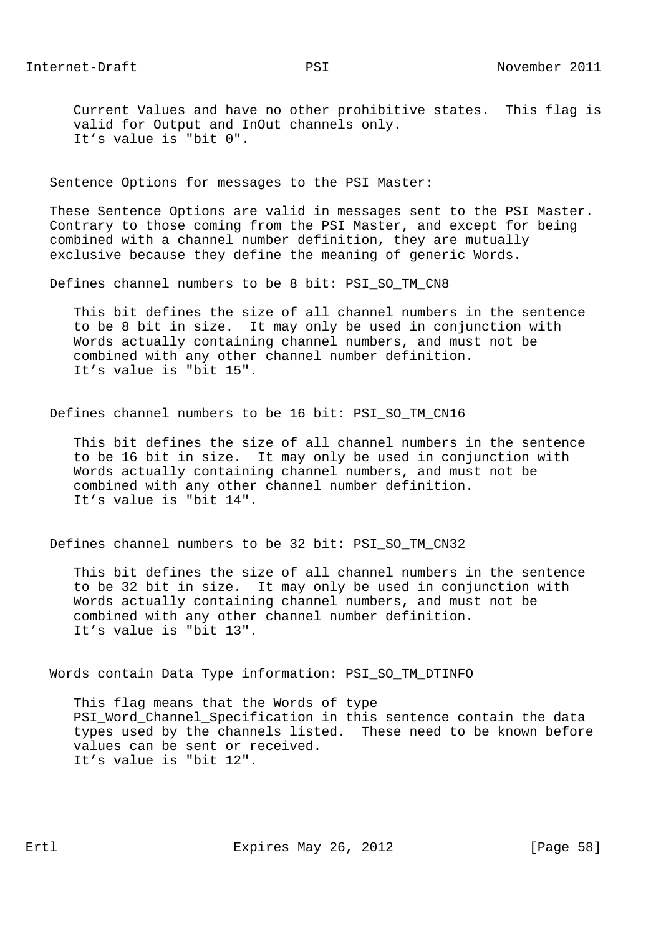Current Values and have no other prohibitive states. This flag is valid for Output and InOut channels only. It's value is "bit 0".

Sentence Options for messages to the PSI Master:

 These Sentence Options are valid in messages sent to the PSI Master. Contrary to those coming from the PSI Master, and except for being combined with a channel number definition, they are mutually exclusive because they define the meaning of generic Words.

Defines channel numbers to be 8 bit: PSI\_SO\_TM\_CN8

 This bit defines the size of all channel numbers in the sentence to be 8 bit in size. It may only be used in conjunction with Words actually containing channel numbers, and must not be combined with any other channel number definition. It's value is "bit 15".

Defines channel numbers to be 16 bit: PSI\_SO\_TM\_CN16

 This bit defines the size of all channel numbers in the sentence to be 16 bit in size. It may only be used in conjunction with Words actually containing channel numbers, and must not be combined with any other channel number definition. It's value is "bit 14".

Defines channel numbers to be 32 bit: PSI\_SO\_TM\_CN32

 This bit defines the size of all channel numbers in the sentence to be 32 bit in size. It may only be used in conjunction with Words actually containing channel numbers, and must not be combined with any other channel number definition. It's value is "bit 13".

Words contain Data Type information: PSI\_SO\_TM\_DTINFO

 This flag means that the Words of type PSI\_Word\_Channel\_Specification in this sentence contain the data types used by the channels listed. These need to be known before values can be sent or received. It's value is "bit 12".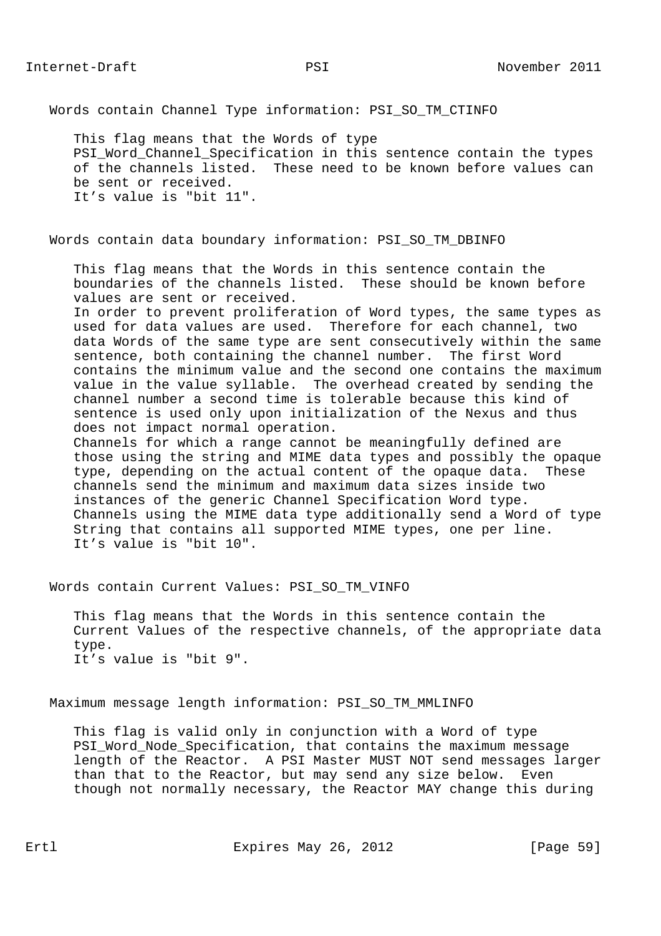Words contain Channel Type information: PSI\_SO\_TM\_CTINFO

 This flag means that the Words of type PSI Word Channel Specification in this sentence contain the types of the channels listed. These need to be known before values can be sent or received. It's value is "bit 11".

Words contain data boundary information: PSI\_SO\_TM\_DBINFO

 This flag means that the Words in this sentence contain the boundaries of the channels listed. These should be known before values are sent or received.

 In order to prevent proliferation of Word types, the same types as used for data values are used. Therefore for each channel, two data Words of the same type are sent consecutively within the same sentence, both containing the channel number. The first Word contains the minimum value and the second one contains the maximum value in the value syllable. The overhead created by sending the channel number a second time is tolerable because this kind of sentence is used only upon initialization of the Nexus and thus does not impact normal operation.

 Channels for which a range cannot be meaningfully defined are those using the string and MIME data types and possibly the opaque type, depending on the actual content of the opaque data. These channels send the minimum and maximum data sizes inside two instances of the generic Channel Specification Word type. Channels using the MIME data type additionally send a Word of type String that contains all supported MIME types, one per line. It's value is "bit 10".

Words contain Current Values: PSI\_SO\_TM\_VINFO

 This flag means that the Words in this sentence contain the Current Values of the respective channels, of the appropriate data type. It's value is "bit 9".

Maximum message length information: PSI\_SO\_TM\_MMLINFO

 This flag is valid only in conjunction with a Word of type PSI\_Word\_Node\_Specification, that contains the maximum message length of the Reactor. A PSI Master MUST NOT send messages larger than that to the Reactor, but may send any size below. Even though not normally necessary, the Reactor MAY change this during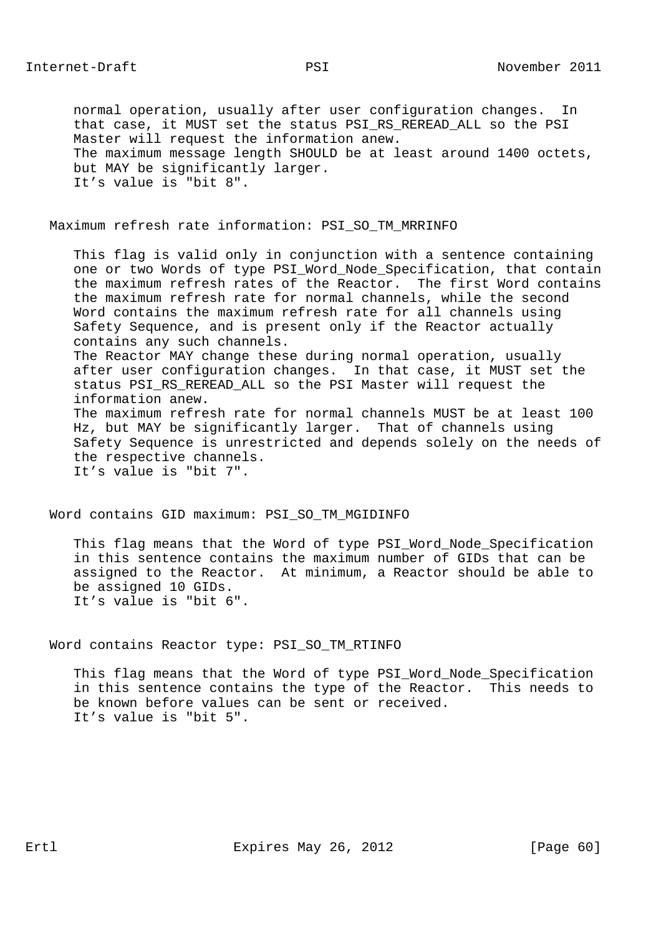normal operation, usually after user configuration changes. In that case, it MUST set the status PSI\_RS\_REREAD\_ALL so the PSI Master will request the information anew. The maximum message length SHOULD be at least around 1400 octets, but MAY be significantly larger. It's value is "bit 8".

## Maximum refresh rate information: PSI\_SO\_TM\_MRRINFO

 This flag is valid only in conjunction with a sentence containing one or two Words of type PSI\_Word\_Node\_Specification, that contain the maximum refresh rates of the Reactor. The first Word contains the maximum refresh rate for normal channels, while the second Word contains the maximum refresh rate for all channels using Safety Sequence, and is present only if the Reactor actually contains any such channels. The Reactor MAY change these during normal operation, usually after user configuration changes. In that case, it MUST set the status PSI\_RS\_REREAD\_ALL so the PSI Master will request the information anew. The maximum refresh rate for normal channels MUST be at least 100 Hz, but MAY be significantly larger. That of channels using Safety Sequence is unrestricted and depends solely on the needs of the respective channels. It's value is "bit 7".

Word contains GID maximum: PSI\_SO\_TM\_MGIDINFO

 This flag means that the Word of type PSI\_Word\_Node\_Specification in this sentence contains the maximum number of GIDs that can be assigned to the Reactor. At minimum, a Reactor should be able to be assigned 10 GIDs. It's value is "bit 6".

Word contains Reactor type: PSI\_SO\_TM\_RTINFO

 This flag means that the Word of type PSI\_Word\_Node\_Specification in this sentence contains the type of the Reactor. This needs to be known before values can be sent or received. It's value is "bit 5".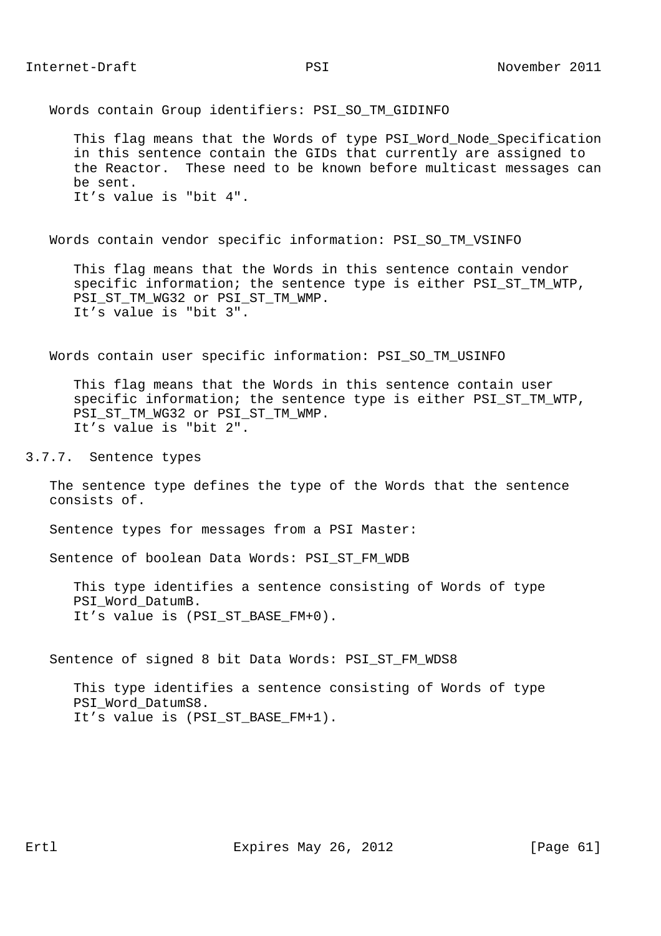Words contain Group identifiers: PSI\_SO\_TM\_GIDINFO

 This flag means that the Words of type PSI\_Word\_Node\_Specification in this sentence contain the GIDs that currently are assigned to the Reactor. These need to be known before multicast messages can be sent. It's value is "bit 4".

Words contain vendor specific information: PSI\_SO\_TM\_VSINFO

 This flag means that the Words in this sentence contain vendor specific information; the sentence type is either PSI ST TM WTP, PSI\_ST\_TM\_WG32 or PSI\_ST\_TM\_WMP. It's value is "bit 3".

Words contain user specific information: PSI\_SO\_TM\_USINFO

 This flag means that the Words in this sentence contain user specific information; the sentence type is either PSI\_ST\_TM\_WTP, PSI\_ST\_TM\_WG32 or PSI\_ST\_TM\_WMP. It's value is "bit 2".

3.7.7. Sentence types

 The sentence type defines the type of the Words that the sentence consists of.

Sentence types for messages from a PSI Master:

Sentence of boolean Data Words: PSI\_ST\_FM\_WDB

 This type identifies a sentence consisting of Words of type PSI Word DatumB. It's value is (PSI\_ST\_BASE\_FM+0).

Sentence of signed 8 bit Data Words: PSI\_ST\_FM\_WDS8

 This type identifies a sentence consisting of Words of type PSI Word DatumS8. It's value is (PSI\_ST\_BASE\_FM+1).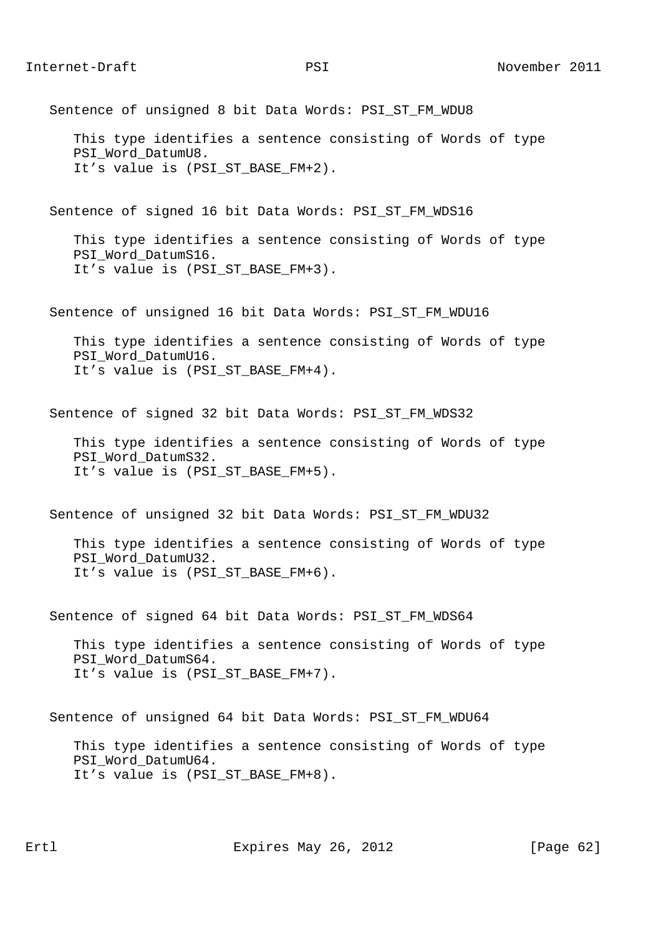Sentence of unsigned 8 bit Data Words: PSI\_ST\_FM\_WDU8

 This type identifies a sentence consisting of Words of type PSI Word DatumU8. It's value is (PSI ST BASE FM+2).

Sentence of signed 16 bit Data Words: PSI\_ST\_FM\_WDS16

 This type identifies a sentence consisting of Words of type PSI Word DatumS16. It's value is (PSI\_ST\_BASE\_FM+3).

Sentence of unsigned 16 bit Data Words: PSI\_ST\_FM\_WDU16

 This type identifies a sentence consisting of Words of type PSI\_Word\_DatumU16. It's value is (PSI ST BASE FM+4).

Sentence of signed 32 bit Data Words: PSI\_ST\_FM\_WDS32

 This type identifies a sentence consisting of Words of type PSI\_Word\_DatumS32. It's value is (PSI\_ST\_BASE\_FM+5).

Sentence of unsigned 32 bit Data Words: PSI\_ST\_FM\_WDU32

 This type identifies a sentence consisting of Words of type PSI\_Word\_DatumU32. It's value is (PSI\_ST\_BASE\_FM+6).

Sentence of signed 64 bit Data Words: PSI ST FM WDS64

 This type identifies a sentence consisting of Words of type PSI\_Word\_DatumS64. It's value is (PSI\_ST\_BASE\_FM+7).

Sentence of unsigned 64 bit Data Words: PSI\_ST\_FM\_WDU64

 This type identifies a sentence consisting of Words of type PSI Word DatumU64. It's value is (PSI\_ST\_BASE\_FM+8).

Ertl Expires May 26, 2012 [Page 62]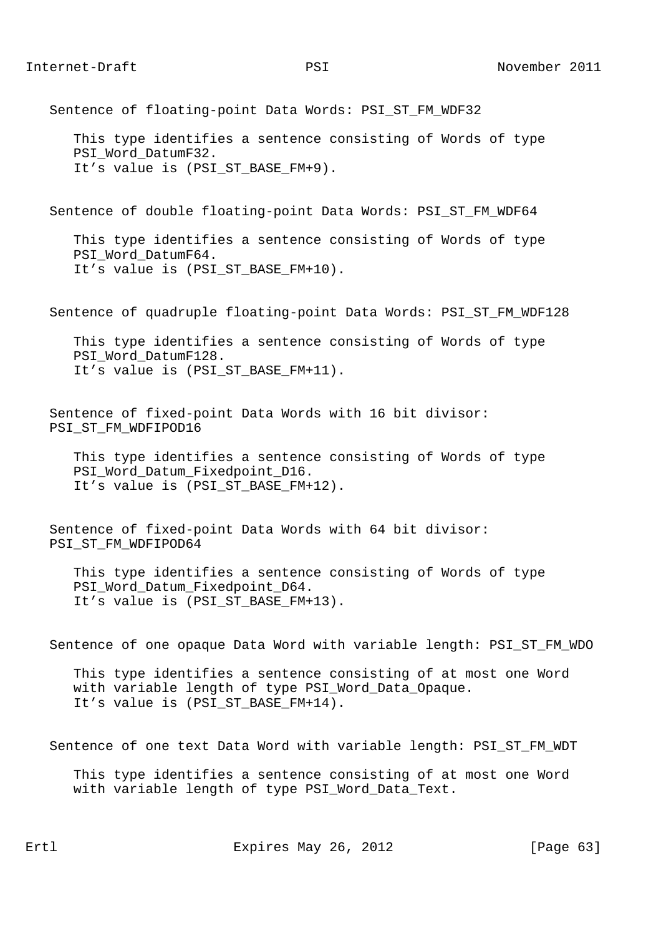Sentence of floating-point Data Words: PSI\_ST\_FM\_WDF32

 This type identifies a sentence consisting of Words of type PSI\_Word\_DatumF32. It's value is (PSI ST BASE FM+9).

Sentence of double floating-point Data Words: PSI\_ST\_FM\_WDF64

 This type identifies a sentence consisting of Words of type PSI Word DatumF64. It's value is (PSI\_ST\_BASE\_FM+10).

Sentence of quadruple floating-point Data Words: PSI\_ST\_FM\_WDF128

 This type identifies a sentence consisting of Words of type PSI\_Word\_DatumF128. It's value is (PSI ST BASE FM+11).

 Sentence of fixed-point Data Words with 16 bit divisor: PSI\_ST\_FM\_WDFIPOD16

 This type identifies a sentence consisting of Words of type PSI\_Word\_Datum\_Fixedpoint\_D16. It's value is (PSI\_ST\_BASE\_FM+12).

 Sentence of fixed-point Data Words with 64 bit divisor: PSI\_ST\_FM\_WDFIPOD64

 This type identifies a sentence consisting of Words of type PSI\_Word\_Datum\_Fixedpoint\_D64. It's value is (PSI\_ST\_BASE\_FM+13).

Sentence of one opaque Data Word with variable length: PSI\_ST\_FM\_WDO

 This type identifies a sentence consisting of at most one Word with variable length of type PSI\_Word\_Data\_Opaque. It's value is (PSI ST BASE FM+14).

Sentence of one text Data Word with variable length: PSI\_ST\_FM\_WDT

 This type identifies a sentence consisting of at most one Word with variable length of type PSI Word Data Text.

Ertl Expires May 26, 2012 [Page 63]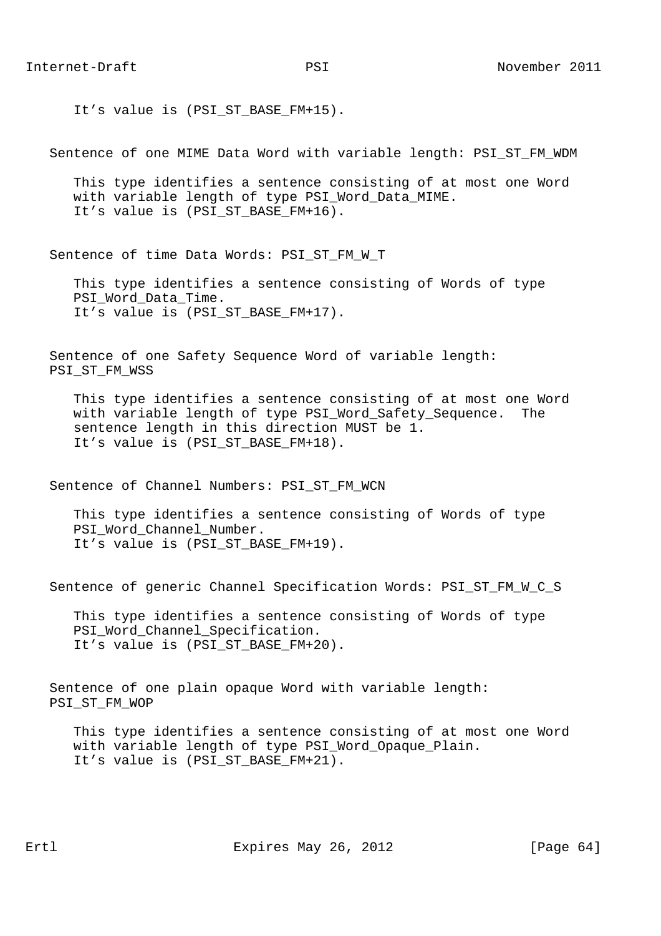It's value is (PSI ST BASE FM+15).

Sentence of one MIME Data Word with variable length: PSI\_ST\_FM\_WDM

 This type identifies a sentence consisting of at most one Word with variable length of type PSI\_Word\_Data\_MIME. It's value is (PSI\_ST\_BASE\_FM+16).

Sentence of time Data Words: PSI\_ST\_FM\_W\_T

 This type identifies a sentence consisting of Words of type PSI Word Data Time. It's value is (PSI\_ST\_BASE\_FM+17).

 Sentence of one Safety Sequence Word of variable length: PSI\_ST\_FM\_WSS

 This type identifies a sentence consisting of at most one Word with variable length of type PSI Word Safety Sequence. The sentence length in this direction MUST be 1. It's value is (PSI\_ST\_BASE\_FM+18).

Sentence of Channel Numbers: PSI\_ST\_FM\_WCN

 This type identifies a sentence consisting of Words of type PSI Word Channel Number. It's value is (PSI ST BASE FM+19).

Sentence of generic Channel Specification Words: PSI\_ST\_FM\_W\_C\_S

 This type identifies a sentence consisting of Words of type PSI\_Word\_Channel\_Specification. It's value is (PSI\_ST\_BASE\_FM+20).

 Sentence of one plain opaque Word with variable length: PSI\_ST\_FM\_WOP

 This type identifies a sentence consisting of at most one Word with variable length of type PSI\_Word\_Opaque\_Plain. It's value is (PSI ST BASE FM+21).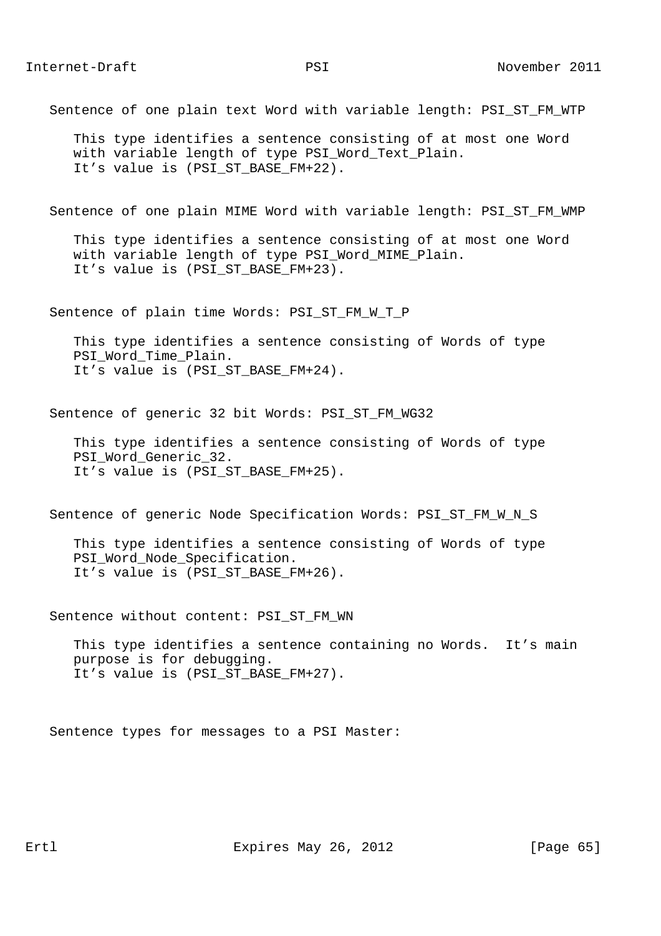Sentence of one plain text Word with variable length: PSI\_ST\_FM\_WTP

 This type identifies a sentence consisting of at most one Word with variable length of type PSI Word Text Plain. It's value is (PSI ST BASE FM+22).

Sentence of one plain MIME Word with variable length: PSI\_ST\_FM\_WMP

 This type identifies a sentence consisting of at most one Word with variable length of type PSI\_Word\_MIME\_Plain. It's value is (PSI\_ST\_BASE\_FM+23).

Sentence of plain time Words: PSI\_ST\_FM\_W\_T\_P

 This type identifies a sentence consisting of Words of type PSI\_Word\_Time\_Plain. It's value is (PSI ST BASE FM+24).

Sentence of generic 32 bit Words: PSI ST FM WG32

 This type identifies a sentence consisting of Words of type PSI\_Word\_Generic\_32. It's value is (PSI\_ST\_BASE\_FM+25).

Sentence of generic Node Specification Words: PSI\_ST\_FM\_W\_N\_S

 This type identifies a sentence consisting of Words of type PSI\_Word\_Node\_Specification. It's value is (PSI\_ST\_BASE\_FM+26).

Sentence without content: PSI\_ST\_FM\_WN

 This type identifies a sentence containing no Words. It's main purpose is for debugging. It's value is (PSI\_ST\_BASE\_FM+27).

Sentence types for messages to a PSI Master: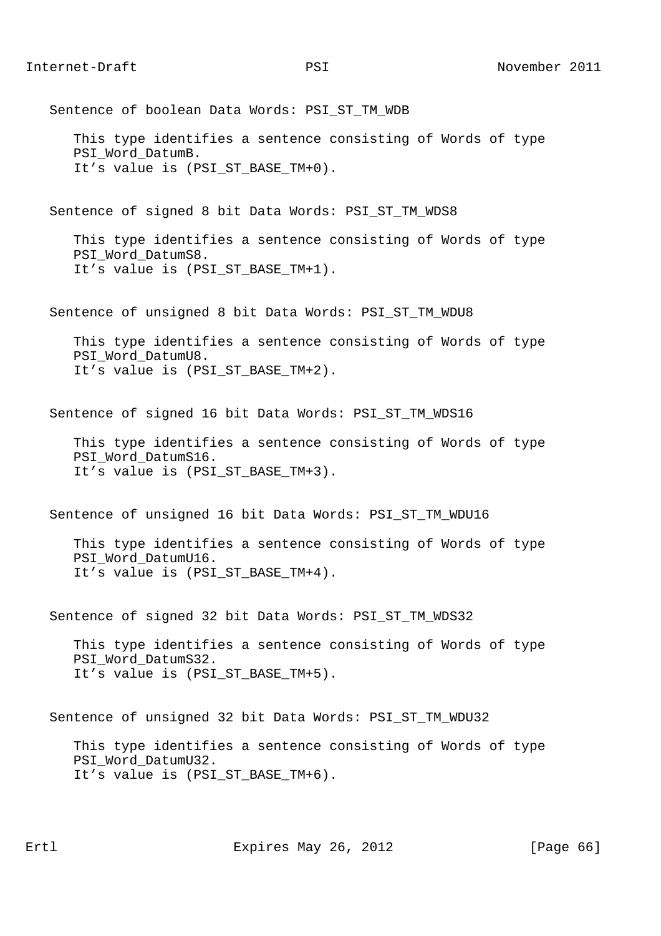Sentence of boolean Data Words: PSI ST TM WDB This type identifies a sentence consisting of Words of type PSI Word DatumB. It's value is (PSI\_ST\_BASE\_TM+0). Sentence of signed 8 bit Data Words: PSI\_ST\_TM\_WDS8 This type identifies a sentence consisting of Words of type PSI Word DatumS8. It's value is (PSI\_ST\_BASE\_TM+1). Sentence of unsigned 8 bit Data Words: PSI\_ST\_TM\_WDU8 This type identifies a sentence consisting of Words of type PSI\_Word\_DatumU8. It's value is (PSI ST BASE TM+2). Sentence of signed 16 bit Data Words: PSI\_ST\_TM\_WDS16 This type identifies a sentence consisting of Words of type PSI\_Word\_DatumS16. It's value is (PSI\_ST\_BASE\_TM+3). Sentence of unsigned 16 bit Data Words: PSI\_ST\_TM\_WDU16 This type identifies a sentence consisting of Words of type PSI\_Word\_DatumU16. It's value is (PSI\_ST\_BASE\_TM+4). Sentence of signed 32 bit Data Words: PSI\_ST\_TM\_WDS32 This type identifies a sentence consisting of Words of type PSI\_Word\_DatumS32. It's value is (PSI\_ST\_BASE\_TM+5). Sentence of unsigned 32 bit Data Words: PSI\_ST\_TM\_WDU32 This type identifies a sentence consisting of Words of type PSI Word DatumU32. It's value is (PSI\_ST\_BASE\_TM+6).

Ertl Expires May 26, 2012 [Page 66]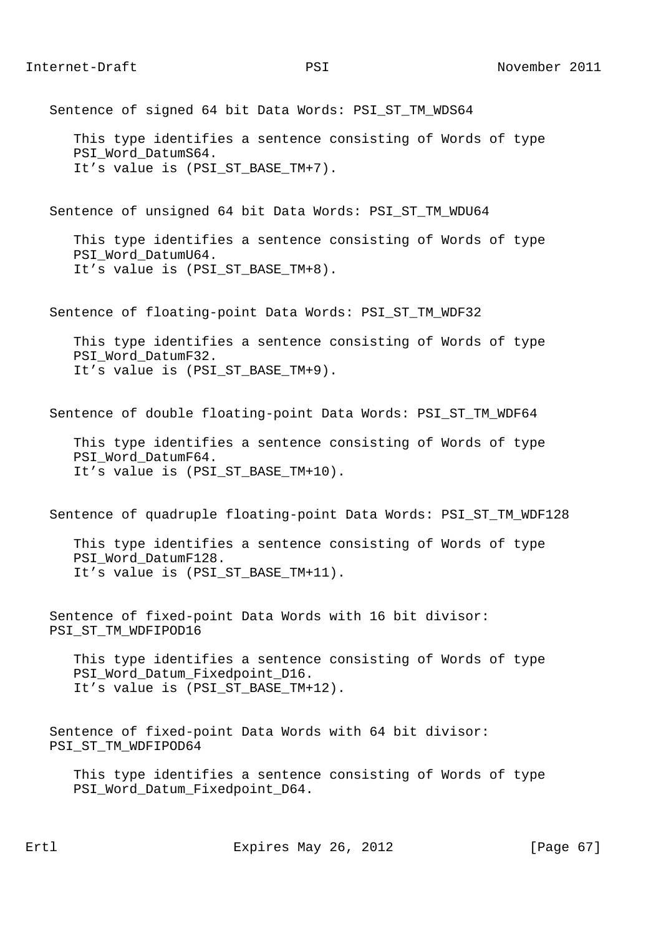Sentence of signed 64 bit Data Words: PSI\_ST\_TM\_WDS64

 This type identifies a sentence consisting of Words of type PSI\_Word\_DatumS64. It's value is (PSI ST BASE TM+7).

Sentence of unsigned 64 bit Data Words: PSI\_ST\_TM\_WDU64

 This type identifies a sentence consisting of Words of type PSI Word DatumU64. It's value is (PSI\_ST\_BASE\_TM+8).

Sentence of floating-point Data Words: PSI\_ST\_TM\_WDF32

 This type identifies a sentence consisting of Words of type PSI\_Word\_DatumF32. It's value is (PSI ST BASE TM+9).

Sentence of double floating-point Data Words: PSI ST TM WDF64

 This type identifies a sentence consisting of Words of type PSI\_Word\_DatumF64. It's value is (PSI\_ST\_BASE\_TM+10).

Sentence of quadruple floating-point Data Words: PSI\_ST\_TM\_WDF128

 This type identifies a sentence consisting of Words of type PSI Word DatumF128. It's value is (PSI\_ST\_BASE\_TM+11).

 Sentence of fixed-point Data Words with 16 bit divisor: PSI\_ST\_TM\_WDFIPOD16

 This type identifies a sentence consisting of Words of type PSI\_Word\_Datum\_Fixedpoint\_D16. It's value is (PSI\_ST\_BASE\_TM+12).

 Sentence of fixed-point Data Words with 64 bit divisor: PSI\_ST\_TM\_WDFIPOD64

 This type identifies a sentence consisting of Words of type PSI Word Datum Fixedpoint D64.

Ertl Expires May 26, 2012 [Page 67]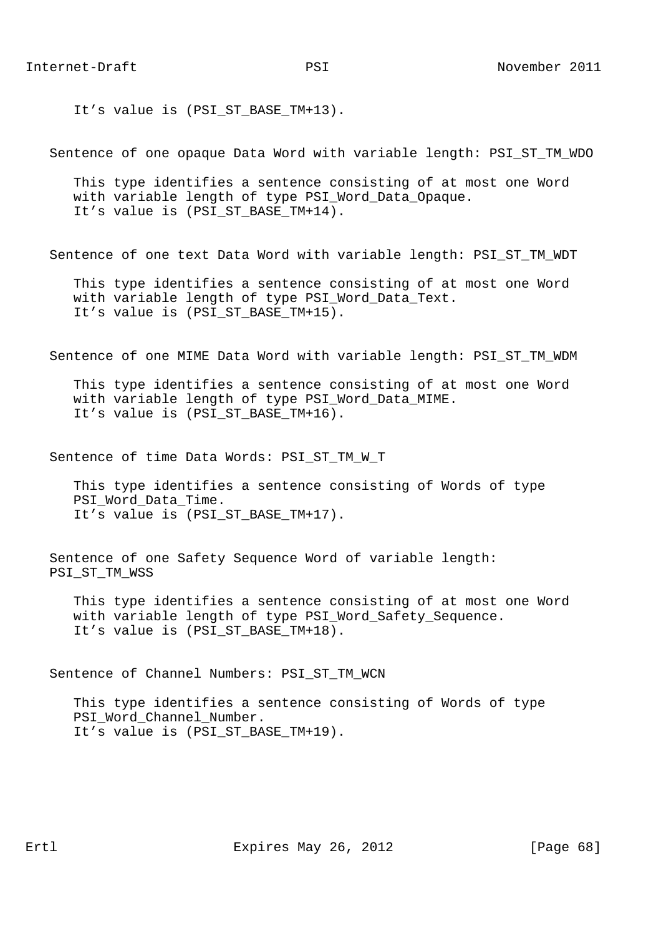It's value is (PSI ST BASE TM+13).

Sentence of one opaque Data Word with variable length: PSI\_ST\_TM\_WDO

 This type identifies a sentence consisting of at most one Word with variable length of type PSI\_Word\_Data\_Opaque. It's value is (PSI\_ST\_BASE\_TM+14).

Sentence of one text Data Word with variable length: PSI\_ST\_TM\_WDT

 This type identifies a sentence consisting of at most one Word with variable length of type PSI Word Data Text. It's value is (PSI\_ST\_BASE\_TM+15).

Sentence of one MIME Data Word with variable length: PSI\_ST\_TM\_WDM

 This type identifies a sentence consisting of at most one Word with variable length of type PSI\_Word\_Data\_MIME. It's value is (PSI ST BASE TM+16).

Sentence of time Data Words: PSI ST TM W T

 This type identifies a sentence consisting of Words of type PSI\_Word\_Data\_Time. It's value is (PSI\_ST\_BASE\_TM+17).

 Sentence of one Safety Sequence Word of variable length: PSI\_ST\_TM\_WSS

 This type identifies a sentence consisting of at most one Word with variable length of type PSI\_Word\_Safety\_Sequence. It's value is (PSI\_ST\_BASE\_TM+18).

Sentence of Channel Numbers: PSI\_ST\_TM\_WCN

 This type identifies a sentence consisting of Words of type PSI Word Channel Number. It's value is (PSI\_ST\_BASE\_TM+19).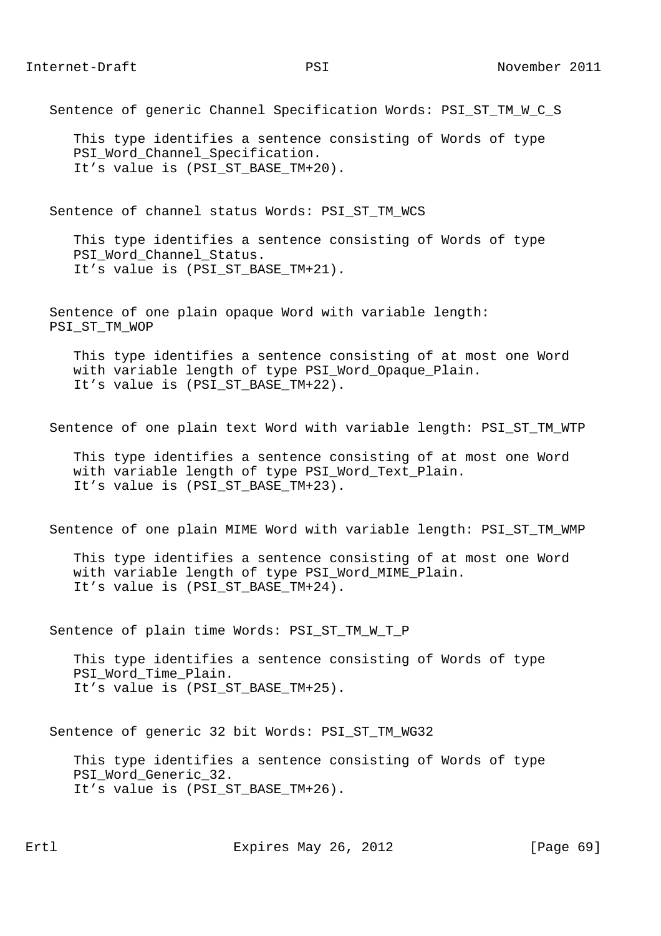Sentence of generic Channel Specification Words: PSI\_ST\_TM\_W\_C\_S

 This type identifies a sentence consisting of Words of type PSI Word Channel Specification. It's value is (PSI ST BASE TM+20).

Sentence of channel status Words: PSI\_ST\_TM\_WCS

 This type identifies a sentence consisting of Words of type PSI Word Channel Status. It's value is (PSI\_ST\_BASE\_TM+21).

 Sentence of one plain opaque Word with variable length: PSI\_ST\_TM\_WOP

 This type identifies a sentence consisting of at most one Word with variable length of type PSI Word Opaque Plain. It's value is (PSI\_ST\_BASE\_TM+22).

Sentence of one plain text Word with variable length: PSI\_ST\_TM\_WTP

 This type identifies a sentence consisting of at most one Word with variable length of type PSI\_Word\_Text\_Plain. It's value is (PSI\_ST\_BASE\_TM+23).

Sentence of one plain MIME Word with variable length: PSI\_ST\_TM\_WMP

 This type identifies a sentence consisting of at most one Word with variable length of type PSI\_Word\_MIME\_Plain. It's value is (PSI\_ST\_BASE\_TM+24).

Sentence of plain time Words: PSI\_ST\_TM\_W\_T\_P

 This type identifies a sentence consisting of Words of type PSI\_Word\_Time\_Plain. It's value is (PSI\_ST\_BASE\_TM+25).

Sentence of generic 32 bit Words: PSI\_ST\_TM\_WG32

 This type identifies a sentence consisting of Words of type PSI\_Word\_Generic\_32. It's value is (PSI ST BASE TM+26).

Ertl Expires May 26, 2012 [Page 69]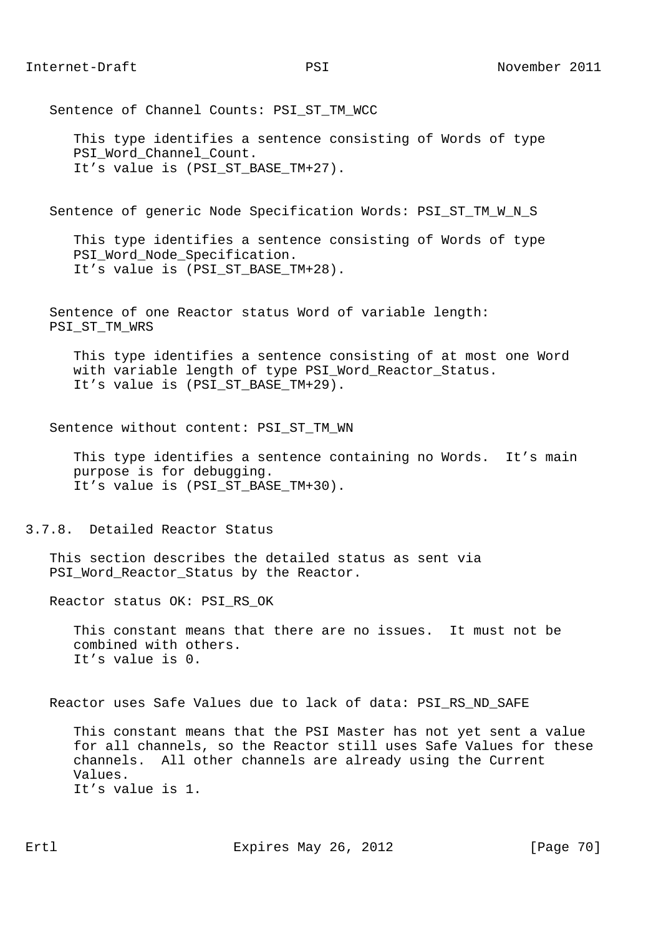Sentence of Channel Counts: PSI ST TM WCC

 This type identifies a sentence consisting of Words of type PSI\_Word\_Channel\_Count. It's value is (PSI ST BASE TM+27).

Sentence of generic Node Specification Words: PSI\_ST\_TM\_W\_N\_S

 This type identifies a sentence consisting of Words of type PSI Word Node Specification. It's value is (PSI\_ST\_BASE\_TM+28).

 Sentence of one Reactor status Word of variable length: PSI\_ST\_TM\_WRS

 This type identifies a sentence consisting of at most one Word with variable length of type PSI Word Reactor Status. It's value is (PSI ST BASE TM+29).

Sentence without content: PSI\_ST\_TM\_WN

 This type identifies a sentence containing no Words. It's main purpose is for debugging. It's value is (PSI\_ST\_BASE\_TM+30).

3.7.8. Detailed Reactor Status

 This section describes the detailed status as sent via PSI\_Word\_Reactor\_Status by the Reactor.

Reactor status OK: PSI\_RS\_OK

 This constant means that there are no issues. It must not be combined with others. It's value is 0.

Reactor uses Safe Values due to lack of data: PSI\_RS\_ND\_SAFE

 This constant means that the PSI Master has not yet sent a value for all channels, so the Reactor still uses Safe Values for these channels. All other channels are already using the Current Values. It's value is 1.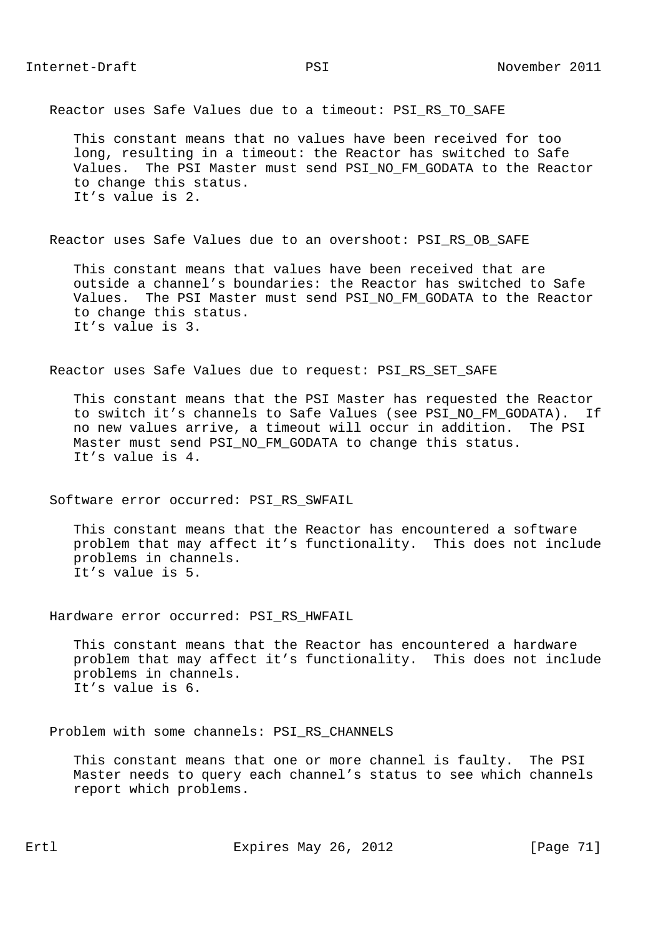Reactor uses Safe Values due to a timeout: PSI\_RS\_TO\_SAFE

 This constant means that no values have been received for too long, resulting in a timeout: the Reactor has switched to Safe Values. The PSI Master must send PSI\_NO\_FM\_GODATA to the Reactor to change this status. It's value is 2.

Reactor uses Safe Values due to an overshoot: PSI\_RS\_OB\_SAFE

 This constant means that values have been received that are outside a channel's boundaries: the Reactor has switched to Safe Values. The PSI Master must send PSI\_NO\_FM\_GODATA to the Reactor to change this status. It's value is 3.

Reactor uses Safe Values due to request: PSI\_RS\_SET\_SAFE

 This constant means that the PSI Master has requested the Reactor to switch it's channels to Safe Values (see PSI NO FM GODATA). If no new values arrive, a timeout will occur in addition. The PSI Master must send PSI\_NO\_FM\_GODATA to change this status. It's value is 4.

Software error occurred: PSI\_RS\_SWFAIL

 This constant means that the Reactor has encountered a software problem that may affect it's functionality. This does not include problems in channels. It's value is 5.

Hardware error occurred: PSI\_RS\_HWFAIL

 This constant means that the Reactor has encountered a hardware problem that may affect it's functionality. This does not include problems in channels. It's value is 6.

Problem with some channels: PSI\_RS\_CHANNELS

 This constant means that one or more channel is faulty. The PSI Master needs to query each channel's status to see which channels report which problems.

Ertl Expires May 26, 2012 [Page 71]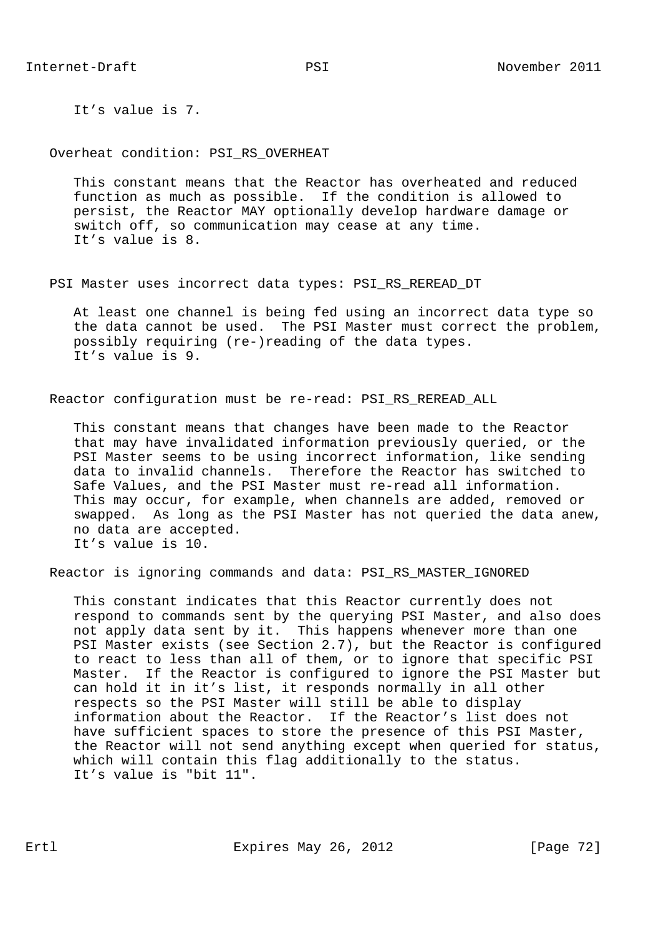It's value is 7.

Overheat condition: PSI RS OVERHEAT

 This constant means that the Reactor has overheated and reduced function as much as possible. If the condition is allowed to persist, the Reactor MAY optionally develop hardware damage or switch off, so communication may cease at any time. It's value is 8.

PSI Master uses incorrect data types: PSI RS REREAD DT

 At least one channel is being fed using an incorrect data type so the data cannot be used. The PSI Master must correct the problem, possibly requiring (re-)reading of the data types. It's value is 9.

Reactor configuration must be re-read: PSI\_RS\_REREAD\_ALL

 This constant means that changes have been made to the Reactor that may have invalidated information previously queried, or the PSI Master seems to be using incorrect information, like sending data to invalid channels. Therefore the Reactor has switched to Safe Values, and the PSI Master must re-read all information. This may occur, for example, when channels are added, removed or swapped. As long as the PSI Master has not queried the data anew, no data are accepted. It's value is 10.

Reactor is ignoring commands and data: PSI\_RS\_MASTER\_IGNORED

 This constant indicates that this Reactor currently does not respond to commands sent by the querying PSI Master, and also does not apply data sent by it. This happens whenever more than one PSI Master exists (see Section 2.7), but the Reactor is configured to react to less than all of them, or to ignore that specific PSI Master. If the Reactor is configured to ignore the PSI Master but can hold it in it's list, it responds normally in all other respects so the PSI Master will still be able to display information about the Reactor. If the Reactor's list does not have sufficient spaces to store the presence of this PSI Master, the Reactor will not send anything except when queried for status, which will contain this flag additionally to the status. It's value is "bit 11".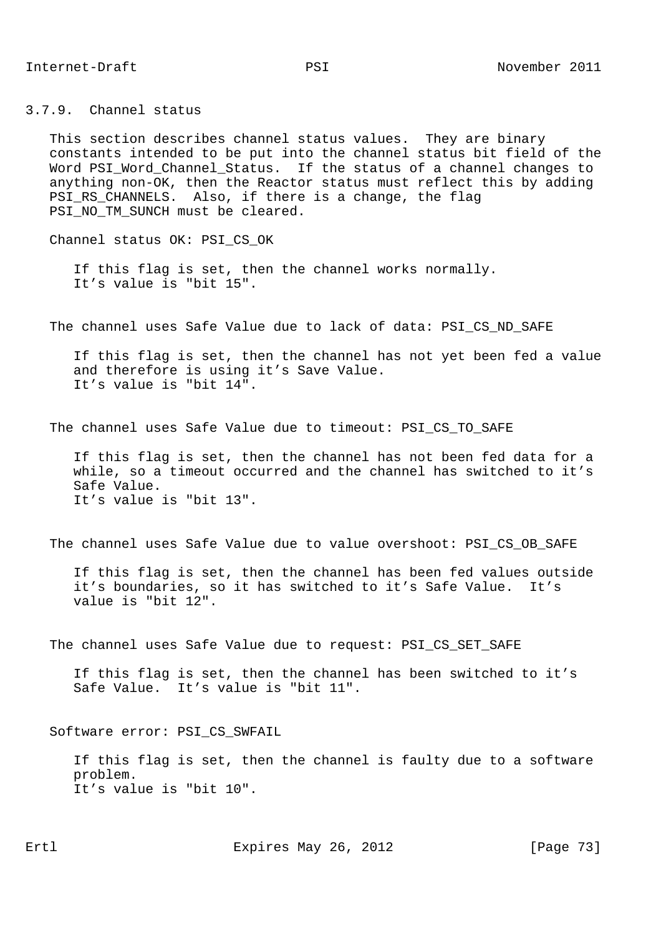3.7.9. Channel status

 This section describes channel status values. They are binary constants intended to be put into the channel status bit field of the Word PSI\_Word\_Channel\_Status. If the status of a channel changes to anything non-OK, then the Reactor status must reflect this by adding PSI\_RS\_CHANNELS. Also, if there is a change, the flag PSI\_NO\_TM\_SUNCH must be cleared.

Channel status OK: PSI\_CS\_OK

 If this flag is set, then the channel works normally. It's value is "bit 15".

The channel uses Safe Value due to lack of data: PSI CS ND SAFE

 If this flag is set, then the channel has not yet been fed a value and therefore is using it's Save Value. It's value is "bit 14".

The channel uses Safe Value due to timeout: PSI\_CS\_TO\_SAFE

 If this flag is set, then the channel has not been fed data for a while, so a timeout occurred and the channel has switched to it's Safe Value. It's value is "bit 13".

The channel uses Safe Value due to value overshoot: PSI\_CS\_OB\_SAFE

 If this flag is set, then the channel has been fed values outside it's boundaries, so it has switched to it's Safe Value. It's value is "bit 12".

The channel uses Safe Value due to request: PSI\_CS\_SET\_SAFE

 If this flag is set, then the channel has been switched to it's Safe Value. It's value is "bit 11".

Software error: PSI\_CS\_SWFAIL

 If this flag is set, then the channel is faulty due to a software problem. It's value is "bit 10".

Ertl Expires May 26, 2012 [Page 73]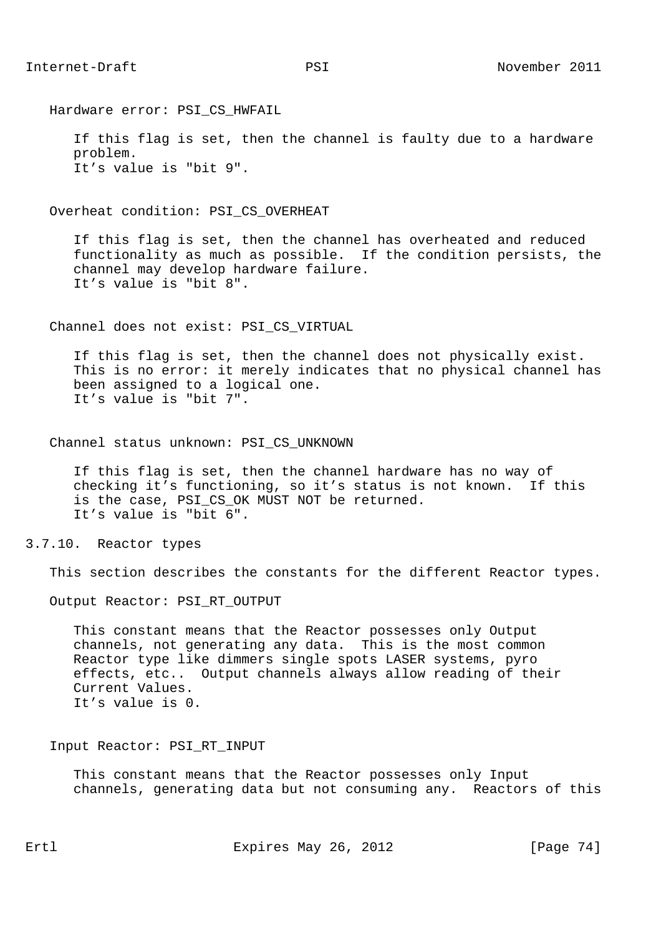Hardware error: PSI\_CS\_HWFAIL

 If this flag is set, then the channel is faulty due to a hardware problem. It's value is "bit 9".

Overheat condition: PSI\_CS\_OVERHEAT

 If this flag is set, then the channel has overheated and reduced functionality as much as possible. If the condition persists, the channel may develop hardware failure. It's value is "bit 8".

Channel does not exist: PSI\_CS\_VIRTUAL

 If this flag is set, then the channel does not physically exist. This is no error: it merely indicates that no physical channel has been assigned to a logical one. It's value is "bit 7".

Channel status unknown: PSI\_CS\_UNKNOWN

 If this flag is set, then the channel hardware has no way of checking it's functioning, so it's status is not known. If this is the case, PSI\_CS\_OK MUST NOT be returned. It's value is "bit 6".

## 3.7.10. Reactor types

This section describes the constants for the different Reactor types.

Output Reactor: PSI\_RT\_OUTPUT

 This constant means that the Reactor possesses only Output channels, not generating any data. This is the most common Reactor type like dimmers single spots LASER systems, pyro effects, etc.. Output channels always allow reading of their Current Values. It's value is 0.

### Input Reactor: PSI\_RT\_INPUT

 This constant means that the Reactor possesses only Input channels, generating data but not consuming any. Reactors of this

Ertl **Expires May 26, 2012** [Page 74]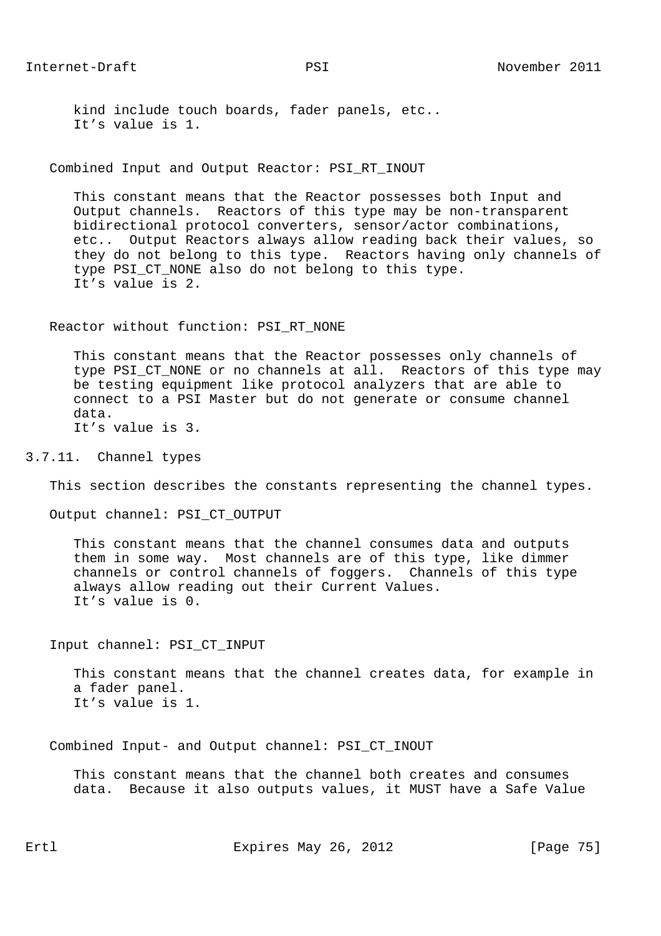kind include touch boards, fader panels, etc.. It's value is 1.

Combined Input and Output Reactor: PSI\_RT\_INOUT

 This constant means that the Reactor possesses both Input and Output channels. Reactors of this type may be non-transparent bidirectional protocol converters, sensor/actor combinations, etc.. Output Reactors always allow reading back their values, so they do not belong to this type. Reactors having only channels of type PSI\_CT\_NONE also do not belong to this type. It's value is 2.

Reactor without function: PSI RT NONE

 This constant means that the Reactor possesses only channels of type PSI CT NONE or no channels at all. Reactors of this type may be testing equipment like protocol analyzers that are able to connect to a PSI Master but do not generate or consume channel data. It's value is 3.

3.7.11. Channel types

This section describes the constants representing the channel types.

Output channel: PSI\_CT\_OUTPUT

 This constant means that the channel consumes data and outputs them in some way. Most channels are of this type, like dimmer channels or control channels of foggers. Channels of this type always allow reading out their Current Values. It's value is 0.

Input channel: PSI\_CT\_INPUT

 This constant means that the channel creates data, for example in a fader panel. It's value is 1.

Combined Input- and Output channel: PSI\_CT\_INOUT

 This constant means that the channel both creates and consumes data. Because it also outputs values, it MUST have a Safe Value

Ertl Expires May 26, 2012 [Page 75]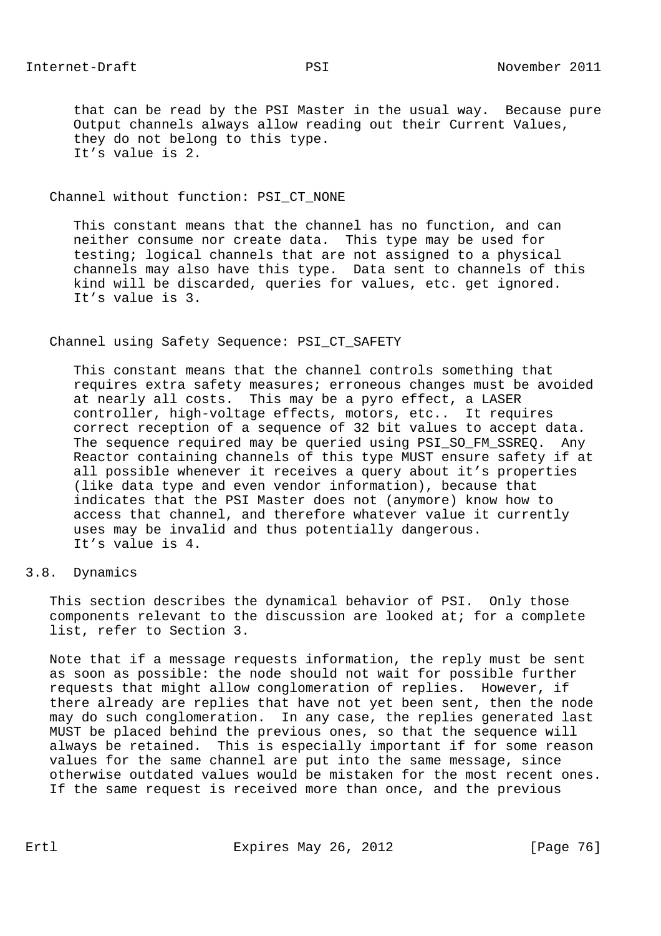that can be read by the PSI Master in the usual way. Because pure Output channels always allow reading out their Current Values, they do not belong to this type. It's value is 2.

#### Channel without function: PSI\_CT\_NONE

 This constant means that the channel has no function, and can neither consume nor create data. This type may be used for testing; logical channels that are not assigned to a physical channels may also have this type. Data sent to channels of this kind will be discarded, queries for values, etc. get ignored. It's value is 3.

#### Channel using Safety Sequence: PSI\_CT\_SAFETY

 This constant means that the channel controls something that requires extra safety measures; erroneous changes must be avoided at nearly all costs. This may be a pyro effect, a LASER controller, high-voltage effects, motors, etc.. It requires correct reception of a sequence of 32 bit values to accept data. The sequence required may be queried using PSI\_SO\_FM\_SSREQ. Any Reactor containing channels of this type MUST ensure safety if at all possible whenever it receives a query about it's properties (like data type and even vendor information), because that indicates that the PSI Master does not (anymore) know how to access that channel, and therefore whatever value it currently uses may be invalid and thus potentially dangerous. It's value is 4.

## 3.8. Dynamics

 This section describes the dynamical behavior of PSI. Only those components relevant to the discussion are looked at; for a complete list, refer to Section 3.

 Note that if a message requests information, the reply must be sent as soon as possible: the node should not wait for possible further requests that might allow conglomeration of replies. However, if there already are replies that have not yet been sent, then the node may do such conglomeration. In any case, the replies generated last MUST be placed behind the previous ones, so that the sequence will always be retained. This is especially important if for some reason values for the same channel are put into the same message, since otherwise outdated values would be mistaken for the most recent ones. If the same request is received more than once, and the previous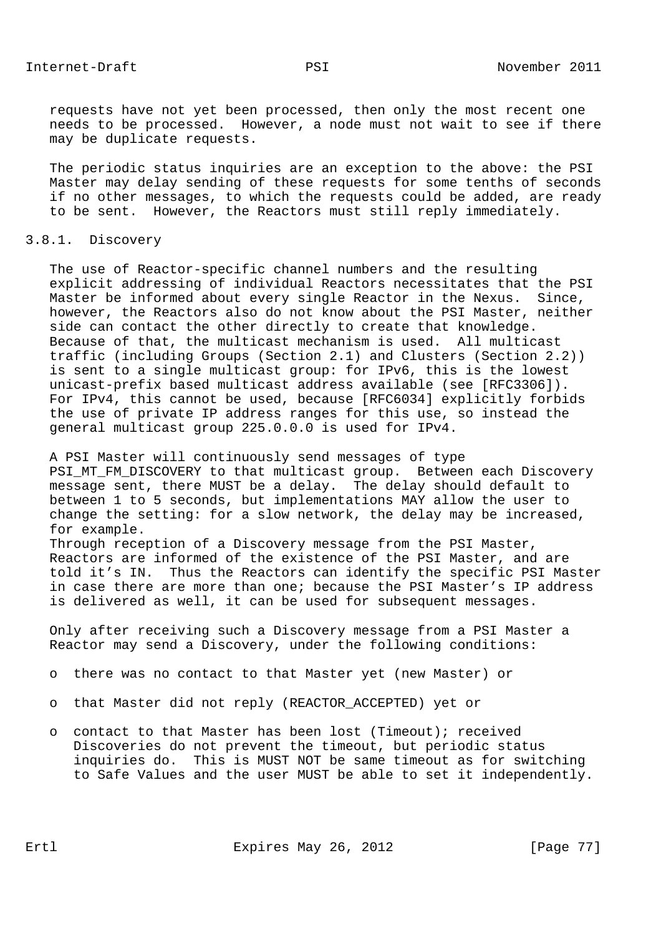requests have not yet been processed, then only the most recent one needs to be processed. However, a node must not wait to see if there may be duplicate requests.

 The periodic status inquiries are an exception to the above: the PSI Master may delay sending of these requests for some tenths of seconds if no other messages, to which the requests could be added, are ready to be sent. However, the Reactors must still reply immediately.

#### 3.8.1. Discovery

 The use of Reactor-specific channel numbers and the resulting explicit addressing of individual Reactors necessitates that the PSI Master be informed about every single Reactor in the Nexus. Since, however, the Reactors also do not know about the PSI Master, neither side can contact the other directly to create that knowledge. Because of that, the multicast mechanism is used. All multicast traffic (including Groups (Section 2.1) and Clusters (Section 2.2)) is sent to a single multicast group: for IPv6, this is the lowest unicast-prefix based multicast address available (see [RFC3306]). For IPv4, this cannot be used, because [RFC6034] explicitly forbids the use of private IP address ranges for this use, so instead the general multicast group 225.0.0.0 is used for IPv4.

 A PSI Master will continuously send messages of type PSI\_MT\_FM\_DISCOVERY to that multicast group. Between each Discovery message sent, there MUST be a delay. The delay should default to between 1 to 5 seconds, but implementations MAY allow the user to change the setting: for a slow network, the delay may be increased, for example. Through reception of a Discovery message from the PSI Master,

 Reactors are informed of the existence of the PSI Master, and are told it's IN. Thus the Reactors can identify the specific PSI Master in case there are more than one; because the PSI Master's IP address is delivered as well, it can be used for subsequent messages.

 Only after receiving such a Discovery message from a PSI Master a Reactor may send a Discovery, under the following conditions:

- o there was no contact to that Master yet (new Master) or
- o that Master did not reply (REACTOR\_ACCEPTED) yet or
- o contact to that Master has been lost (Timeout); received Discoveries do not prevent the timeout, but periodic status inquiries do. This is MUST NOT be same timeout as for switching to Safe Values and the user MUST be able to set it independently.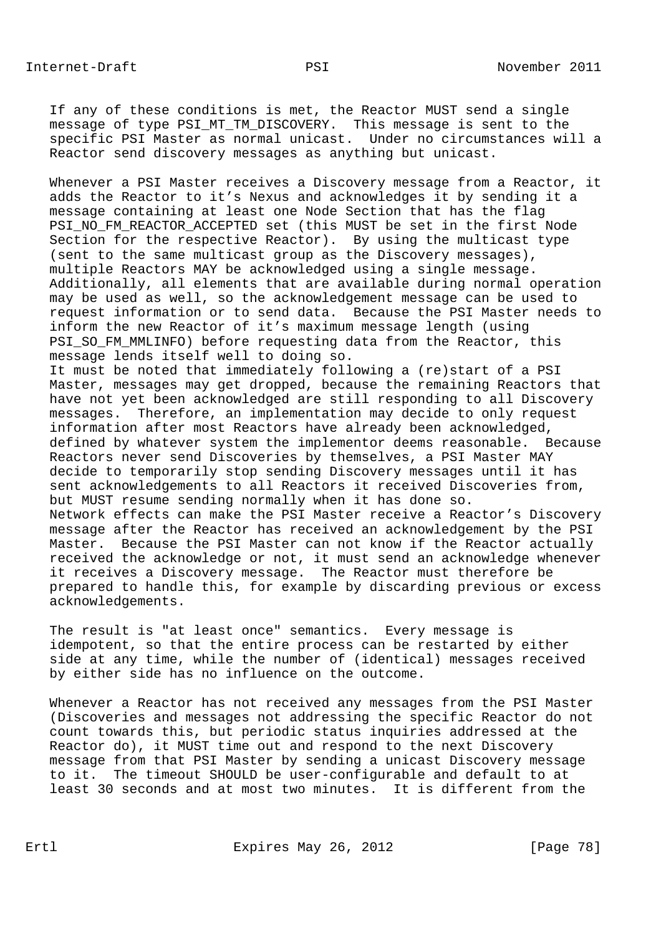If any of these conditions is met, the Reactor MUST send a single message of type PSI\_MT\_TM\_DISCOVERY. This message is sent to the specific PSI Master as normal unicast. Under no circumstances will a Reactor send discovery messages as anything but unicast.

 Whenever a PSI Master receives a Discovery message from a Reactor, it adds the Reactor to it's Nexus and acknowledges it by sending it a message containing at least one Node Section that has the flag PSI\_NO\_FM\_REACTOR\_ACCEPTED set (this MUST be set in the first Node Section for the respective Reactor). By using the multicast type (sent to the same multicast group as the Discovery messages), multiple Reactors MAY be acknowledged using a single message. Additionally, all elements that are available during normal operation may be used as well, so the acknowledgement message can be used to request information or to send data. Because the PSI Master needs to inform the new Reactor of it's maximum message length (using PSI\_SO\_FM\_MMLINFO) before requesting data from the Reactor, this message lends itself well to doing so.

 It must be noted that immediately following a (re)start of a PSI Master, messages may get dropped, because the remaining Reactors that have not yet been acknowledged are still responding to all Discovery messages. Therefore, an implementation may decide to only request information after most Reactors have already been acknowledged, defined by whatever system the implementor deems reasonable. Because Reactors never send Discoveries by themselves, a PSI Master MAY decide to temporarily stop sending Discovery messages until it has sent acknowledgements to all Reactors it received Discoveries from, but MUST resume sending normally when it has done so. Network effects can make the PSI Master receive a Reactor's Discovery message after the Reactor has received an acknowledgement by the PSI Master. Because the PSI Master can not know if the Reactor actually received the acknowledge or not, it must send an acknowledge whenever it receives a Discovery message. The Reactor must therefore be prepared to handle this, for example by discarding previous or excess acknowledgements.

 The result is "at least once" semantics. Every message is idempotent, so that the entire process can be restarted by either side at any time, while the number of (identical) messages received by either side has no influence on the outcome.

 Whenever a Reactor has not received any messages from the PSI Master (Discoveries and messages not addressing the specific Reactor do not count towards this, but periodic status inquiries addressed at the Reactor do), it MUST time out and respond to the next Discovery message from that PSI Master by sending a unicast Discovery message to it. The timeout SHOULD be user-configurable and default to at least 30 seconds and at most two minutes. It is different from the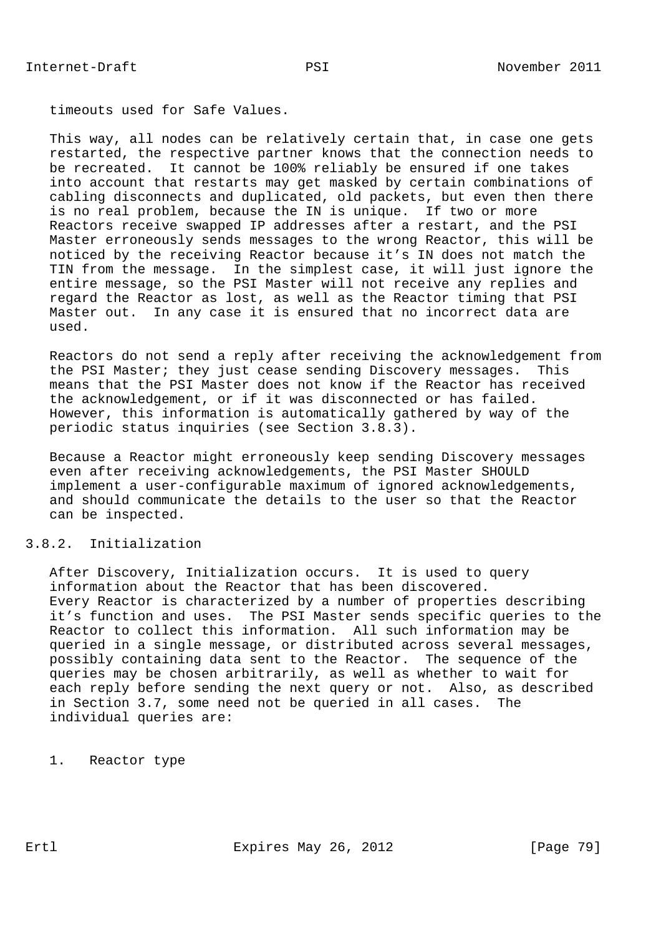timeouts used for Safe Values.

 This way, all nodes can be relatively certain that, in case one gets restarted, the respective partner knows that the connection needs to be recreated. It cannot be 100% reliably be ensured if one takes into account that restarts may get masked by certain combinations of cabling disconnects and duplicated, old packets, but even then there is no real problem, because the IN is unique. If two or more Reactors receive swapped IP addresses after a restart, and the PSI Master erroneously sends messages to the wrong Reactor, this will be noticed by the receiving Reactor because it's IN does not match the TIN from the message. In the simplest case, it will just ignore the entire message, so the PSI Master will not receive any replies and regard the Reactor as lost, as well as the Reactor timing that PSI Master out. In any case it is ensured that no incorrect data are used.

 Reactors do not send a reply after receiving the acknowledgement from the PSI Master; they just cease sending Discovery messages. This means that the PSI Master does not know if the Reactor has received the acknowledgement, or if it was disconnected or has failed. However, this information is automatically gathered by way of the periodic status inquiries (see Section 3.8.3).

 Because a Reactor might erroneously keep sending Discovery messages even after receiving acknowledgements, the PSI Master SHOULD implement a user-configurable maximum of ignored acknowledgements, and should communicate the details to the user so that the Reactor can be inspected.

# 3.8.2. Initialization

 After Discovery, Initialization occurs. It is used to query information about the Reactor that has been discovered. Every Reactor is characterized by a number of properties describing it's function and uses. The PSI Master sends specific queries to the Reactor to collect this information. All such information may be queried in a single message, or distributed across several messages, possibly containing data sent to the Reactor. The sequence of the queries may be chosen arbitrarily, as well as whether to wait for each reply before sending the next query or not. Also, as described in Section 3.7, some need not be queried in all cases. The individual queries are:

1. Reactor type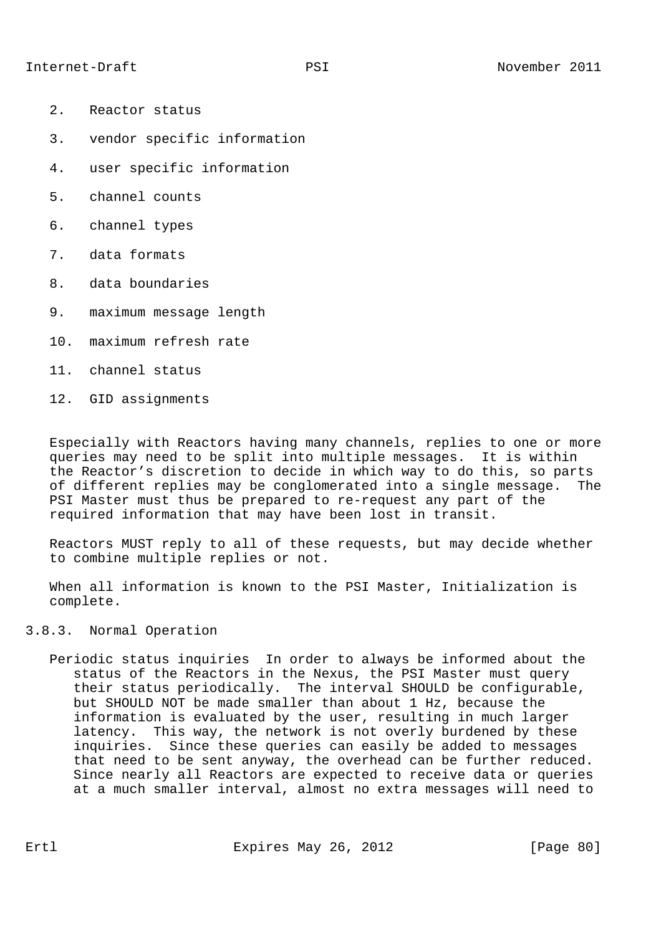- 2. Reactor status
- 3. vendor specific information
- 4. user specific information
- 5. channel counts
- 6. channel types
- 7. data formats
- 8. data boundaries
- 9. maximum message length
- 10. maximum refresh rate
- 11. channel status
- 12. GID assignments

 Especially with Reactors having many channels, replies to one or more queries may need to be split into multiple messages. It is within the Reactor's discretion to decide in which way to do this, so parts of different replies may be conglomerated into a single message. The PSI Master must thus be prepared to re-request any part of the required information that may have been lost in transit.

 Reactors MUST reply to all of these requests, but may decide whether to combine multiple replies or not.

 When all information is known to the PSI Master, Initialization is complete.

### 3.8.3. Normal Operation

 Periodic status inquiries In order to always be informed about the status of the Reactors in the Nexus, the PSI Master must query their status periodically. The interval SHOULD be configurable, but SHOULD NOT be made smaller than about 1 Hz, because the information is evaluated by the user, resulting in much larger latency. This way, the network is not overly burdened by these inquiries. Since these queries can easily be added to messages that need to be sent anyway, the overhead can be further reduced. Since nearly all Reactors are expected to receive data or queries at a much smaller interval, almost no extra messages will need to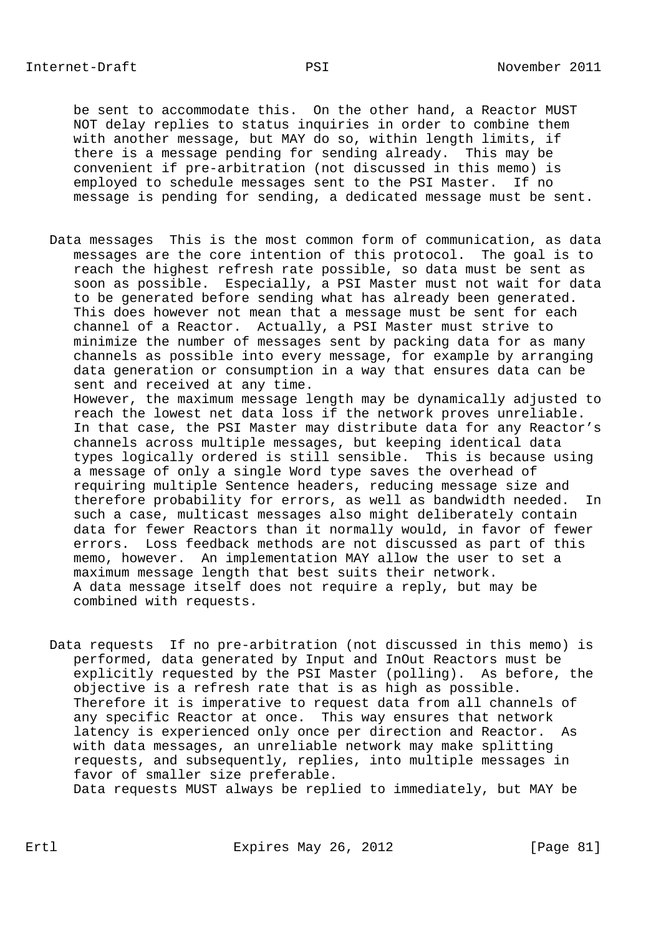be sent to accommodate this. On the other hand, a Reactor MUST NOT delay replies to status inquiries in order to combine them with another message, but MAY do so, within length limits, if there is a message pending for sending already. This may be convenient if pre-arbitration (not discussed in this memo) is employed to schedule messages sent to the PSI Master. If no message is pending for sending, a dedicated message must be sent.

 Data messages This is the most common form of communication, as data messages are the core intention of this protocol. The goal is to reach the highest refresh rate possible, so data must be sent as soon as possible. Especially, a PSI Master must not wait for data to be generated before sending what has already been generated. This does however not mean that a message must be sent for each channel of a Reactor. Actually, a PSI Master must strive to minimize the number of messages sent by packing data for as many channels as possible into every message, for example by arranging data generation or consumption in a way that ensures data can be sent and received at any time. However, the maximum message length may be dynamically adjusted to reach the lowest net data loss if the network proves unreliable. In that case, the PSI Master may distribute data for any Reactor's

 channels across multiple messages, but keeping identical data types logically ordered is still sensible. This is because using a message of only a single Word type saves the overhead of requiring multiple Sentence headers, reducing message size and therefore probability for errors, as well as bandwidth needed. In such a case, multicast messages also might deliberately contain data for fewer Reactors than it normally would, in favor of fewer errors. Loss feedback methods are not discussed as part of this memo, however. An implementation MAY allow the user to set a maximum message length that best suits their network. A data message itself does not require a reply, but may be combined with requests.

 Data requests If no pre-arbitration (not discussed in this memo) is performed, data generated by Input and InOut Reactors must be explicitly requested by the PSI Master (polling). As before, the objective is a refresh rate that is as high as possible. Therefore it is imperative to request data from all channels of any specific Reactor at once. This way ensures that network latency is experienced only once per direction and Reactor. As with data messages, an unreliable network may make splitting requests, and subsequently, replies, into multiple messages in favor of smaller size preferable. Data requests MUST always be replied to immediately, but MAY be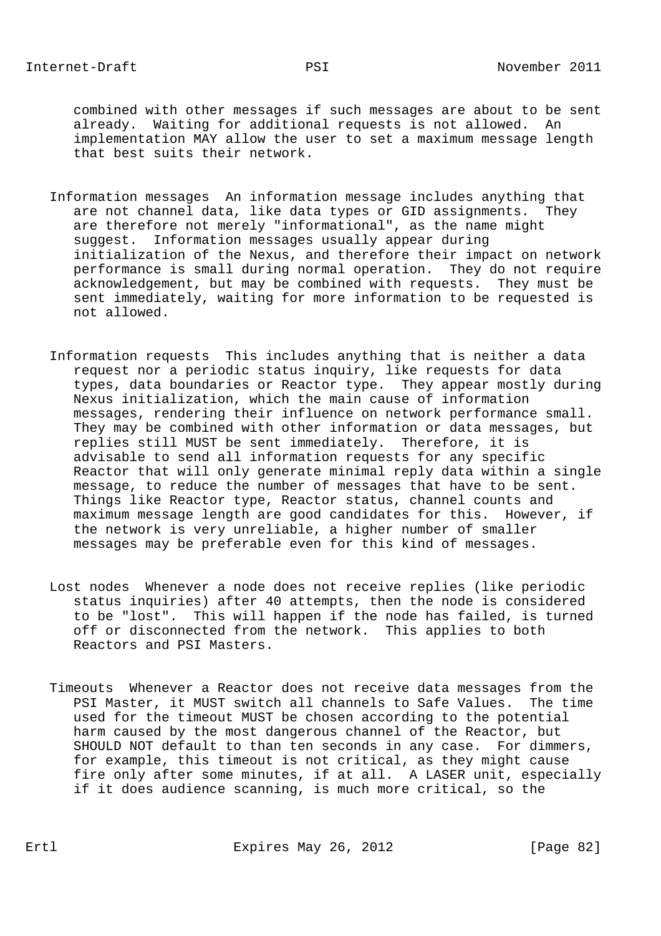combined with other messages if such messages are about to be sent already. Waiting for additional requests is not allowed. An implementation MAY allow the user to set a maximum message length that best suits their network.

- Information messages An information message includes anything that are not channel data, like data types or GID assignments. They are therefore not merely "informational", as the name might suggest. Information messages usually appear during initialization of the Nexus, and therefore their impact on network performance is small during normal operation. They do not require acknowledgement, but may be combined with requests. They must be sent immediately, waiting for more information to be requested is not allowed.
- Information requests This includes anything that is neither a data request nor a periodic status inquiry, like requests for data types, data boundaries or Reactor type. They appear mostly during Nexus initialization, which the main cause of information messages, rendering their influence on network performance small. They may be combined with other information or data messages, but replies still MUST be sent immediately. Therefore, it is advisable to send all information requests for any specific Reactor that will only generate minimal reply data within a single message, to reduce the number of messages that have to be sent. Things like Reactor type, Reactor status, channel counts and maximum message length are good candidates for this. However, if the network is very unreliable, a higher number of smaller messages may be preferable even for this kind of messages.
- Lost nodes Whenever a node does not receive replies (like periodic status inquiries) after 40 attempts, then the node is considered to be "lost". This will happen if the node has failed, is turned off or disconnected from the network. This applies to both Reactors and PSI Masters.
- Timeouts Whenever a Reactor does not receive data messages from the PSI Master, it MUST switch all channels to Safe Values. The time used for the timeout MUST be chosen according to the potential harm caused by the most dangerous channel of the Reactor, but SHOULD NOT default to than ten seconds in any case. For dimmers, for example, this timeout is not critical, as they might cause fire only after some minutes, if at all. A LASER unit, especially if it does audience scanning, is much more critical, so the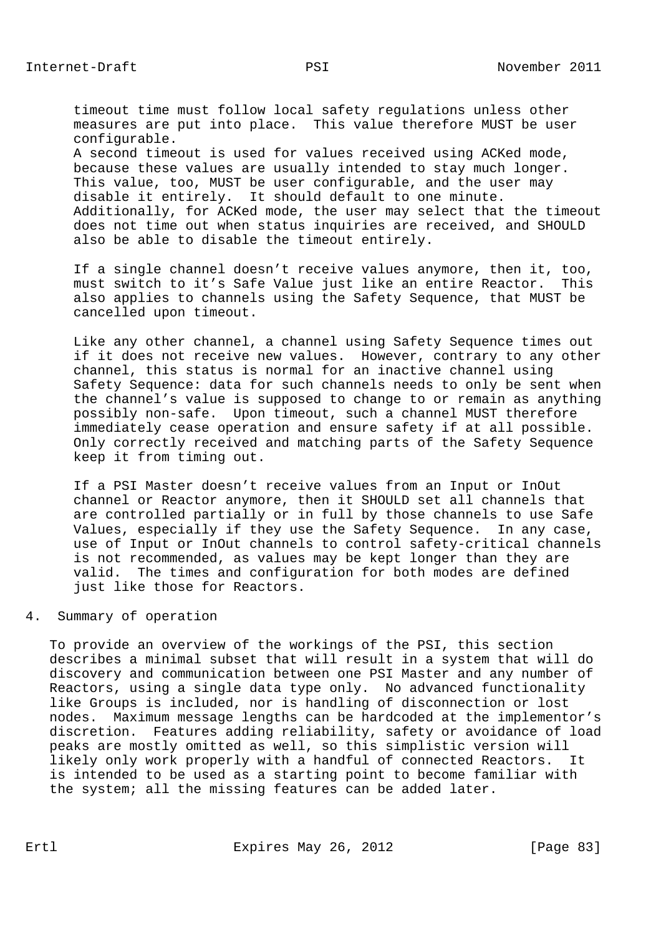timeout time must follow local safety regulations unless other measures are put into place. This value therefore MUST be user configurable. A second timeout is used for values received using ACKed mode, because these values are usually intended to stay much longer. This value, too, MUST be user configurable, and the user may disable it entirely. It should default to one minute. Additionally, for ACKed mode, the user may select that the timeout

 does not time out when status inquiries are received, and SHOULD also be able to disable the timeout entirely.

 If a single channel doesn't receive values anymore, then it, too, must switch to it's Safe Value just like an entire Reactor. This also applies to channels using the Safety Sequence, that MUST be cancelled upon timeout.

 Like any other channel, a channel using Safety Sequence times out if it does not receive new values. However, contrary to any other channel, this status is normal for an inactive channel using Safety Sequence: data for such channels needs to only be sent when the channel's value is supposed to change to or remain as anything possibly non-safe. Upon timeout, such a channel MUST therefore immediately cease operation and ensure safety if at all possible. Only correctly received and matching parts of the Safety Sequence keep it from timing out.

 If a PSI Master doesn't receive values from an Input or InOut channel or Reactor anymore, then it SHOULD set all channels that are controlled partially or in full by those channels to use Safe Values, especially if they use the Safety Sequence. In any case, use of Input or InOut channels to control safety-critical channels is not recommended, as values may be kept longer than they are valid. The times and configuration for both modes are defined just like those for Reactors.

#### 4. Summary of operation

 To provide an overview of the workings of the PSI, this section describes a minimal subset that will result in a system that will do discovery and communication between one PSI Master and any number of Reactors, using a single data type only. No advanced functionality like Groups is included, nor is handling of disconnection or lost nodes. Maximum message lengths can be hardcoded at the implementor's discretion. Features adding reliability, safety or avoidance of load peaks are mostly omitted as well, so this simplistic version will likely only work properly with a handful of connected Reactors. It is intended to be used as a starting point to become familiar with the system; all the missing features can be added later.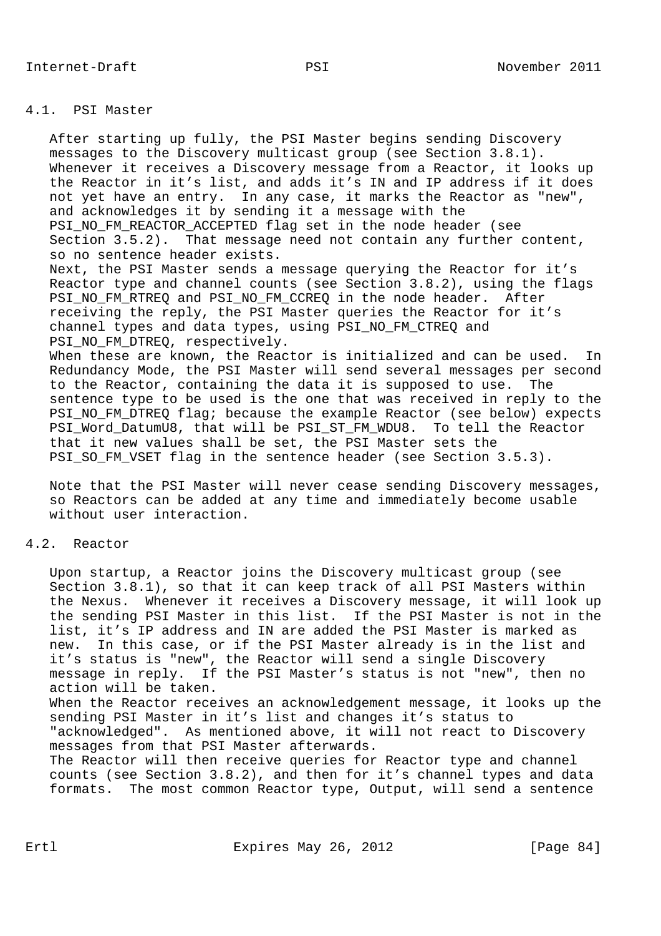### 4.1. PSI Master

 After starting up fully, the PSI Master begins sending Discovery messages to the Discovery multicast group (see Section 3.8.1). Whenever it receives a Discovery message from a Reactor, it looks up the Reactor in it's list, and adds it's IN and IP address if it does not yet have an entry. In any case, it marks the Reactor as "new", and acknowledges it by sending it a message with the PSI\_NO\_FM\_REACTOR\_ACCEPTED flag set in the node header (see Section 3.5.2). That message need not contain any further content, so no sentence header exists. Next, the PSI Master sends a message querying the Reactor for it's Reactor type and channel counts (see Section 3.8.2), using the flags PSI\_NO\_FM\_RTREQ and PSI\_NO\_FM\_CCREQ in the node header. After receiving the reply, the PSI Master queries the Reactor for it's channel types and data types, using PSI\_NO\_FM\_CTREQ and PSI\_NO\_FM\_DTREQ, respectively. When these are known, the Reactor is initialized and can be used. In Redundancy Mode, the PSI Master will send several messages per second

 to the Reactor, containing the data it is supposed to use. The sentence type to be used is the one that was received in reply to the PSI\_NO\_FM\_DTREQ flag; because the example Reactor (see below) expects PSI\_Word\_DatumU8, that will be PSI\_ST\_FM\_WDU8. To tell the Reactor that it new values shall be set, the PSI Master sets the PSI\_SO\_FM\_VSET flag in the sentence header (see Section 3.5.3).

 Note that the PSI Master will never cease sending Discovery messages, so Reactors can be added at any time and immediately become usable without user interaction.

## 4.2. Reactor

 Upon startup, a Reactor joins the Discovery multicast group (see Section 3.8.1), so that it can keep track of all PSI Masters within the Nexus. Whenever it receives a Discovery message, it will look up the sending PSI Master in this list. If the PSI Master is not in the list, it's IP address and IN are added the PSI Master is marked as new. In this case, or if the PSI Master already is in the list and it's status is "new", the Reactor will send a single Discovery message in reply. If the PSI Master's status is not "new", then no action will be taken. When the Reactor receives an acknowledgement message, it looks up the sending PSI Master in it's list and changes it's status to

 "acknowledged". As mentioned above, it will not react to Discovery messages from that PSI Master afterwards.

 The Reactor will then receive queries for Reactor type and channel counts (see Section 3.8.2), and then for it's channel types and data formats. The most common Reactor type, Output, will send a sentence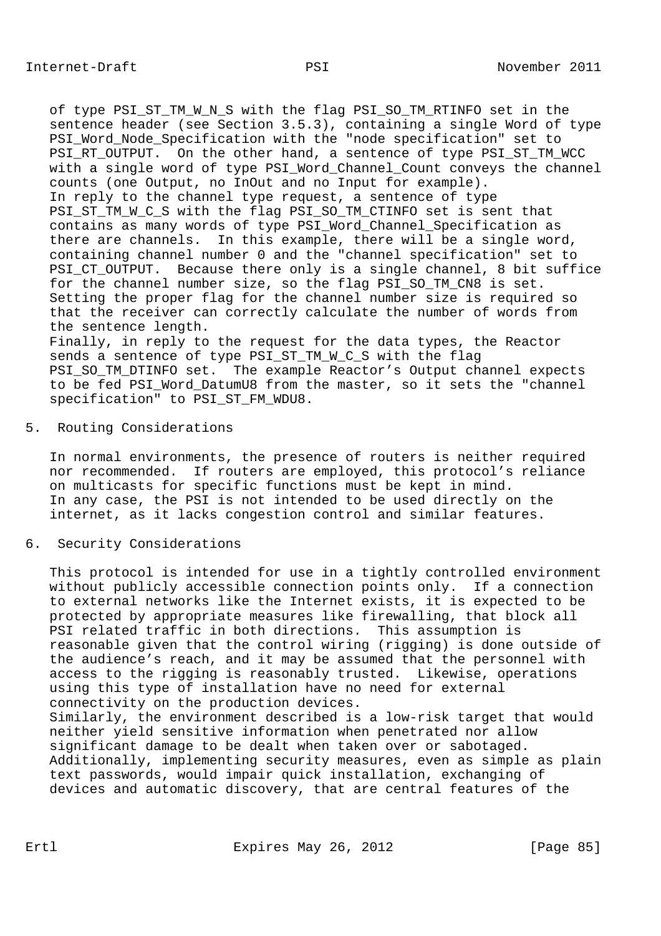of type PSI ST TM W N S with the flag PSI SO TM RTINFO set in the sentence header (see Section 3.5.3), containing a single Word of type PSI\_Word\_Node\_Specification with the "node specification" set to PSI\_RT\_OUTPUT. On the other hand, a sentence of type PSI\_ST\_TM\_WCC with a single word of type PSI\_Word\_Channel\_Count conveys the channel counts (one Output, no InOut and no Input for example). In reply to the channel type request, a sentence of type PSI\_ST\_TM\_W\_C\_S with the flag PSI\_SO\_TM\_CTINFO set is sent that contains as many words of type PSI\_Word\_Channel\_Specification as there are channels. In this example, there will be a single word, containing channel number 0 and the "channel specification" set to PSI\_CT\_OUTPUT. Because there only is a single channel, 8 bit suffice for the channel number size, so the flag PSI\_SO\_TM\_CN8 is set. Setting the proper flag for the channel number size is required so that the receiver can correctly calculate the number of words from the sentence length. Finally, in reply to the request for the data types, the Reactor sends a sentence of type PSI\_ST\_TM\_W\_C\_S with the flag PSI\_SO\_TM\_DTINFO set. The example Reactor's Output channel expects to be fed PSI\_Word\_DatumU8 from the master, so it sets the "channel specification" to PSI\_ST\_FM\_WDU8.

## 5. Routing Considerations

 In normal environments, the presence of routers is neither required nor recommended. If routers are employed, this protocol's reliance on multicasts for specific functions must be kept in mind. In any case, the PSI is not intended to be used directly on the internet, as it lacks congestion control and similar features.

## 6. Security Considerations

 This protocol is intended for use in a tightly controlled environment without publicly accessible connection points only. If a connection to external networks like the Internet exists, it is expected to be protected by appropriate measures like firewalling, that block all PSI related traffic in both directions. This assumption is reasonable given that the control wiring (rigging) is done outside of the audience's reach, and it may be assumed that the personnel with access to the rigging is reasonably trusted. Likewise, operations using this type of installation have no need for external connectivity on the production devices. Similarly, the environment described is a low-risk target that would neither yield sensitive information when penetrated nor allow significant damage to be dealt when taken over or sabotaged. Additionally, implementing security measures, even as simple as plain text passwords, would impair quick installation, exchanging of devices and automatic discovery, that are central features of the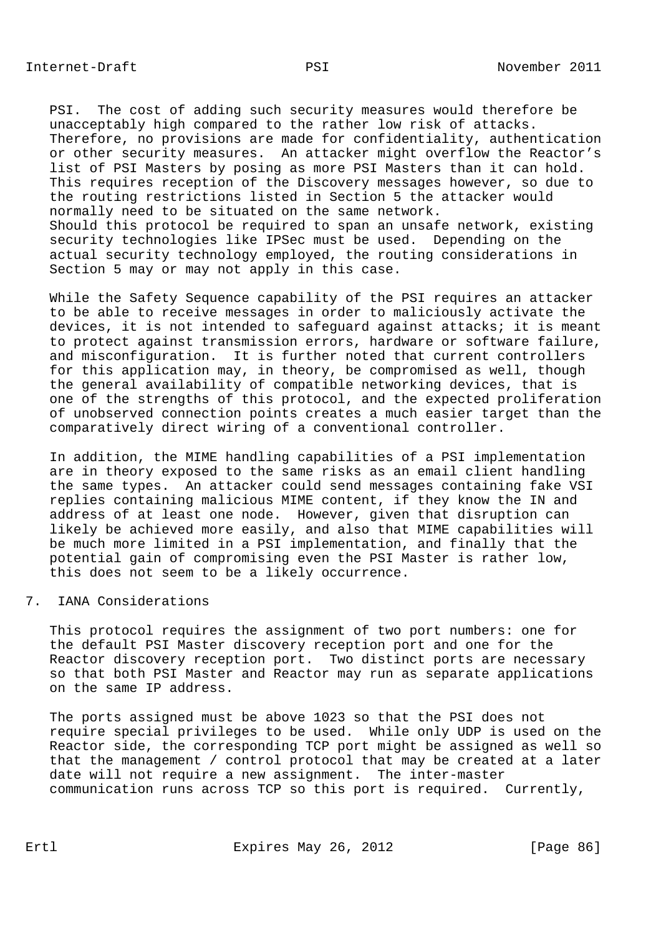PSI. The cost of adding such security measures would therefore be unacceptably high compared to the rather low risk of attacks. Therefore, no provisions are made for confidentiality, authentication or other security measures. An attacker might overflow the Reactor's list of PSI Masters by posing as more PSI Masters than it can hold. This requires reception of the Discovery messages however, so due to the routing restrictions listed in Section 5 the attacker would normally need to be situated on the same network. Should this protocol be required to span an unsafe network, existing security technologies like IPSec must be used. Depending on the actual security technology employed, the routing considerations in Section 5 may or may not apply in this case.

 While the Safety Sequence capability of the PSI requires an attacker to be able to receive messages in order to maliciously activate the devices, it is not intended to safeguard against attacks; it is meant to protect against transmission errors, hardware or software failure, and misconfiguration. It is further noted that current controllers for this application may, in theory, be compromised as well, though the general availability of compatible networking devices, that is one of the strengths of this protocol, and the expected proliferation of unobserved connection points creates a much easier target than the comparatively direct wiring of a conventional controller.

 In addition, the MIME handling capabilities of a PSI implementation are in theory exposed to the same risks as an email client handling the same types. An attacker could send messages containing fake VSI replies containing malicious MIME content, if they know the IN and address of at least one node. However, given that disruption can likely be achieved more easily, and also that MIME capabilities will be much more limited in a PSI implementation, and finally that the potential gain of compromising even the PSI Master is rather low, this does not seem to be a likely occurrence.

#### 7. IANA Considerations

 This protocol requires the assignment of two port numbers: one for the default PSI Master discovery reception port and one for the Reactor discovery reception port. Two distinct ports are necessary so that both PSI Master and Reactor may run as separate applications on the same IP address.

 The ports assigned must be above 1023 so that the PSI does not require special privileges to be used. While only UDP is used on the Reactor side, the corresponding TCP port might be assigned as well so that the management / control protocol that may be created at a later date will not require a new assignment. The inter-master communication runs across TCP so this port is required. Currently,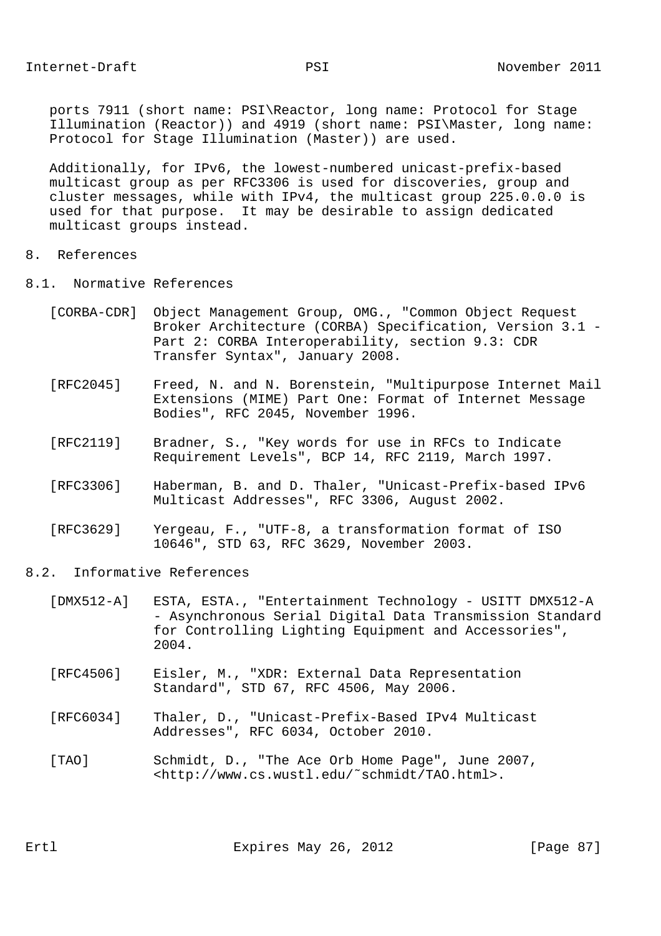ports 7911 (short name: PSI\Reactor, long name: Protocol for Stage Illumination (Reactor)) and 4919 (short name: PSI\Master, long name: Protocol for Stage Illumination (Master)) are used.

 Additionally, for IPv6, the lowest-numbered unicast-prefix-based multicast group as per RFC3306 is used for discoveries, group and cluster messages, while with IPv4, the multicast group 225.0.0.0 is used for that purpose. It may be desirable to assign dedicated multicast groups instead.

## 8. References

- 8.1. Normative References
	- [CORBA-CDR] Object Management Group, OMG., "Common Object Request Broker Architecture (CORBA) Specification, Version 3.1 - Part 2: CORBA Interoperability, section 9.3: CDR Transfer Syntax", January 2008.
	- [RFC2045] Freed, N. and N. Borenstein, "Multipurpose Internet Mail Extensions (MIME) Part One: Format of Internet Message Bodies", RFC 2045, November 1996.
	- [RFC2119] Bradner, S., "Key words for use in RFCs to Indicate Requirement Levels", BCP 14, RFC 2119, March 1997.
	- [RFC3306] Haberman, B. and D. Thaler, "Unicast-Prefix-based IPv6 Multicast Addresses", RFC 3306, August 2002.
	- [RFC3629] Yergeau, F., "UTF-8, a transformation format of ISO 10646", STD 63, RFC 3629, November 2003.

## 8.2. Informative References

- [DMX512-A] ESTA, ESTA., "Entertainment Technology USITT DMX512-A - Asynchronous Serial Digital Data Transmission Standard for Controlling Lighting Equipment and Accessories", 2004.
- [RFC4506] Eisler, M., "XDR: External Data Representation Standard", STD 67, RFC 4506, May 2006.
- [RFC6034] Thaler, D., "Unicast-Prefix-Based IPv4 Multicast Addresses", RFC 6034, October 2010.
- [TAO] Schmidt, D., "The Ace Orb Home Page", June 2007, <http://www.cs.wustl.edu/˜schmidt/TAO.html>.